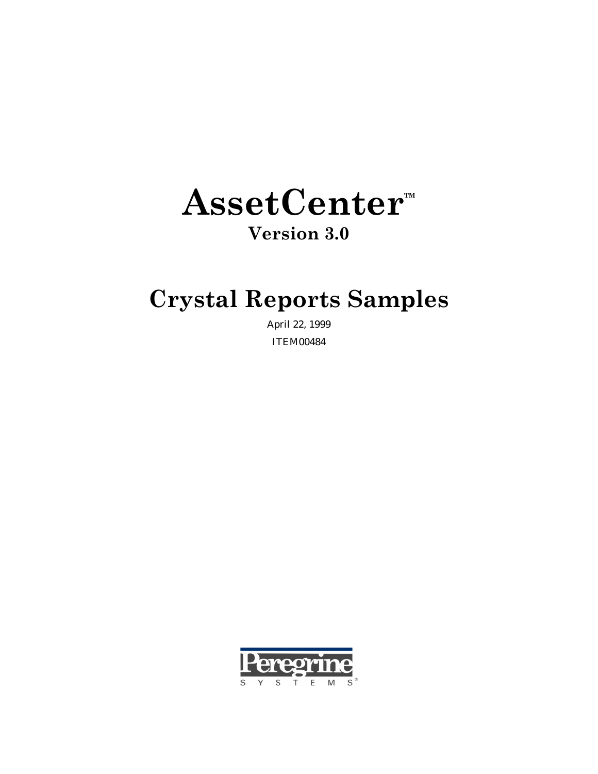# AssetCenter<sup>™</sup>

### Version 3.0

### Crystal Reports Samples

April 22, 1999 ITEM00484

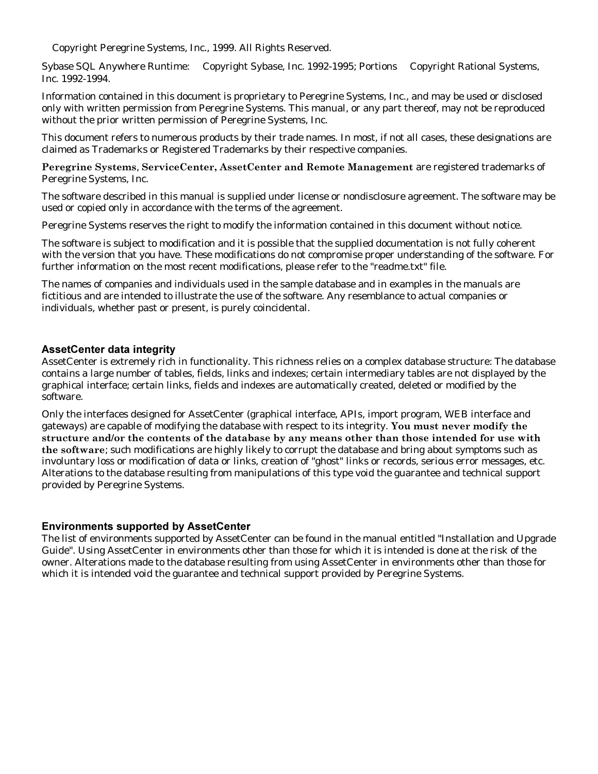Copyright Peregrine Systems, Inc., 1999. All Rights Reserved.

Sybase SQL Anywhere Runtime: © Copyright Sybase, Inc. 1992-1995; Portions © Copyright Rational Systems, Inc. 1992-1994.

Information contained in this document is proprietary to Peregrine Systems, Inc., and may be used or disclosed only with written permission from Peregrine Systems. This manual, or any part thereof, may not be reproduced without the prior written permission of Peregrine Systems, Inc.

This document refers to numerous products by their trade names. In most, if not all cases, these designations are claimed as Trademarks or Registered Trademarks by their respective companies.

Peregrine Systems, ServiceCenter, AssetCenter and Remote Management are registered trademarks of Peregrine Systems, Inc.

The software described in this manual is supplied under license or nondisclosure agreement. The software may be used or copied only in accordance with the terms of the agreement.

Peregrine Systems reserves the right to modify the information contained in this document without notice.

The software is subject to modification and it is possible that the supplied documentation is not fully coherent with the version that you have. These modifications do not compromise proper understanding of the software. For further information on the most recent modifications, please refer to the "readme.txt" file.

The names of companies and individuals used in the sample database and in examples in the manuals are fictitious and are intended to illustrate the use of the software. Any resemblance to actual companies or individuals, whether past or present, is purely coincidental.

#### AssetCenter data integrity

AssetCenter is extremely rich in functionality. This richness relies on a complex database structure: The database contains a large number of tables, fields, links and indexes; certain intermediary tables are not displayed by the graphical interface; certain links, fields and indexes are automatically created, deleted or modified by the software.

Only the interfaces designed for AssetCenter (graphical interface, APIs, import program, WEB interface and gateways) are capable of modifying the database with respect to its integrity. You must never modify the structure and/or the contents of the database by any means other than those intended for use with the software; such modifications are highly likely to corrupt the database and bring about symptoms such as involuntary loss or modification of data or links, creation of "ghost" links or records, serious error messages, etc. Alterations to the database resulting from manipulations of this type void the guarantee and technical support provided by Peregrine Systems.

#### **Environments supported by AssetCenter**

The list of environments supported by AssetCenter can be found in the manual entitled "Installation and Upgrade Guide". Using AssetCenter in environments other than those for which it is intended is done at the risk of the owner. Alterations made to the database resulting from using AssetCenter in environments other than those for which it is intended void the guarantee and technical support provided by Peregrine Systems.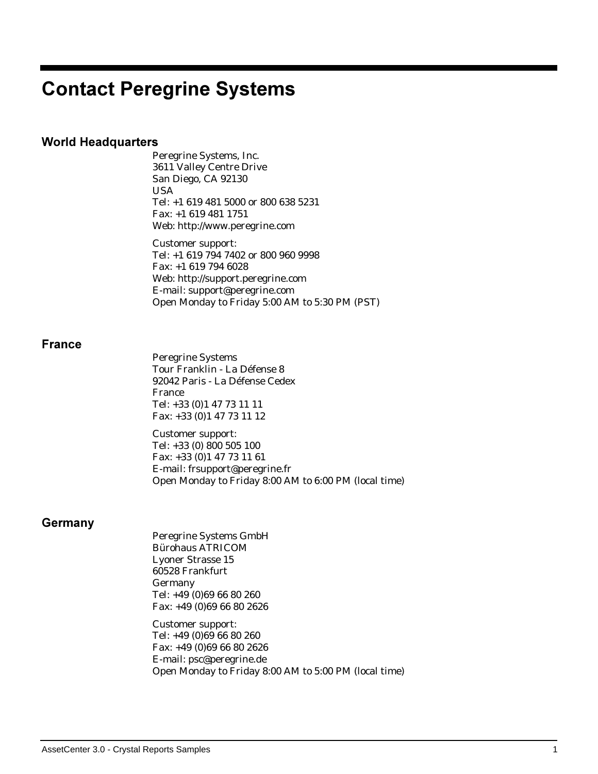### **Contact Peregrine Systems**

#### World Headquarters

Peregrine Systems, Inc. 3611 Valley Centre Drive San Diego, CA 92130 USA Tel: +1 619 481 5000 or 800 638 5231 Fax: +1 619 481 1751 Web: http://www.peregrine.com

Customer support: Tel: +1 619 794 7402 or 800 960 9998 Fax: +1 619 794 6028 Web: http://support.peregrine.com E-mail: support@peregrine.com Open Monday to Friday 5:00 AM to 5:30 PM (PST)

#### France

|         | <b>Peregrine Systems</b>                              |
|---------|-------------------------------------------------------|
|         | Tour Franklin - La Défense 8                          |
|         | 92042 Paris - La Défense Cedex                        |
|         | France                                                |
|         | Tel: +33 (0)1 47 73 11 11                             |
|         | Fax: +33 (0) 1 47 73 11 12                            |
|         | <b>Customer support:</b>                              |
|         | Tel: +33 (0) 800 505 100                              |
|         | Fax: +33 (0)1 47 73 11 61                             |
|         | E-mail: frsupport@peregrine.fr                        |
|         | Open Monday to Friday 8:00 AM to 6:00 PM (local time) |
|         |                                                       |
| Germany |                                                       |
|         | <b>Peregrine Systems GmbH</b>                         |
|         | <b>Bürohaus ATRICOM</b>                               |
|         | <b>Lyoner Strasse 15</b>                              |
|         | 60528 Frankfurt                                       |
|         | Germany                                               |
|         | Tel: +49 (0)69 66 80 260                              |
|         | Fax: +49 (0)69 66 80 2626                             |
|         | Customer support:                                     |
|         | Tel: +49 (0)69 66 80 260                              |
|         | Fax: +49 (0)69 66 80 2626                             |
|         | E-mail: psc@peregrine.de                              |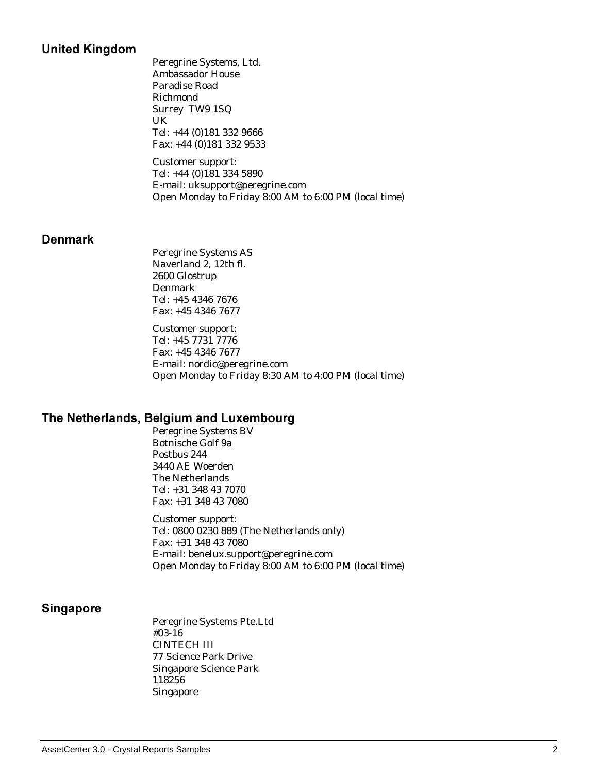#### **United Kingdom**

Peregrine Systems, Ltd. Ambassador House Paradise Road Richmond Surrey TW9 1SQ UK Tel: +44 (0)181 332 9666 Fax: +44 (0)181 332 9533

Customer support: Tel: +44 (0)181 334 5890 E-mail: uksupport@peregrine.com Open Monday to Friday 8:00 AM to 6:00 PM (local time)

#### Denmark

Peregrine Systems AS Naverland 2, 12th fl. 2600 Glostrup Denmark Tel: +45 4346 7676 Fax: +45 4346 7677

Customer support: Tel: +45 7731 7776 Fax: +45 4346 7677 E-mail: nordic@peregrine.com Open Monday to Friday 8:30 AM to 4:00 PM (local time)

#### The Netherlands, Belgium and Luxembourg

Peregrine Systems BV Botnische Golf 9a Postbus 244 3440 AE Woerden The Netherlands Tel: +31 348 43 7070 Fax: +31 348 43 7080

Customer support: Tel: 0800 0230 889 (The Netherlands only) Fax: +31 348 43 7080 E-mail: benelux.support@peregrine.com Open Monday to Friday 8:00 AM to 6:00 PM (local time)

#### Singapore

Peregrine Systems Pte.Ltd #03-16 CINTECH III 77 Science Park Drive Singapore Science Park 118256 Singapore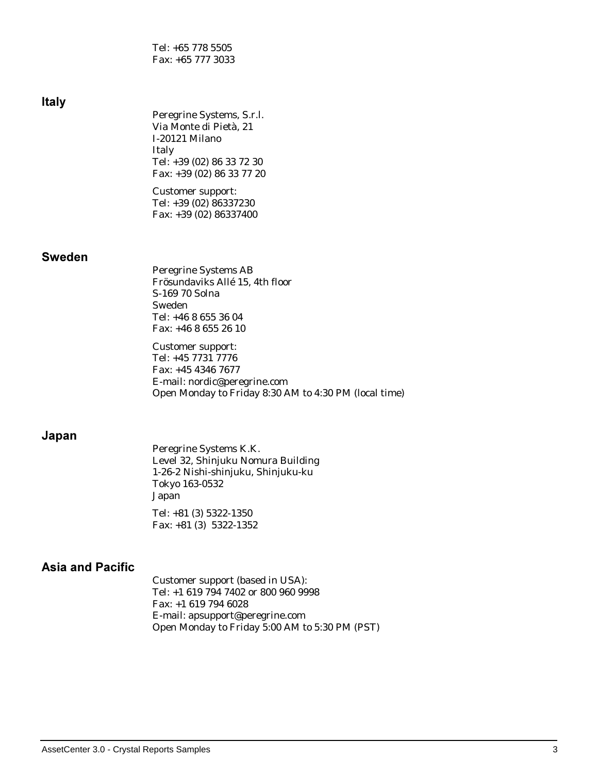Tel: +65 778 5505 Fax: +65 777 3033

| <b>Italy</b>            | Peregrine Systems, S.r.l.<br>Via Monte di Pietà, 21<br>I-20121 Milano<br>Italy<br>Tel: +39 (02) 86 33 72 30<br>Fax: +39 (02) 86 33 77 20<br>Customer support:<br>Tel: +39 (02) 86337230<br>Fax: +39 (02) 86337400                                                                                           |
|-------------------------|-------------------------------------------------------------------------------------------------------------------------------------------------------------------------------------------------------------------------------------------------------------------------------------------------------------|
| <b>Sweden</b>           | <b>Peregrine Systems AB</b><br>Frösundaviks Allé 15, 4th floor<br>S-169 70 Solna<br>Sweden<br>Tel: +46 8 655 36 04<br>Fax: +46 8 655 26 10<br><b>Customer support:</b><br>Tel: +45 7731 7776<br>Fax: +45 4346 7677<br>E-mail: nordic@peregrine.com<br>Open Monday to Friday 8:30 AM to 4:30 PM (local time) |
| Japan                   | Peregrine Systems K.K.<br>Level 32, Shinjuku Nomura Building<br>1-26-2 Nishi-shinjuku, Shinjuku-ku<br>Tokyo 163-0532<br>Japan<br>Tel: +81 (3) 5322-1350<br>Fax: $+81$ (3) 5322-1352                                                                                                                         |
| <b>Asia and Pacific</b> | $\mathbf{A}$ $\mathbf{A}$ $\mathbf{A}$ $\mathbf{A}$<br>$\sim$ $\sim$                                                                                                                                                                                                                                        |

Customer support (based in USA): Tel: +1 619 794 7402 or 800 960 9998 Fax: +1 619 794 6028 E-mail: apsupport@peregrine.com Open Monday to Friday 5:00 AM to 5:30 PM (PST)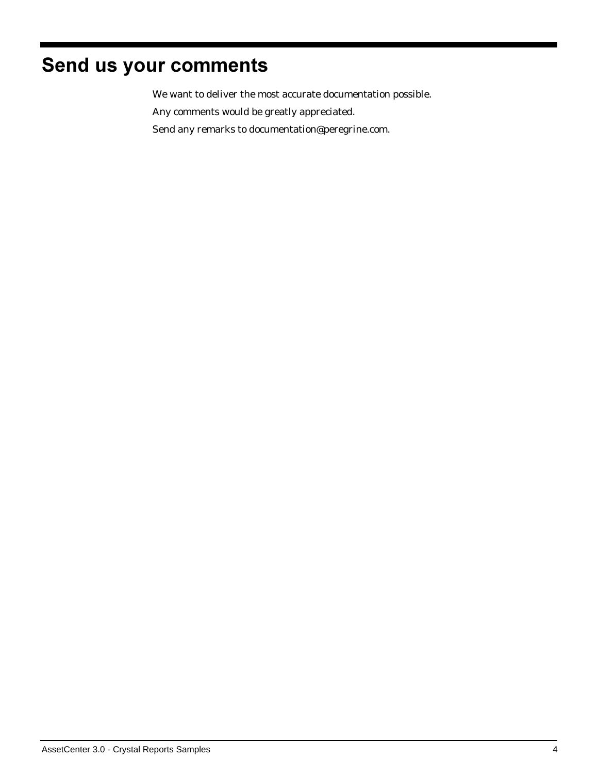### Send us your comments

We want to deliver the most accurate documentation possible.

Any comments would be greatly appreciated.

Send any remarks to documentation@peregrine.com.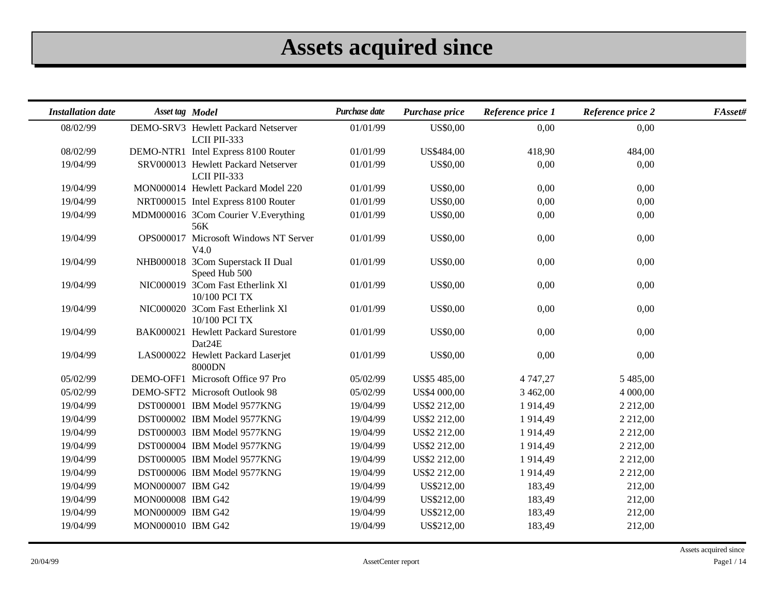# **Assets acquired since**

| <b>Installation date</b> | Asset tag Model   |                                                     | Purchase date | Purchase price      | Reference price 1 | Reference price 2 | FAsset# |
|--------------------------|-------------------|-----------------------------------------------------|---------------|---------------------|-------------------|-------------------|---------|
| 08/02/99                 |                   | DEMO-SRV3 Hewlett Packard Netserver<br>LCII PII-333 | 01/01/99      | <b>US\$0,00</b>     | 0,00              | 0,00              |         |
| 08/02/99                 |                   | DEMO-NTR1 Intel Express 8100 Router                 | 01/01/99      | US\$484,00          | 418,90            | 484,00            |         |
| 19/04/99                 |                   | SRV000013 Hewlett Packard Netserver<br>LCII PII-333 | 01/01/99      | <b>US\$0,00</b>     | 0,00              | 0,00              |         |
| 19/04/99                 |                   | MON000014 Hewlett Packard Model 220                 | 01/01/99      | <b>US\$0,00</b>     | 0,00              | 0,00              |         |
| 19/04/99                 |                   | NRT000015 Intel Express 8100 Router                 | 01/01/99      | <b>US\$0,00</b>     | 0,00              | 0,00              |         |
| 19/04/99                 |                   | MDM000016 3Com Courier V.Everything<br>56K          | 01/01/99      | <b>US\$0,00</b>     | 0,00              | 0,00              |         |
| 19/04/99                 |                   | OPS000017 Microsoft Windows NT Server<br>V4.0       | 01/01/99      | <b>US\$0,00</b>     | 0,00              | 0,00              |         |
| 19/04/99                 |                   | NHB000018 3Com Superstack II Dual<br>Speed Hub 500  | 01/01/99      | <b>US\$0,00</b>     | 0,00              | 0,00              |         |
| 19/04/99                 |                   | NIC000019 3Com Fast Etherlink Xl<br>10/100 PCI TX   | 01/01/99      | <b>US\$0,00</b>     | 0,00              | 0,00              |         |
| 19/04/99                 |                   | NIC000020 3Com Fast Etherlink Xl<br>10/100 PCI TX   | 01/01/99      | <b>US\$0,00</b>     | 0,00              | 0,00              |         |
| 19/04/99                 |                   | BAK000021 Hewlett Packard Surestore<br>Dat24E       | 01/01/99      | <b>US\$0,00</b>     | 0,00              | 0,00              |         |
| 19/04/99                 |                   | LAS000022 Hewlett Packard Laserjet<br>8000DN        | 01/01/99      | <b>US\$0,00</b>     | 0,00              | 0,00              |         |
| 05/02/99                 |                   | DEMO-OFF1 Microsoft Office 97 Pro                   | 05/02/99      | US\$5 485,00        | 4 747,27          | 5 485,00          |         |
| 05/02/99                 |                   | DEMO-SFT2 Microsoft Outlook 98                      | 05/02/99      | US\$4 000,00        | 3 462,00          | 4 000,00          |         |
| 19/04/99                 |                   | DST000001 IBM Model 9577KNG                         | 19/04/99      | US\$2 212,00        | 1914,49           | 2 2 1 2 ,00       |         |
| 19/04/99                 |                   | DST000002 IBM Model 9577KNG                         | 19/04/99      | <b>US\$2 212,00</b> | 1914,49           | 2 2 1 2 ,00       |         |
| 19/04/99                 |                   | DST000003 IBM Model 9577KNG                         | 19/04/99      | US\$2 212,00        | 1914,49           | 2 2 1 2 ,00       |         |
| 19/04/99                 |                   | DST000004 IBM Model 9577KNG                         | 19/04/99      | US\$2 212,00        | 1914,49           | 2 2 1 2 ,00       |         |
| 19/04/99                 |                   | DST000005 IBM Model 9577KNG                         | 19/04/99      | US\$2 212,00        | 1914,49           | 2 2 1 2 ,00       |         |
| 19/04/99                 |                   | DST000006 IBM Model 9577KNG                         | 19/04/99      | US\$2 212,00        | 1914,49           | 2 2 1 2 ,00       |         |
| 19/04/99                 | MON000007 IBM G42 |                                                     | 19/04/99      | US\$212,00          | 183,49            | 212,00            |         |
| 19/04/99                 | MON000008 IBM G42 |                                                     | 19/04/99      | US\$212,00          | 183,49            | 212,00            |         |
| 19/04/99                 | MON000009 IBM G42 |                                                     | 19/04/99      | US\$212,00          | 183,49            | 212,00            |         |
| 19/04/99                 | MON000010 IBM G42 |                                                     | 19/04/99      | US\$212,00          | 183,49            | 212,00            |         |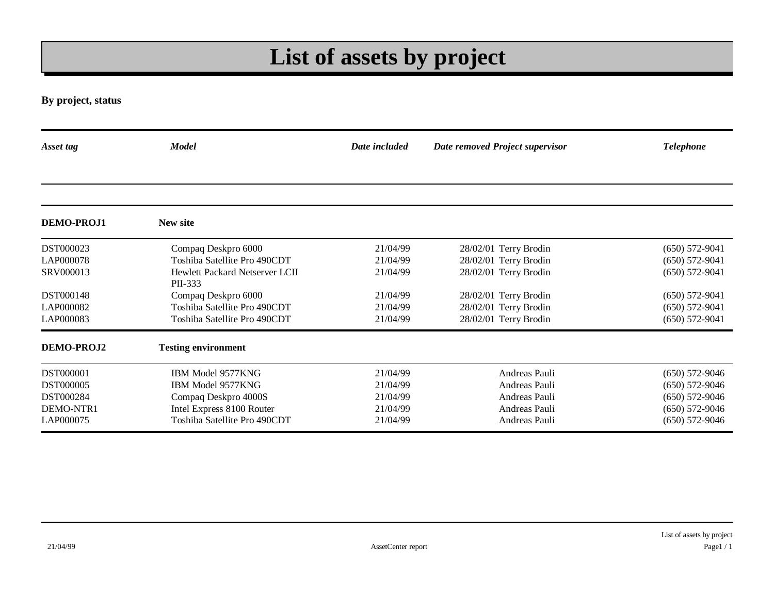# **List of assets by project**

**By project, status**

| Asset tag         | <b>Model</b>                                     | Date included | Date removed Project supervisor | <b>Telephone</b>   |
|-------------------|--------------------------------------------------|---------------|---------------------------------|--------------------|
|                   |                                                  |               |                                 |                    |
| DEMO-PROJ1        | New site                                         |               |                                 |                    |
| DST000023         | Compaq Deskpro 6000                              | 21/04/99      | 28/02/01 Terry Brodin           | $(650) 572 - 9041$ |
| LAP000078         | Toshiba Satellite Pro 490CDT                     | 21/04/99      | 28/02/01 Terry Brodin           | $(650) 572-9041$   |
| SRV000013         | <b>Hewlett Packard Netserver LCII</b><br>PII-333 | 21/04/99      | 28/02/01 Terry Brodin           | $(650) 572-9041$   |
| <b>DST000148</b>  | Compaq Deskpro 6000                              | 21/04/99      | 28/02/01 Terry Brodin           | $(650) 572-9041$   |
| LAP000082         | Toshiba Satellite Pro 490CDT                     | 21/04/99      | 28/02/01 Terry Brodin           | $(650) 572-9041$   |
| LAP000083         | Toshiba Satellite Pro 490CDT                     | 21/04/99      | 28/02/01 Terry Brodin           | $(650) 572-9041$   |
| <b>DEMO-PROJ2</b> | <b>Testing environment</b>                       |               |                                 |                    |
| <b>DST000001</b>  | IBM Model 9577KNG                                | 21/04/99      | Andreas Pauli                   | $(650)$ 572-9046   |
| <b>DST000005</b>  | IBM Model 9577KNG                                | 21/04/99      | Andreas Pauli                   | $(650)$ 572-9046   |
| DST000284         | Compaq Deskpro 4000S                             | 21/04/99      | Andreas Pauli                   | $(650) 572-9046$   |
| DEMO-NTR1         | Intel Express 8100 Router                        | 21/04/99      | Andreas Pauli                   | $(650) 572-9046$   |
| LAP000075         | Toshiba Satellite Pro 490CDT                     | 21/04/99      | Andreas Pauli                   | $(650) 572-9046$   |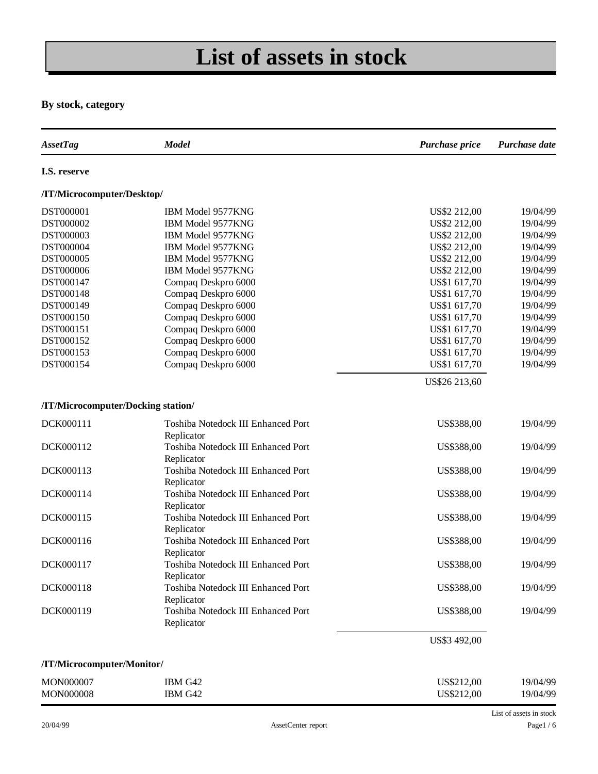# **List of assets in stock**

#### **By stock, category**

| <b>AssetTag</b>                    | <b>Model</b>                       | Purchase price | Purchase date           |
|------------------------------------|------------------------------------|----------------|-------------------------|
| I.S. reserve                       |                                    |                |                         |
| /IT/Microcomputer/Desktop/         |                                    |                |                         |
| DST000001                          | IBM Model 9577KNG                  | US\$2 212,00   | 19/04/99                |
| DST000002                          | IBM Model 9577KNG                  | US\$2 212,00   | 19/04/99                |
| DST000003                          | IBM Model 9577KNG                  | US\$2 212,00   | 19/04/99                |
| DST000004                          | IBM Model 9577KNG                  | US\$2 212,00   | 19/04/99                |
| DST000005                          | IBM Model 9577KNG                  | US\$2 212,00   | 19/04/99                |
| DST000006                          | IBM Model 9577KNG                  | US\$2 212,00   | 19/04/99                |
| DST000147                          | Compaq Deskpro 6000                | US\$1 617,70   | 19/04/99                |
| DST000148                          | Compaq Deskpro 6000                | US\$1 617,70   | 19/04/99                |
| DST000149                          | Compaq Deskpro 6000                | US\$1 617,70   | 19/04/99                |
| DST000150                          | Compaq Deskpro 6000                | US\$1 617,70   | 19/04/99                |
| DST000151                          | Compaq Deskpro 6000                | US\$1 617,70   | 19/04/99                |
| DST000152                          | Compaq Deskpro 6000                | US\$1 617,70   | 19/04/99                |
| DST000153                          | Compaq Deskpro 6000                | US\$1 617,70   | 19/04/99                |
| DST000154                          | Compaq Deskpro 6000                | US\$1 617,70   | 19/04/99                |
|                                    |                                    | US\$26 213,60  |                         |
|                                    |                                    |                |                         |
| /IT/Microcomputer/Docking station/ |                                    |                |                         |
| DCK000111                          | Toshiba Notedock III Enhanced Port | US\$388,00     | 19/04/99                |
|                                    | Replicator                         |                |                         |
| DCK000112                          | Toshiba Notedock III Enhanced Port | US\$388,00     | 19/04/99                |
|                                    | Replicator                         |                |                         |
| DCK000113                          | Toshiba Notedock III Enhanced Port | US\$388,00     | 19/04/99                |
|                                    | Replicator                         |                |                         |
| DCK000114                          | Toshiba Notedock III Enhanced Port | US\$388,00     | 19/04/99                |
|                                    | Replicator                         |                |                         |
| DCK000115                          | Toshiba Notedock III Enhanced Port | US\$388,00     | 19/04/99                |
|                                    | Replicator                         |                |                         |
| DCK000116                          | Toshiba Notedock III Enhanced Port | US\$388,00     | 19/04/99                |
|                                    | Replicator                         |                |                         |
| DCK000117                          | Toshiba Notedock III Enhanced Port | US\$388,00     | 19/04/99                |
|                                    | Replicator                         |                |                         |
| DCK000118                          | Toshiba Notedock III Enhanced Port | US\$388,00     | 19/04/99                |
|                                    | Replicator                         |                |                         |
| DCK000119                          | Toshiba Notedock III Enhanced Port | US\$388,00     | 19/04/99                |
|                                    | Replicator                         |                |                         |
|                                    |                                    | US\$3 492,00   |                         |
| /IT/Microcomputer/Monitor/         |                                    |                |                         |
|                                    |                                    |                |                         |
| MON000007                          | IBM G42                            | US\$212,00     | 19/04/99                |
| MON000008                          | IBM G42                            | US\$212,00     | 19/04/99                |
|                                    |                                    |                | List of assets in stock |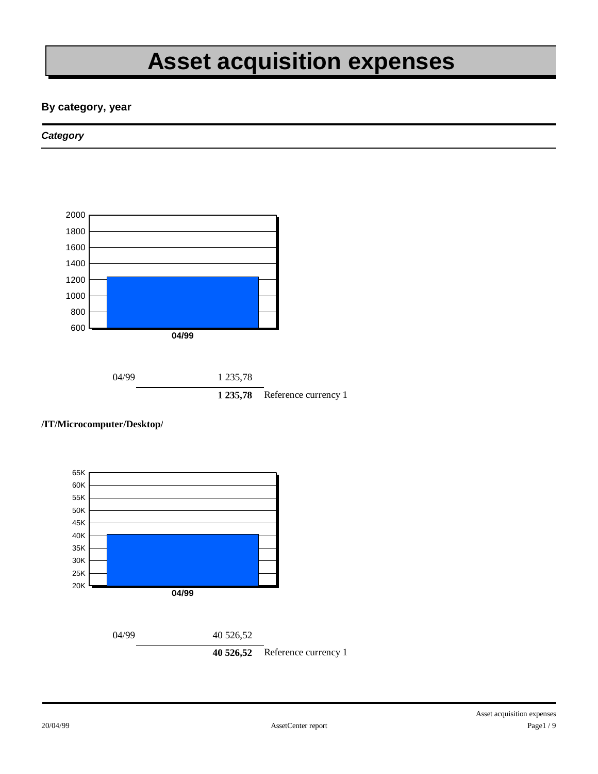# **Asset acquisition expenses**

#### **By category, year**

#### *Category*



#### **/IT/Microcomputer/Desktop/**

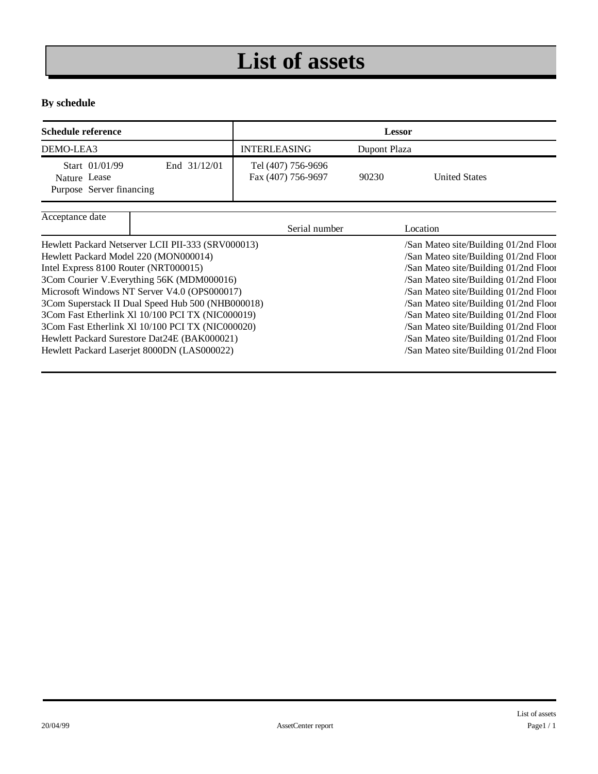# **List of assets**

#### **By schedule**

| <b>Schedule reference</b>                                                  |  | <b>Lessor</b>                            |                               |          |
|----------------------------------------------------------------------------|--|------------------------------------------|-------------------------------|----------|
| DEMO-LEA3                                                                  |  | <b>INTERLEASING</b>                      | Dupont Plaza                  |          |
| Start 01/01/99<br>End 31/12/01<br>Nature Lease<br>Purpose Server financing |  | Tel (407) 756-9696<br>Fax (407) 756-9697 | <b>United States</b><br>90230 |          |
| Acceptance date                                                            |  | Serial number                            |                               | Location |

|                                                    | Serial number | Location                              |
|----------------------------------------------------|---------------|---------------------------------------|
| Hewlett Packard Netserver LCII PII-333 (SRV000013) |               | /San Mateo site/Building 01/2nd Floor |
| Hewlett Packard Model 220 (MON000014)              |               | /San Mateo site/Building 01/2nd Floor |
| Intel Express 8100 Router (NRT000015)              |               | /San Mateo site/Building 01/2nd Floor |
| 3Com Courier V. Everything 56K (MDM000016)         |               | /San Mateo site/Building 01/2nd Floor |
| Microsoft Windows NT Server V4.0 (OPS000017)       |               | /San Mateo site/Building 01/2nd Floor |
| 3Com Superstack II Dual Speed Hub 500 (NHB000018)  |               | /San Mateo site/Building 01/2nd Floor |
| 3Com Fast Etherlink Xl 10/100 PCI TX (NIC000019)   |               | /San Mateo site/Building 01/2nd Floor |
| 3Com Fast Etherlink Xl 10/100 PCI TX (NIC000020)   |               | /San Mateo site/Building 01/2nd Floor |
| Hewlett Packard Surestore Dat24E (BAK000021)       |               | /San Mateo site/Building 01/2nd Floor |
| Hewlett Packard Laserjet 8000DN (LAS000022)        |               | /San Mateo site/Building 01/2nd Floor |
|                                                    |               |                                       |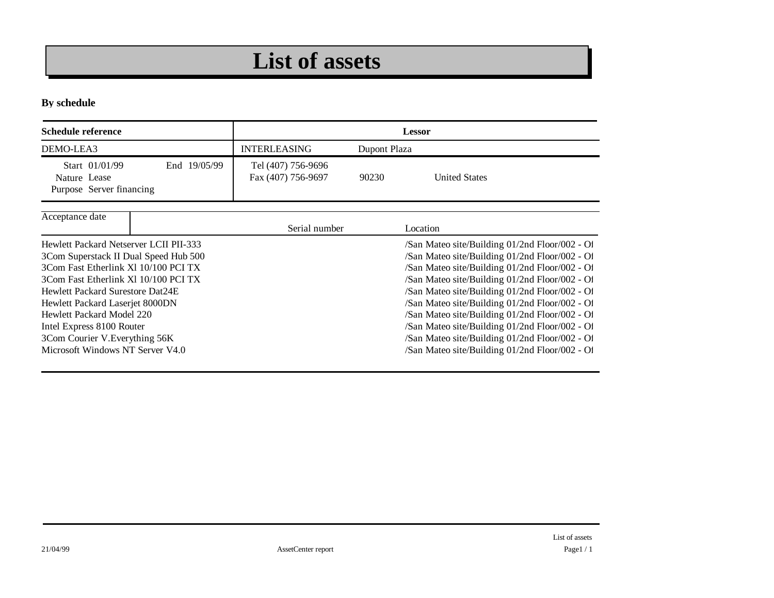### **List of assets**

**By schedule**

| Schedule reference                                                                                                                                                                                                                                                                                                                                                            | <b>Lessor</b>                            |              |                                                                                                                                                                                                                                                                                                                                                                                                                                                                                                                  |  |
|-------------------------------------------------------------------------------------------------------------------------------------------------------------------------------------------------------------------------------------------------------------------------------------------------------------------------------------------------------------------------------|------------------------------------------|--------------|------------------------------------------------------------------------------------------------------------------------------------------------------------------------------------------------------------------------------------------------------------------------------------------------------------------------------------------------------------------------------------------------------------------------------------------------------------------------------------------------------------------|--|
| DEMO-LEA3                                                                                                                                                                                                                                                                                                                                                                     | <b>INTERLEASING</b>                      | Dupont Plaza |                                                                                                                                                                                                                                                                                                                                                                                                                                                                                                                  |  |
| Start 01/01/99<br>End 19/05/99<br>Nature Lease<br>Purpose Server financing                                                                                                                                                                                                                                                                                                    | Tel (407) 756-9696<br>Fax (407) 756-9697 | 90230        | <b>United States</b>                                                                                                                                                                                                                                                                                                                                                                                                                                                                                             |  |
| Acceptance date                                                                                                                                                                                                                                                                                                                                                               | Serial number                            |              | Location                                                                                                                                                                                                                                                                                                                                                                                                                                                                                                         |  |
| Hewlett Packard Netserver LCII PIL-333<br>3Com Superstack II Dual Speed Hub 500<br>3Com Fast Etherlink X1 10/100 PCI TX<br>3Com Fast Etherlink XI 10/100 PCI TX<br><b>Hewlett Packard Surestore Dat24E</b><br>Hewlett Packard Laserjet 8000DN<br>Hewlett Packard Model 220<br>Intel Express 8100 Router<br>3Com Courier V. Everything 56K<br>Microsoft Windows NT Server V4.0 |                                          |              | /San Mateo site/Building 01/2nd Floor/002 - Of<br>/San Mateo site/Building 01/2nd Floor/002 - Of<br>/San Mateo site/Building 01/2nd Floor/002 - Of<br>/San Mateo site/Building 01/2nd Floor/002 - Of<br>/San Mateo site/Building 01/2nd Floor/002 - Of<br>/San Mateo site/Building 01/2nd Floor/002 - Of<br>/San Mateo site/Building 01/2nd Floor/002 - Of<br>/San Mateo site/Building 01/2nd Floor/002 - Of<br>/San Mateo site/Building 01/2nd Floor/002 - Of<br>/San Mateo site/Building 01/2nd Floor/002 - Of |  |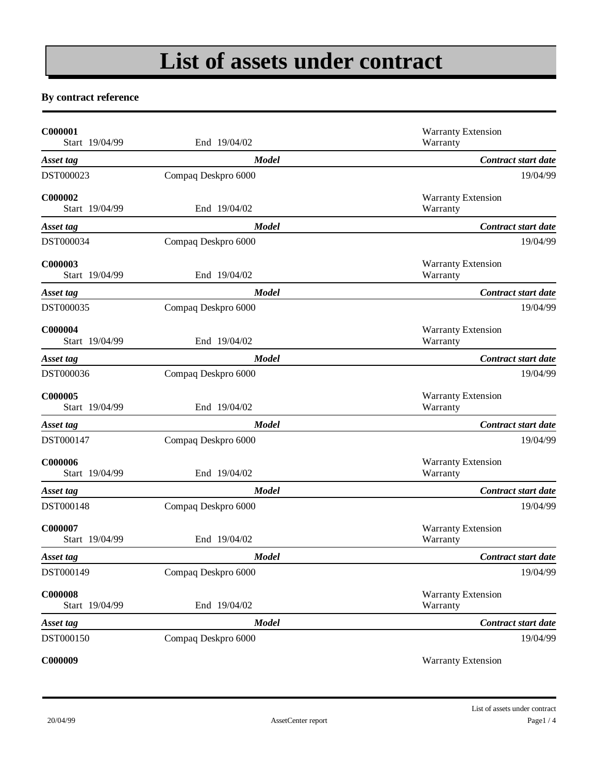# **List of assets under contract**

#### **By contract reference**

| C000001<br>Start 19/04/99        | End 19/04/02        | <b>Warranty Extension</b><br>Warranty |
|----------------------------------|---------------------|---------------------------------------|
| Asset tag                        | <b>Model</b>        | Contract start date                   |
| DST000023                        | Compaq Deskpro 6000 | 19/04/99                              |
| C000002<br>Start 19/04/99        | End 19/04/02        | <b>Warranty Extension</b><br>Warranty |
| Asset tag                        | <b>Model</b>        | Contract start date                   |
| DST000034                        | Compaq Deskpro 6000 | 19/04/99                              |
| C000003<br>Start 19/04/99        | End 19/04/02        | <b>Warranty Extension</b><br>Warranty |
| Asset tag                        | <b>Model</b>        | Contract start date                   |
| DST000035                        | Compaq Deskpro 6000 | 19/04/99                              |
| C000004<br>Start 19/04/99        | End 19/04/02        | <b>Warranty Extension</b><br>Warranty |
| Asset tag                        | <b>Model</b>        | Contract start date                   |
| DST000036                        | Compaq Deskpro 6000 | 19/04/99                              |
| C000005<br>Start 19/04/99        | End 19/04/02        | <b>Warranty Extension</b><br>Warranty |
| Asset tag                        | <b>Model</b>        | Contract start date                   |
| DST000147                        | Compaq Deskpro 6000 | 19/04/99                              |
| C000006<br>Start 19/04/99        | End 19/04/02        | <b>Warranty Extension</b><br>Warranty |
| Asset tag                        | <b>Model</b>        | Contract start date                   |
| DST000148                        | Compaq Deskpro 6000 | 19/04/99                              |
| C000007<br>Start 19/04/99        | End 19/04/02        | <b>Warranty Extension</b><br>Warranty |
| Asset tag                        | <b>Model</b>        | Contract start date                   |
| DST000149                        | Compaq Deskpro 6000 | 19/04/99                              |
| <b>C000008</b><br>Start 19/04/99 | End 19/04/02        | <b>Warranty Extension</b><br>Warranty |
| Asset tag                        | <b>Model</b>        | Contract start date                   |
| DST000150                        | Compaq Deskpro 6000 | 19/04/99                              |
| C000009                          |                     | <b>Warranty Extension</b>             |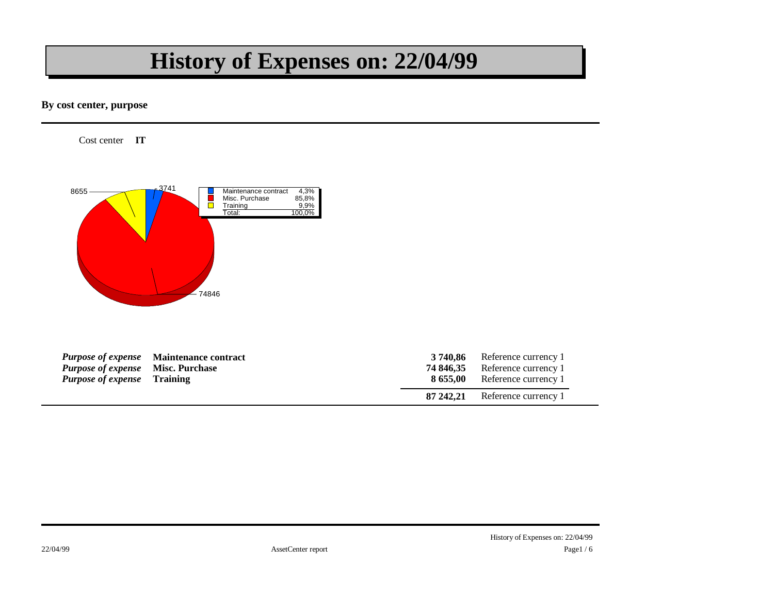### **History of Expenses on: 22/04/99**

#### **By cost center, purpose**

Cost center **IT** 



| <b>Purpose of expense</b> Misc. Purchase<br><i>Purpose of expense</i> Training | <b>Purpose of expense</b> Maintenance contract | 3 740.86<br>74 846.35 | Reference currency 1<br>Reference currency 1<br>8 655,00 Reference currency 1 |
|--------------------------------------------------------------------------------|------------------------------------------------|-----------------------|-------------------------------------------------------------------------------|
|                                                                                |                                                |                       | 87 242,21 Reference currency 1                                                |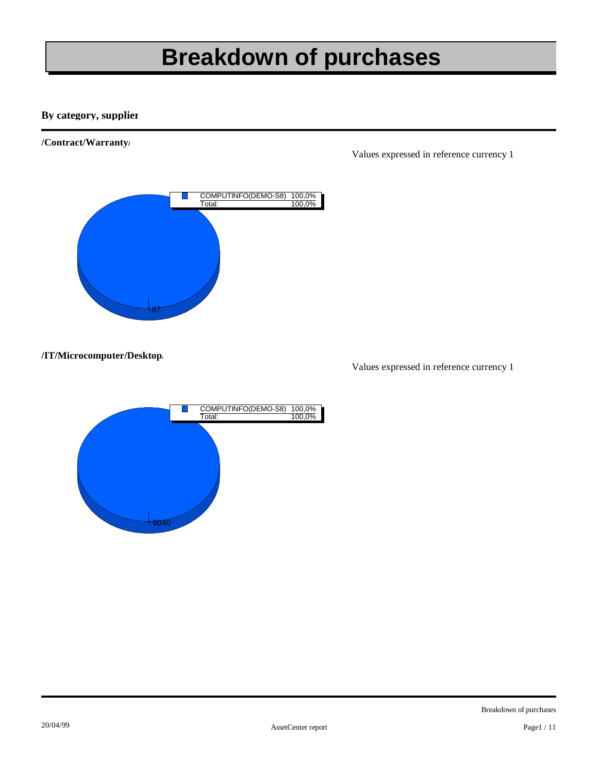# **Breakdown of purchases**

#### **By category, supplier**

#### **/Contract/Warranty/**



Values expressed in reference currency 1

#### **/IT/Microcomputer/Desktop/**

Values expressed in reference currency 1

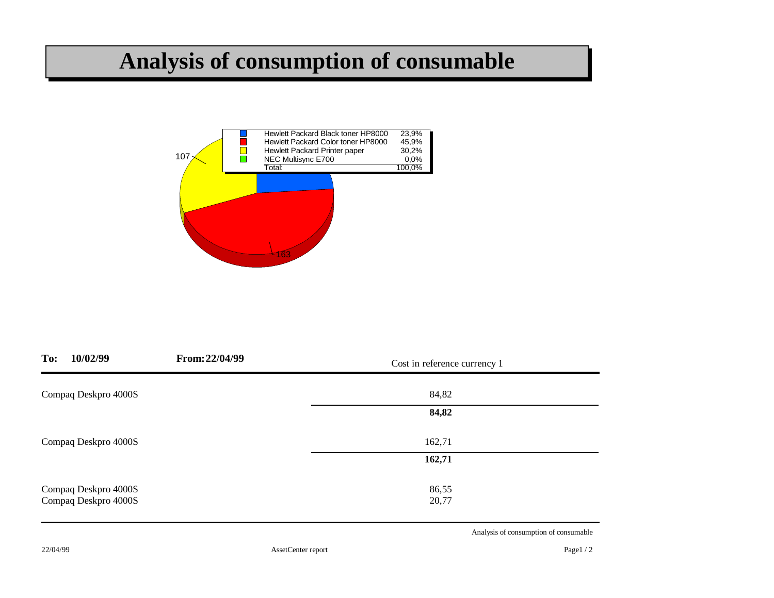### **Analysis of consumption of consumable**



| To:<br>10/02/99      | From: 22/04/99 | Cost in reference currency 1 |  |
|----------------------|----------------|------------------------------|--|
| Compaq Deskpro 4000S |                | 84,82                        |  |
|                      |                | 84,82                        |  |
| Compaq Deskpro 4000S |                | 162,71                       |  |
|                      |                | 162,71                       |  |
| Compaq Deskpro 4000S |                | 86,55                        |  |
| Compaq Deskpro 4000S |                | 20,77                        |  |

Analysis of consumption of consumable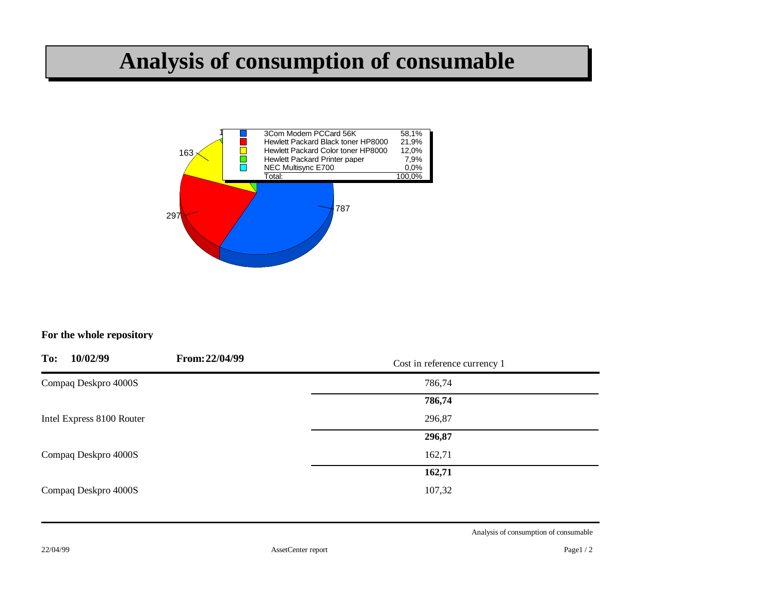### **Analysis of consumption of consumable**



#### **For the whole repository**

| To: | 10/02/99                  | From: 22/04/99 | Cost in reference currency 1 |  |
|-----|---------------------------|----------------|------------------------------|--|
|     | Compaq Deskpro 4000S      |                | 786,74                       |  |
|     |                           |                | 786,74                       |  |
|     | Intel Express 8100 Router |                | 296,87                       |  |
|     |                           |                | 296,87                       |  |
|     | Compaq Deskpro 4000S      |                | 162,71                       |  |
|     |                           |                | 162,71                       |  |
|     | Compaq Deskpro 4000S      |                | 107,32                       |  |
|     |                           |                |                              |  |

Analysis of consumption of consumable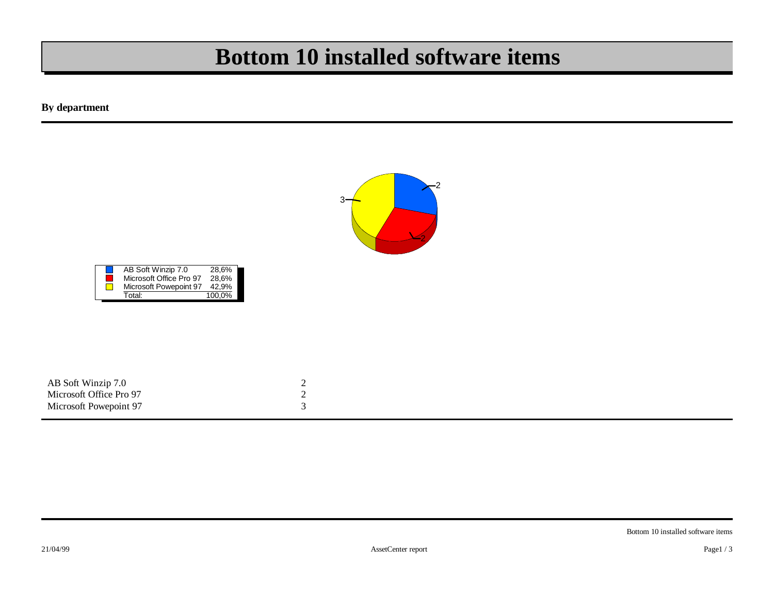### **Bottom 10 installed software items**

**By department**



| AB Soft Winzip 7.0      |  |
|-------------------------|--|
| Microsoft Office Pro 97 |  |
| Microsoft Powepoint 97  |  |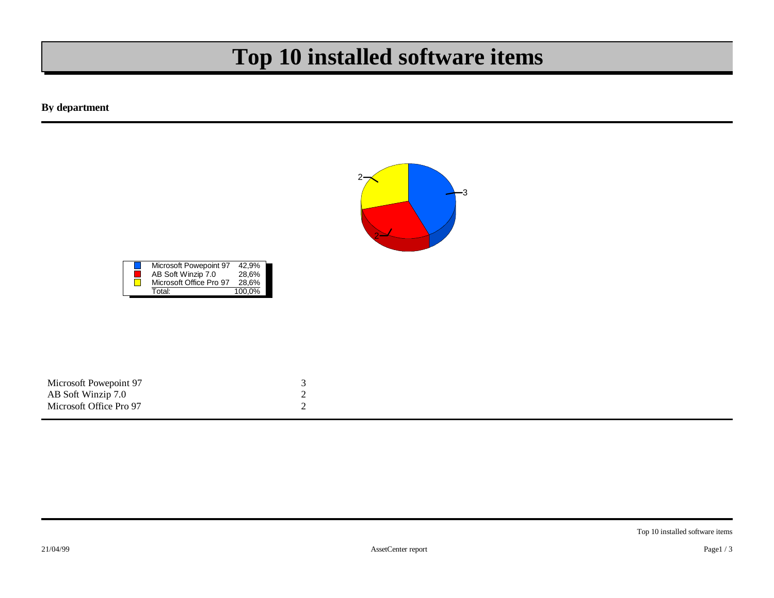### **Top 10 installed software items**

**By department**



| Microsoft Powepoint 97  | 42.9%  |
|-------------------------|--------|
| AB Soft Winzip 7.0      | 28.6%  |
| Microsoft Office Pro 97 | 28.6%  |
| Total:                  | 100.0% |

| Microsoft Powepoint 97  |  |
|-------------------------|--|
| AB Soft Winzip 7.0      |  |
| Microsoft Office Pro 97 |  |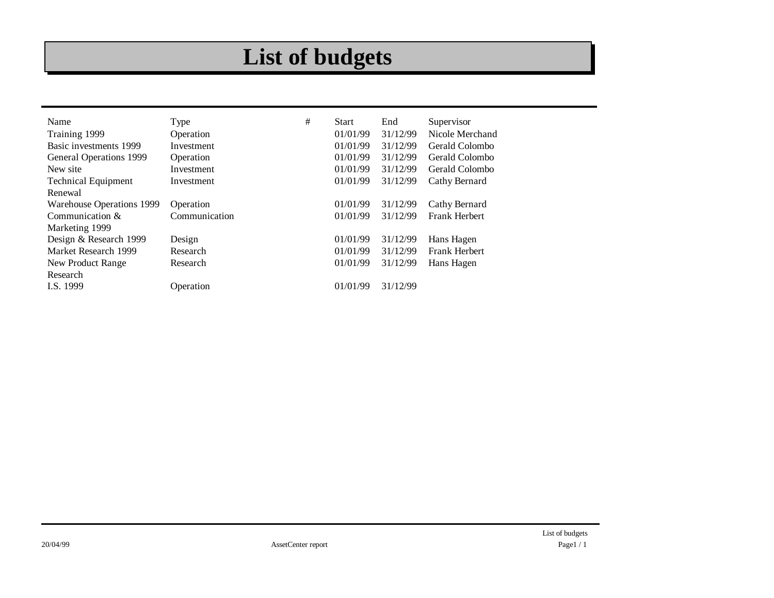# **List of budgets**

| Name                       | Type          | # | <b>Start</b> | End      | Supervisor           |
|----------------------------|---------------|---|--------------|----------|----------------------|
| Training 1999              | Operation     |   | 01/01/99     | 31/12/99 | Nicole Merchand      |
| Basic investments 1999     | Investment    |   | 01/01/99     | 31/12/99 | Gerald Colombo       |
| General Operations 1999    | Operation     |   | 01/01/99     | 31/12/99 | Gerald Colombo       |
| New site                   | Investment    |   | 01/01/99     | 31/12/99 | Gerald Colombo       |
| <b>Technical Equipment</b> | Investment    |   | 01/01/99     | 31/12/99 | Cathy Bernard        |
| Renewal                    |               |   |              |          |                      |
| Warehouse Operations 1999  | Operation     |   | 01/01/99     | 31/12/99 | Cathy Bernard        |
| Communication $&$          | Communication |   | 01/01/99     | 31/12/99 | <b>Frank Herbert</b> |
| Marketing 1999             |               |   |              |          |                      |
| Design & Research 1999     | Design        |   | 01/01/99     | 31/12/99 | Hans Hagen           |
| Market Research 1999       | Research      |   | 01/01/99     | 31/12/99 | <b>Frank Herbert</b> |
| New Product Range          | Research      |   | 01/01/99     | 31/12/99 | Hans Hagen           |
| Research                   |               |   |              |          |                      |
| I.S. 1999                  | Operation     |   | 01/01/99     | 31/12/99 |                      |
|                            |               |   |              |          |                      |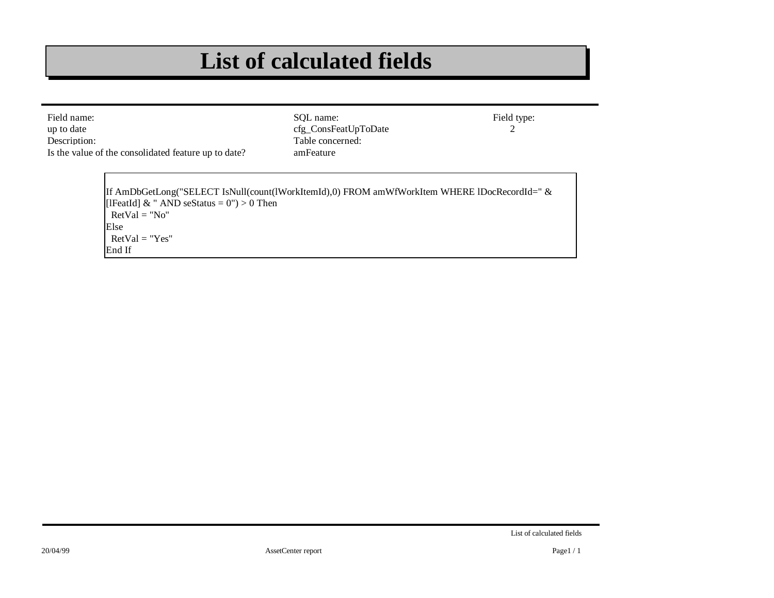### **List of calculated fields**

| Field name:<br>up to date<br>Description:<br>Is the value of the consolidated feature up to date?                                                                                                      | SOL name:<br>cfg_ConsFeatUpToDate<br>Table concerned:<br>amFeature | Field type: |
|--------------------------------------------------------------------------------------------------------------------------------------------------------------------------------------------------------|--------------------------------------------------------------------|-------------|
| [If AmDbGetLong("SELECT IsNull(count(lWorkItemId),0) FROM amWfWorkItem WHERE IDocRecordId=" &<br>[IFeatId] & " AND seStatus = $0$ ") > 0 Then<br>$RetVal = "No"$<br>Else<br>$RetVal = "Yes"$<br>End If |                                                                    |             |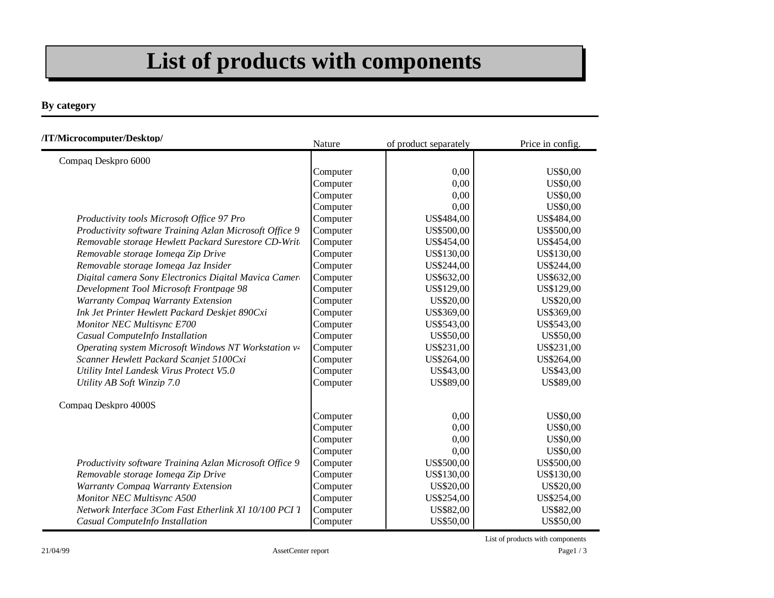# **List of products with components**

#### **By category**

| /IT/Microcomputer/Desktop/                              | Nature   | of product separately | Price in config. |
|---------------------------------------------------------|----------|-----------------------|------------------|
| Compaq Deskpro 6000                                     |          |                       |                  |
|                                                         | Computer | 0,00                  | <b>US\$0,00</b>  |
|                                                         | Computer | 0,00                  | <b>US\$0,00</b>  |
|                                                         | Computer | 0,00                  | <b>US\$0,00</b>  |
|                                                         | Computer | 0,00                  | <b>US\$0,00</b>  |
| Productivity tools Microsoft Office 97 Pro              | Computer | US\$484,00            | US\$484,00       |
| Productivity software Training Azlan Microsoft Office 9 | Computer | US\$500,00            | US\$500,00       |
| Removable storage Hewlett Packard Surestore CD-Write    | Computer | US\$454,00            | US\$454,00       |
| Removable storage Iomega Zip Drive                      | Computer | US\$130,00            | US\$130,00       |
| Removable storage Iomega Jaz Insider                    | Computer | US\$244,00            | US\$244,00       |
| Digital camera Sony Electronics Digital Mavica Camera   | Computer | US\$632,00            | US\$632,00       |
| Development Tool Microsoft Frontpage 98                 | Computer | US\$129,00            | US\$129,00       |
| Warranty Compaq Warranty Extension                      | Computer | US\$20,00             | US\$20,00        |
| Ink Jet Printer Hewlett Packard Deskjet 890Cxi          | Computer | US\$369,00            | US\$369,00       |
| Monitor NEC Multisync E700                              | Computer | US\$543,00            | US\$543,00       |
| Casual ComputeInfo Installation                         | Computer | US\$50,00             | US\$50,00        |
| Operating system Microsoft Windows NT Workstation v-    | Computer | US\$231,00            | US\$231,00       |
| Scanner Hewlett Packard Scanjet 5100Cxi                 | Computer | US\$264,00            | US\$264,00       |
| Utility Intel Landesk Virus Protect V5.0                | Computer | US\$43,00             | US\$43,00        |
| Utility AB Soft Winzip 7.0                              | Computer | US\$89,00             | US\$89,00        |
| Compaq Deskpro 4000S                                    |          |                       |                  |
|                                                         | Computer | 0,00                  | <b>US\$0,00</b>  |
|                                                         | Computer | 0,00                  | <b>US\$0,00</b>  |
|                                                         | Computer | 0,00                  | <b>US\$0,00</b>  |
|                                                         | Computer | 0,00                  | <b>US\$0,00</b>  |
| Productivity software Training Azlan Microsoft Office 9 | Computer | US\$500,00            | US\$500,00       |
| Removable storage Iomega Zip Drive                      | Computer | US\$130,00            | US\$130,00       |
| <b>Warranty Compaq Warranty Extension</b>               | Computer | US\$20,00             | US\$20,00        |
| <b>Monitor NEC Multisync A500</b>                       | Computer | US\$254,00            | US\$254,00       |
| Network Interface 3Com Fast Etherlink Xl 10/100 PCI 1   | Computer | US\$82,00             | US\$82,00        |
| Casual ComputeInfo Installation                         | Computer | US\$50,00             | US\$50,00        |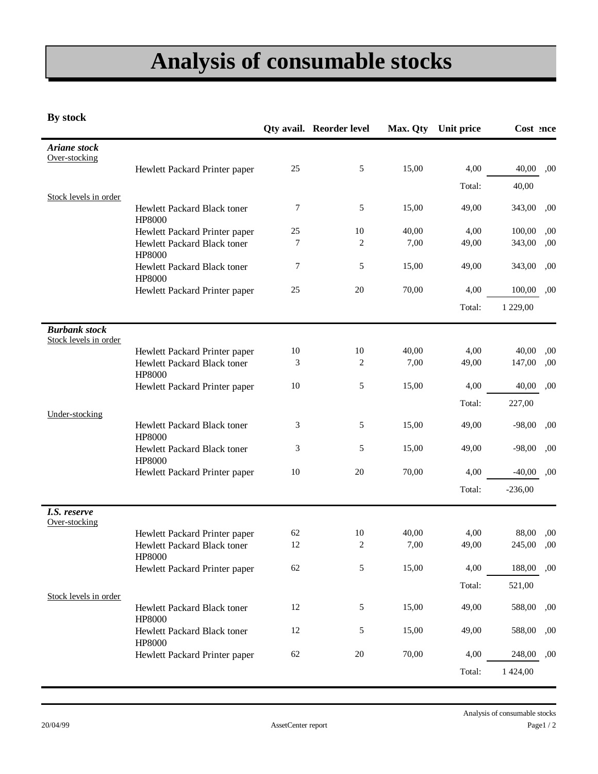# **Analysis of consumable stocks**

**By stock**

|                                               |                                       |    | <b>Qty avail. Reorder level</b> | Max. Qty | Unit price | Cost ence |     |
|-----------------------------------------------|---------------------------------------|----|---------------------------------|----------|------------|-----------|-----|
| <b>Ariane</b> stock<br>Over-stocking          |                                       |    |                                 |          |            |           |     |
|                                               | Hewlett Packard Printer paper         | 25 | 5                               | 15,00    | 4,00       | 40,00     | ,00 |
|                                               |                                       |    |                                 |          | Total:     | 40,00     |     |
| Stock levels in order                         | Hewlett Packard Black toner<br>HP8000 | 7  | 5                               | 15,00    | 49,00      | 343,00    | ,00 |
|                                               | Hewlett Packard Printer paper         | 25 | 10                              | 40,00    | 4,00       | 100,00    | ,00 |
|                                               | Hewlett Packard Black toner<br>HP8000 | 7  | $\overline{c}$                  | 7,00     | 49,00      | 343,00    | ,00 |
|                                               | Hewlett Packard Black toner<br>HP8000 | 7  | 5                               | 15,00    | 49,00      | 343,00    | ,00 |
|                                               | Hewlett Packard Printer paper         | 25 | 20                              | 70,00    | 4,00       | 100,00    | ,00 |
|                                               |                                       |    |                                 |          | Total:     | 1 229,00  |     |
| <b>Burbank stock</b><br>Stock levels in order |                                       |    |                                 |          |            |           |     |
|                                               | Hewlett Packard Printer paper         | 10 | $10\,$                          | 40,00    | 4,00       | 40,00     | ,00 |
|                                               | Hewlett Packard Black toner<br>HP8000 | 3  | $\overline{c}$                  | 7,00     | 49,00      | 147,00    | ,00 |
|                                               | Hewlett Packard Printer paper         | 10 | 5                               | 15,00    | 4,00       | 40,00     | ,00 |
| Under-stocking                                |                                       |    |                                 |          | Total:     | 227,00    |     |
|                                               | Hewlett Packard Black toner<br>HP8000 | 3  | 5                               | 15,00    | 49,00      | $-98,00$  | ,00 |
|                                               | Hewlett Packard Black toner<br>HP8000 | 3  | 5                               | 15,00    | 49,00      | $-98,00$  | ,00 |
|                                               | Hewlett Packard Printer paper         | 10 | 20                              | 70,00    | 4,00       | $-40,00$  | ,00 |
|                                               |                                       |    |                                 |          | Total:     | $-236,00$ |     |
| I.S. reserve<br>Over-stocking                 |                                       |    |                                 |          |            |           |     |
|                                               | Hewlett Packard Printer paper         | 62 | 10                              | 40,00    | 4,00       | 88,00     | ,00 |
|                                               | Hewlett Packard Black toner<br>HP8000 | 12 | $\overline{c}$                  | 7,00     | 49,00      | 245,00    | ,00 |
|                                               | Hewlett Packard Printer paper         | 62 | 5                               | 15,00    | 4,00       | 188,00    | ,00 |
| Stock levels in order                         |                                       |    |                                 |          | Total:     | 521,00    |     |
|                                               | Hewlett Packard Black toner<br>HP8000 | 12 | 5                               | 15,00    | 49,00      | 588,00    | ,00 |
|                                               | Hewlett Packard Black toner<br>HP8000 | 12 | 5                               | 15,00    | 49,00      | 588,00    | ,00 |
|                                               | Hewlett Packard Printer paper         | 62 | $20\,$                          | 70,00    | 4,00       | 248,00    | ,00 |
|                                               |                                       |    |                                 |          | Total:     | 1 424,00  |     |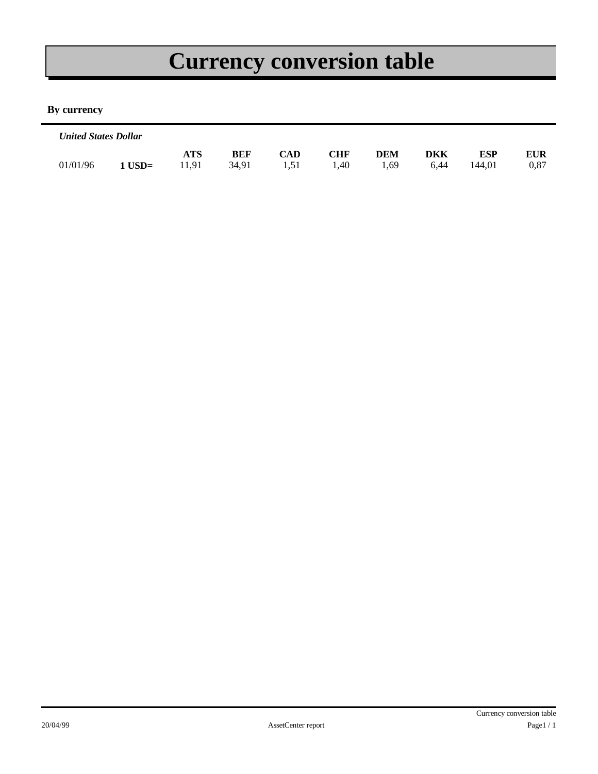# **Currency conversion table**

#### **By currency**

| <b>United States Dollar</b> |          |              |                     |                    |                    |                    |                    |               |                    |
|-----------------------------|----------|--------------|---------------------|--------------------|--------------------|--------------------|--------------------|---------------|--------------------|
| 01/01/96                    | $1$ USD= | ATS<br>11.91 | <b>BEF</b><br>34.91 | <b>CAD</b><br>1.51 | <b>CHF</b><br>1.40 | <b>DEM</b><br>1.69 | <b>DKK</b><br>6.44 | ESP<br>144.01 | <b>EUR</b><br>0.87 |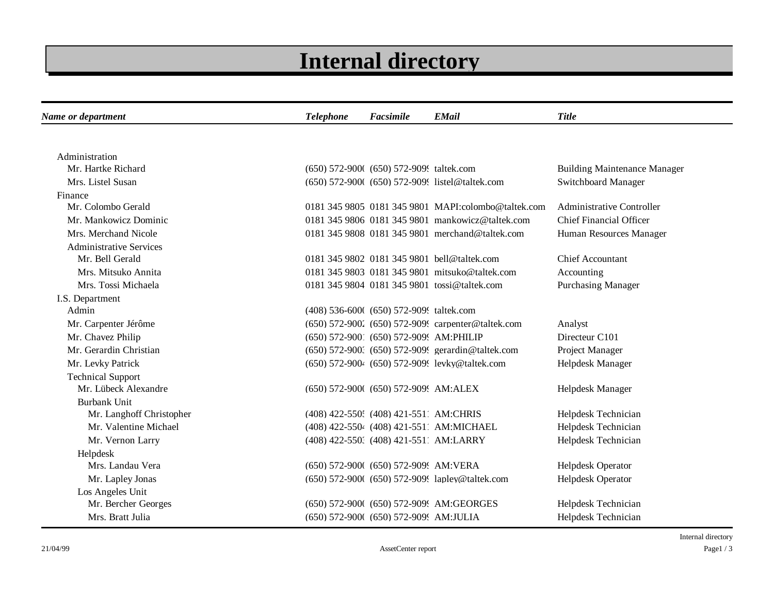# **Internal directory**

| Name or department             | <b>Telephone</b> | Facsimile                                | <b>EMail</b>                                        | <b>Title</b>                        |  |  |
|--------------------------------|------------------|------------------------------------------|-----------------------------------------------------|-------------------------------------|--|--|
|                                |                  |                                          |                                                     |                                     |  |  |
| Administration                 |                  |                                          |                                                     |                                     |  |  |
| Mr. Hartke Richard             |                  | (650) 572-900( (650) 572-9099 taltek.com |                                                     | <b>Building Maintenance Manager</b> |  |  |
| Mrs. Listel Susan              |                  |                                          | (650) 572-900( (650) 572-909! listel@taltek.com     | Switchboard Manager                 |  |  |
| Finance                        |                  |                                          |                                                     |                                     |  |  |
| Mr. Colombo Gerald             |                  |                                          | 0181 345 9805 0181 345 9801 MAPI:colombo@taltek.com | <b>Administrative Controller</b>    |  |  |
| Mr. Mankowicz Dominic          |                  |                                          | 0181 345 9806 0181 345 9801 mankowicz@taltek.com    | <b>Chief Financial Officer</b>      |  |  |
| Mrs. Merchand Nicole           |                  |                                          | 0181 345 9808 0181 345 9801 merchand@taltek.com     | Human Resources Manager             |  |  |
| <b>Administrative Services</b> |                  |                                          |                                                     |                                     |  |  |
| Mr. Bell Gerald                |                  |                                          | 0181 345 9802 0181 345 9801 bell@taltek.com         | <b>Chief Accountant</b>             |  |  |
| Mrs. Mitsuko Annita            |                  |                                          | 0181 345 9803 0181 345 9801 mitsuko@taltek.com      | Accounting                          |  |  |
| Mrs. Tossi Michaela            |                  |                                          | 0181 345 9804 0181 345 9801 tossi@taltek.com        | <b>Purchasing Manager</b>           |  |  |
| I.S. Department                |                  |                                          |                                                     |                                     |  |  |
| Admin                          |                  | (408) 536-600( (650) 572-9099 taltek.com |                                                     |                                     |  |  |
| Mr. Carpenter Jérôme           |                  |                                          | (650) 572-900. (650) 572-909. carpenter@taltek.com  | Analyst                             |  |  |
| Mr. Chavez Philip              |                  | (650) 572-9001 (650) 572-9095 AM:PHILIP  |                                                     | Directeur C101                      |  |  |
| Mr. Gerardin Christian         |                  |                                          | (650) 572-900. (650) 572-909. gerardin@taltek.com   | Project Manager                     |  |  |
| Mr. Levky Patrick              |                  |                                          | (650) 572-900 (650) 572-909 levky@taltek.com        | Helpdesk Manager                    |  |  |
| <b>Technical Support</b>       |                  |                                          |                                                     |                                     |  |  |
| Mr. Lübeck Alexandre           |                  | (650) 572-900( (650) 572-909! AM:ALEX    |                                                     | Helpdesk Manager                    |  |  |
| <b>Burbank Unit</b>            |                  |                                          |                                                     |                                     |  |  |
| Mr. Langhoff Christopher       |                  | (408) 422-550; (408) 421-5511 AM:CHRIS   |                                                     | Helpdesk Technician                 |  |  |
| Mr. Valentine Michael          |                  |                                          | (408) 422-5504 (408) 421-5511 AM:MICHAEL            | Helpdesk Technician                 |  |  |
| Mr. Vernon Larry               |                  | (408) 422-550. (408) 421-5511 AM:LARRY   |                                                     | Helpdesk Technician                 |  |  |
| Helpdesk                       |                  |                                          |                                                     |                                     |  |  |
| Mrs. Landau Vera               |                  | (650) 572-900( (650) 572-909! AM: VERA   |                                                     | Helpdesk Operator                   |  |  |
| Mr. Lapley Jonas               |                  |                                          | (650) 572-900( (650) 572-9099 lapley@taltek.com     | Helpdesk Operator                   |  |  |
| Los Angeles Unit               |                  |                                          |                                                     |                                     |  |  |
| Mr. Bercher Georges            |                  |                                          | (650) 572-900( (650) 572-909! AM:GEORGES            | Helpdesk Technician                 |  |  |
| Mrs. Bratt Julia               |                  | (650) 572-900( (650) 572-909! AM:JULIA   |                                                     | Helpdesk Technician                 |  |  |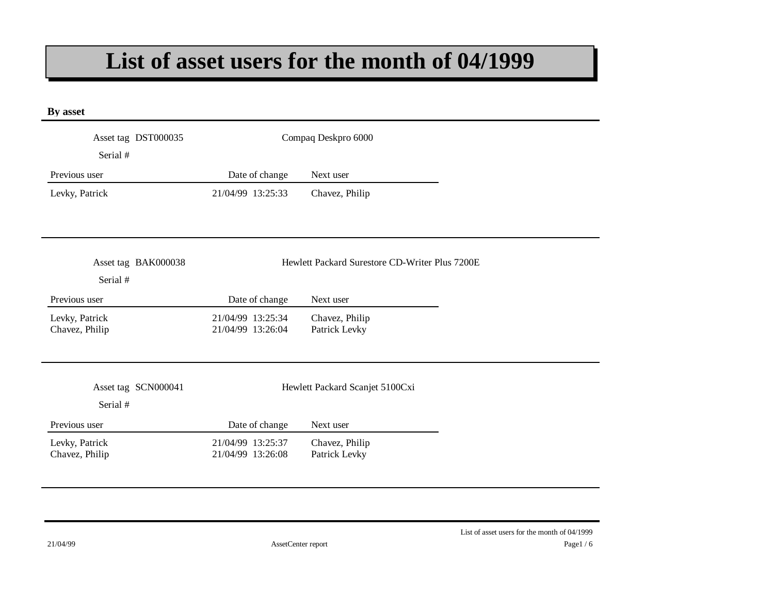### **List of asset users for the month of 04/1999**

| By asset                         |                                        |                                                |
|----------------------------------|----------------------------------------|------------------------------------------------|
| Asset tag DST000035<br>Serial #  |                                        | Compaq Deskpro 6000                            |
| Previous user                    | Date of change                         | Next user                                      |
| Levky, Patrick                   | 21/04/99 13:25:33                      | Chavez, Philip                                 |
| Asset tag BAK000038<br>Serial #  |                                        | Hewlett Packard Surestore CD-Writer Plus 7200E |
| Previous user                    | Date of change                         | Next user                                      |
| Levky, Patrick<br>Chavez, Philip | 21/04/99 13:25:34<br>21/04/99 13:26:04 | Chavez, Philip<br>Patrick Levky                |
| Asset tag SCN000041<br>Serial #  |                                        | Hewlett Packard Scanjet 5100Cxi                |
| Previous user                    | Date of change                         | Next user                                      |
| Levky, Patrick<br>Chavez, Philip | 21/04/99 13:25:37<br>21/04/99 13:26:08 | Chavez, Philip<br>Patrick Levky                |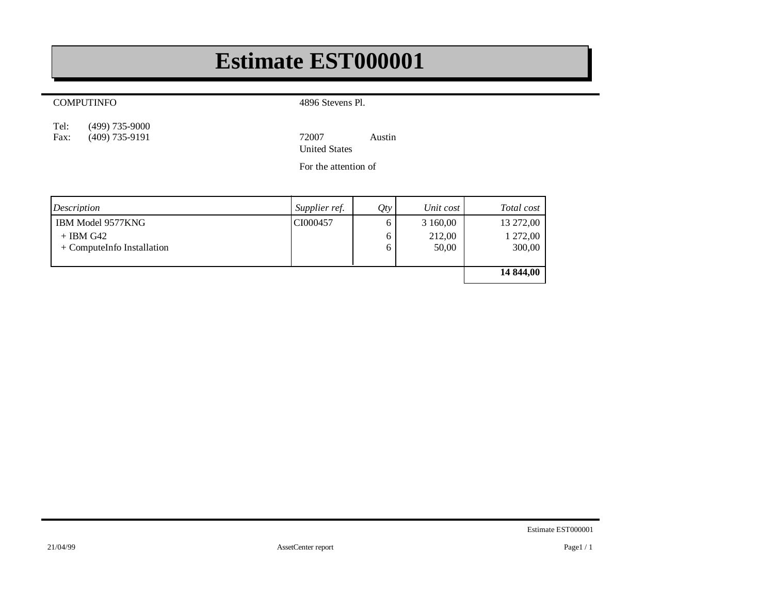### **Estimate EST000001**

#### COMPUTINFO

4896 Stevens Pl.

(499) 735-9000 Tel:<br>Fax:

Fax: (409) 735-9191 72007 Austin United States

For the attention of

| Description                | Supplier ref. | Qty | Unit cost | Total cost |
|----------------------------|---------------|-----|-----------|------------|
| IBM Model 9577KNG          | CI000457      |     | 3 160,00  | 13 272,00  |
| $+$ IBM G42                |               |     | 212,00    | 1 272,00   |
| + ComputeInfo Installation |               | O   | 50,00     | 300,00     |
|                            |               |     |           |            |
|                            |               |     |           | 14 844,00  |
|                            |               |     |           |            |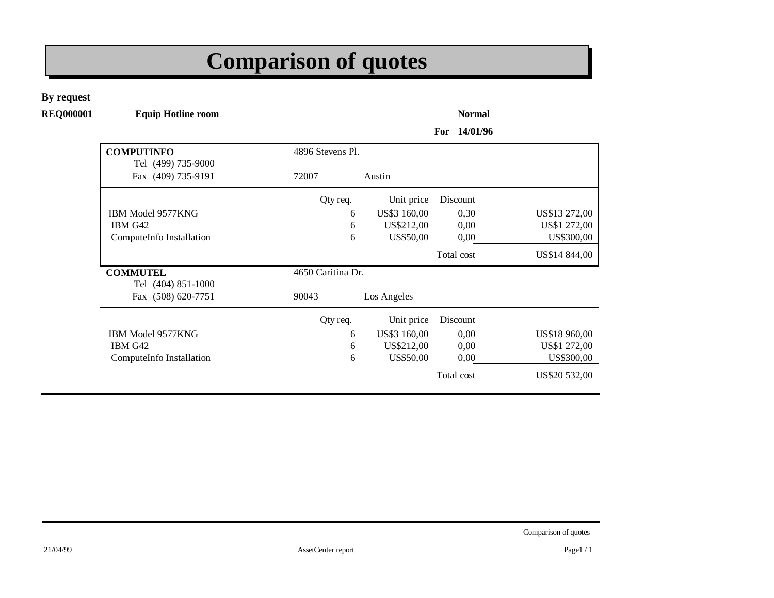# **Comparison of quotes**

**By request**

**REQ000001 Equip Hotline room Normal**

**For 14/01/96**

| <b>COMPUTINFO</b>                        | 4896 Stevens Pl.  |              |            |               |
|------------------------------------------|-------------------|--------------|------------|---------------|
| Tel (499) 735-9000<br>Fax (409) 735-9191 | 72007             | Austin       |            |               |
|                                          | Qty req.          | Unit price   | Discount   |               |
| <b>IBM Model 9577KNG</b>                 | 6                 | US\$3 160,00 | 0,30       | US\$13 272,00 |
| IBM G42                                  | 6                 | US\$212,00   | 0,00       | US\$1 272,00  |
| ComputeInfo Installation                 | 6                 | US\$50,00    | 0,00       | US\$300,00    |
|                                          |                   |              | Total cost | US\$14 844,00 |
| <b>COMMUTEL</b><br>Tel (404) 851-1000    | 4650 Caritina Dr. |              |            |               |
| Fax (508) 620-7751                       | 90043             | Los Angeles  |            |               |
|                                          | Qty req.          | Unit price   | Discount   |               |
| <b>IBM Model 9577KNG</b>                 | 6                 | US\$3 160,00 | 0,00       | US\$18 960,00 |
| IBM G42                                  | 6                 | US\$212,00   | 0,00       | US\$1 272,00  |
| ComputeInfo Installation                 | 6                 | US\$50,00    | 0,00       | US\$300,00    |
|                                          |                   |              | Total cost | US\$20 532,00 |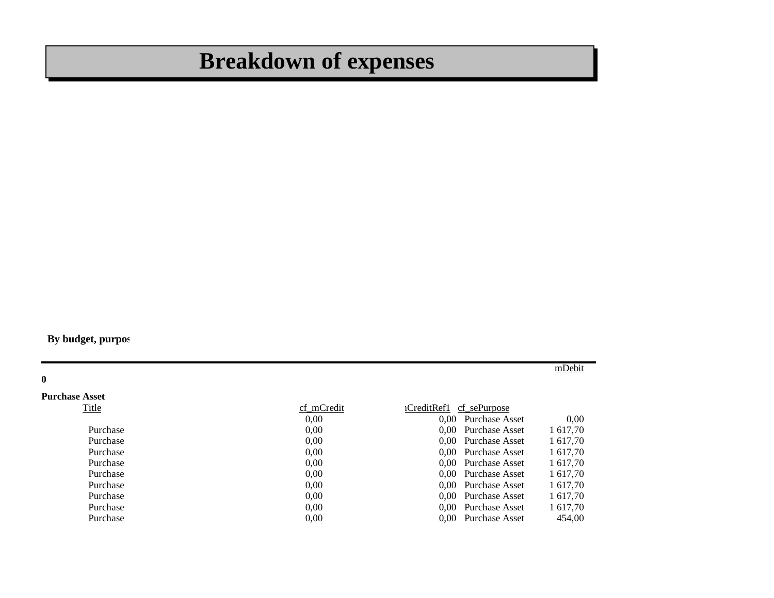# **Breakdown of expenses**

**By budget, purpos** 

**0 Purchase Asset** mDebit

| Title    | cf mCredit | cf sePurpose<br>iCreditRef1 |          |
|----------|------------|-----------------------------|----------|
|          | 0.00       | 0,00 Purchase Asset         | 0.00     |
| Purchase | 0.00       | 0,00 Purchase Asset         | 1 617,70 |
| Purchase | 0.00       | 0,00 Purchase Asset         | 1 617,70 |
| Purchase | 0.00       | 0,00 Purchase Asset         | 1 617,70 |
| Purchase | 0.00       | 0.00 Purchase Asset         | 1 617,70 |
| Purchase | 0.00       | 0,00 Purchase Asset         | 1 617,70 |
| Purchase | 0.00       | 0.00 Purchase Asset         | 1 617,70 |
| Purchase | 0.00       | 0,00 Purchase Asset         | 1 617,70 |
| Purchase | 0.00       | 0.00 Purchase Asset         | 1 617.70 |
| Purchase | 0.00       | 0.00 Purchase Asset         | 454.00   |
|          |            |                             |          |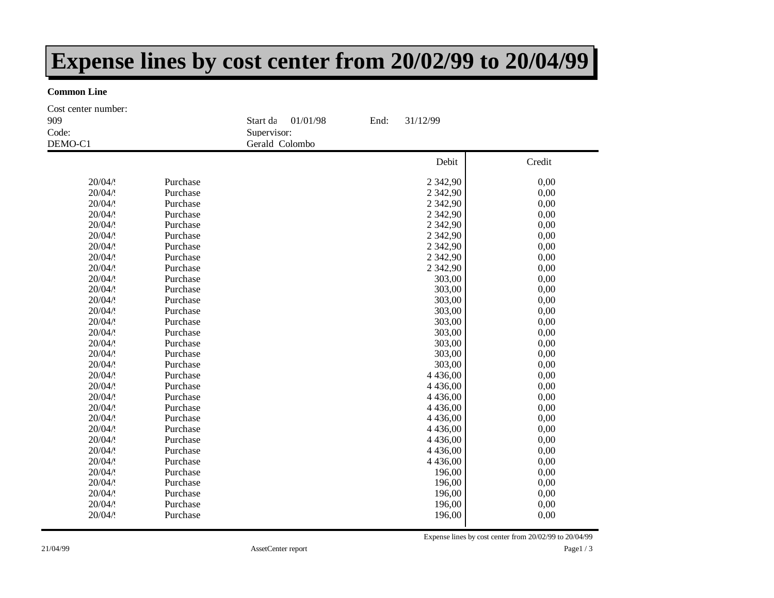### **Expense lines by cost center from 20/02/99 to 20/04/99**

#### **Common Line**

Debit Credit Start date: 01/01/98 End: 31/12/99 Supervisor: DEMO-C1 Gerald Colombo Code: 909 Cost center number:  $20/04/9$  Purchase 2 342,90 0,00  $20/04/9$  Purchase 2 342,90 0,00  $20/04/9$  Purchase 2 342,90 0,00  $20/04/9$  Purchase 2 342,90 0,00  $20/04/9$  Purchase 2 342,90 0,00  $20/04/9$  Purchase 2 342,90 0,00  $20/04/9$  Purchase 2 342,90 0,00  $20/04/9$  Purchase 2 342,90 0,00  $20/04/9$  Purchase 2 342,90 0,00  $20/04/9$  Purchase  $303,00$  0,00  $20/04/9$  Purchase  $303,00$  0,00  $20/04/9$  Purchase  $303,00$  0,00  $20/04/9$  Purchase  $303,00$  0,00  $20/04/9$  Purchase  $303,00$  0,00  $20/04/9$  Purchase  $303,00$  0,00  $20/04/9$  Purchase  $303,00$  0,00  $20/04/9$  Purchase  $303,00$  0,00  $20/04/9$  Purchase  $303,00$  0,00  $20/04/9$  Purchase  $4\,436,00$  0,00  $20/04/9$  Purchase  $4\,436,00$  0,00  $20/04/9$  Purchase  $4\,436,00$  0,00  $20/04/9$  Purchase  $4\,436,00$  0,00  $20/04/9$  Purchase  $4\,436,00$  0,00  $20/04/9$  Purchase  $4\,436,00$  0,00  $20/04/9$  Purchase  $4\,436,00$  0,00  $20/04/9$  Purchase  $4\,436,00$  0,00  $20/04/9$  Purchase  $4\,436,00$  0,00  $20/04/9$  Purchase  $196,00$  0,00  $20/04/9$  Purchase  $196,00$  0,00  $20/04/9$  Purchase  $196,00$  0,00  $20/04/9$  Purchase  $196,00$  0,00  $20/04/9$  Purchase  $196,00$  0,00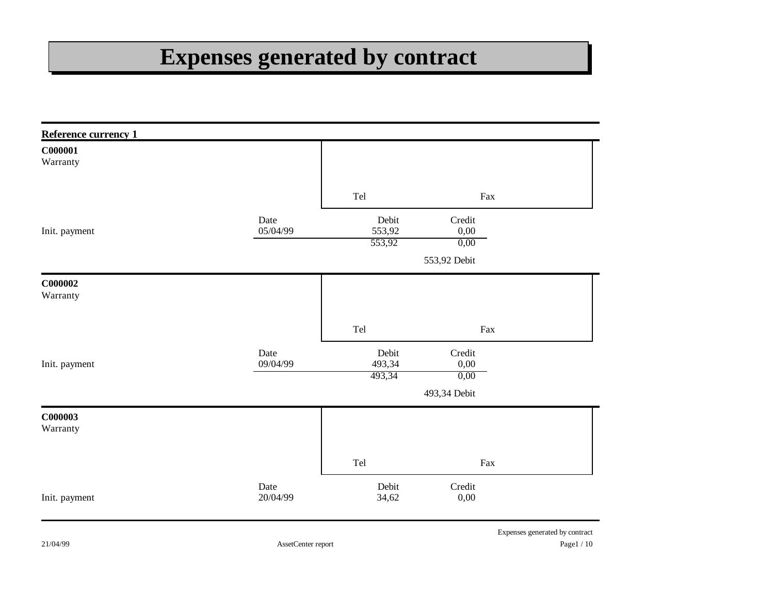# **Expenses generated by contract**

| Reference currency 1 |                  |                           |                        |                                |
|----------------------|------------------|---------------------------|------------------------|--------------------------------|
| C000001<br>Warranty  |                  |                           |                        |                                |
|                      |                  | Tel                       | Fax                    |                                |
| Init. payment        | Date<br>05/04/99 | Debit<br>553,92           | Credit<br>0,00         |                                |
|                      |                  | 553,92                    | 0,00<br>553,92 Debit   |                                |
| C000002<br>Warranty  |                  |                           |                        |                                |
|                      |                  | Tel                       | Fax                    |                                |
| Init. payment        | Date<br>09/04/99 | Debit<br>493,34<br>493,34 | Credit<br>0,00<br>0,00 |                                |
|                      |                  |                           | 493,34 Debit           |                                |
| C000003<br>Warranty  |                  |                           |                        |                                |
|                      |                  | Tel                       | Fax                    |                                |
| Init. payment        | Date<br>20/04/99 | Debit<br>34,62            | Credit<br>0,00         |                                |
|                      |                  |                           |                        | Expenses generated by contract |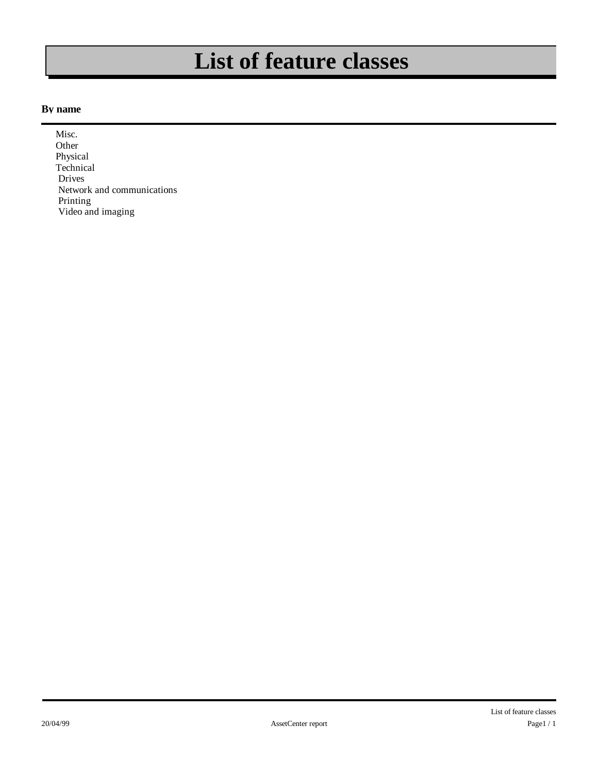### **List of feature classes**

#### **By name**

 Misc. Other Physical **Technical**  Drives Network and communications Printing Video and imaging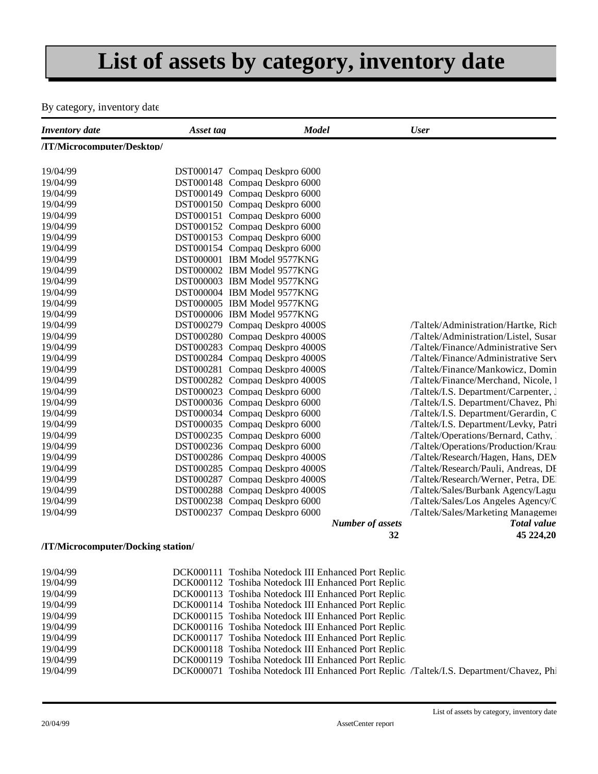# **List of assets by category, inventory date**

#### By category, inventory date

| <b>Inventory</b> date              | Asset tag                      | <b>Model</b>                                        | <b>User</b>                          |
|------------------------------------|--------------------------------|-----------------------------------------------------|--------------------------------------|
| /IT/Microcomputer/Desktop/         |                                |                                                     |                                      |
| 19/04/99                           | DST000147 Compaq Deskpro 6000  |                                                     |                                      |
| 19/04/99                           | DST000148 Compaq Deskpro 6000  |                                                     |                                      |
| 19/04/99                           | DST000149 Compaq Deskpro 6000  |                                                     |                                      |
| 19/04/99                           | DST000150 Compaq Deskpro 6000  |                                                     |                                      |
| 19/04/99                           | DST000151 Compaq Deskpro 6000  |                                                     |                                      |
| 19/04/99                           | DST000152 Compaq Deskpro 6000  |                                                     |                                      |
| 19/04/99                           | DST000153 Compaq Deskpro 6000  |                                                     |                                      |
| 19/04/99                           | DST000154 Compaq Deskpro 6000  |                                                     |                                      |
| 19/04/99                           | DST000001 IBM Model 9577KNG    |                                                     |                                      |
| 19/04/99                           | DST000002 IBM Model 9577KNG    |                                                     |                                      |
| 19/04/99                           | DST000003 IBM Model 9577KNG    |                                                     |                                      |
| 19/04/99                           | DST000004 IBM Model 9577KNG    |                                                     |                                      |
| 19/04/99                           | DST000005 IBM Model 9577KNG    |                                                     |                                      |
| 19/04/99                           | DST000006 IBM Model 9577KNG    |                                                     |                                      |
| 19/04/99                           | DST000279 Compaq Deskpro 4000S |                                                     | /Taltek/Administration/Hartke, Rich  |
| 19/04/99                           | DST000280 Compaq Deskpro 4000S |                                                     | /Taltek/Administration/Listel, Susar |
| 19/04/99                           | DST000283 Compaq Deskpro 4000S |                                                     | /Taltek/Finance/Administrative Serv  |
| 19/04/99                           | DST000284 Compaq Deskpro 4000S |                                                     | /Taltek/Finance/Administrative Serv  |
| 19/04/99                           | DST000281 Compaq Deskpro 4000S |                                                     | /Taltek/Finance/Mankowicz, Domin     |
| 19/04/99                           | DST000282 Compaq Deskpro 4000S |                                                     | /Taltek/Finance/Merchand, Nicole, l  |
| 19/04/99                           | DST000023 Compaq Deskpro 6000  |                                                     | /Taltek/I.S. Department/Carpenter, J |
| 19/04/99                           | DST000036 Compaq Deskpro 6000  |                                                     | /Taltek/I.S. Department/Chavez, Phi  |
| 19/04/99                           | DST000034 Compaq Deskpro 6000  |                                                     | /Taltek/I.S. Department/Gerardin, C  |
| 19/04/99                           | DST000035 Compaq Deskpro 6000  |                                                     | /Taltek/I.S. Department/Levky, Patri |
| 19/04/99                           | DST000235 Compaq Deskpro 6000  |                                                     | /Taltek/Operations/Bernard, Cathy, 1 |
| 19/04/99                           | DST000236 Compaq Deskpro 6000  |                                                     | /Taltek/Operations/Production/Krau   |
| 19/04/99                           | DST000286 Compag Deskpro 4000S |                                                     | /Taltek/Research/Hagen, Hans, DEM    |
| 19/04/99                           | DST000285 Compaq Deskpro 4000S |                                                     | /Taltek/Research/Pauli, Andreas, DF  |
| 19/04/99                           | DST000287 Compaq Deskpro 4000S |                                                     | /Taltek/Research/Werner, Petra, DE   |
| 19/04/99                           | DST000288 Compaq Deskpro 4000S |                                                     | /Taltek/Sales/Burbank Agency/Lagu    |
| 19/04/99                           | DST000238 Compaq Deskpro 6000  |                                                     | /Taltek/Sales/Los Angeles Agency/C   |
| 19/04/99                           | DST000237 Compaq Deskpro 6000  |                                                     | /Taltek/Sales/Marketing Managemer    |
|                                    |                                | <b>Number of assets</b>                             | <b>Total value</b>                   |
|                                    |                                |                                                     | 32<br>45 224,20                      |
| /IT/Microcomputer/Docking station/ |                                |                                                     |                                      |
| 19/04/99                           |                                | DCK000111 Toshiba Notedock III Enhanced Port Replic |                                      |
| 10/04/00                           |                                | DCK000112 Toshiba Notedock III Enhanced Port Replic |                                      |

| 19/04/99 | DCK000112 Toshiba Notedock III Enhanced Port Replic                                     |
|----------|-----------------------------------------------------------------------------------------|
| 19/04/99 | DCK000113 Toshiba Notedock III Enhanced Port Replic                                     |
| 19/04/99 | DCK000114 Toshiba Notedock III Enhanced Port Replic                                     |
| 19/04/99 | DCK000115 Toshiba Notedock III Enhanced Port Replic                                     |
| 19/04/99 | DCK000116 Toshiba Notedock III Enhanced Port Replic                                     |
| 19/04/99 | DCK000117 Toshiba Notedock III Enhanced Port Replic                                     |
| 19/04/99 | DCK000118 Toshiba Notedock III Enhanced Port Replic                                     |
| 19/04/99 | DCK000119 Toshiba Notedock III Enhanced Port Replic                                     |
| 19/04/99 | DCK000071 Toshiba Notedock III Enhanced Port Replic /Taltek/I.S. Department/Chavez, Phi |
|          |                                                                                         |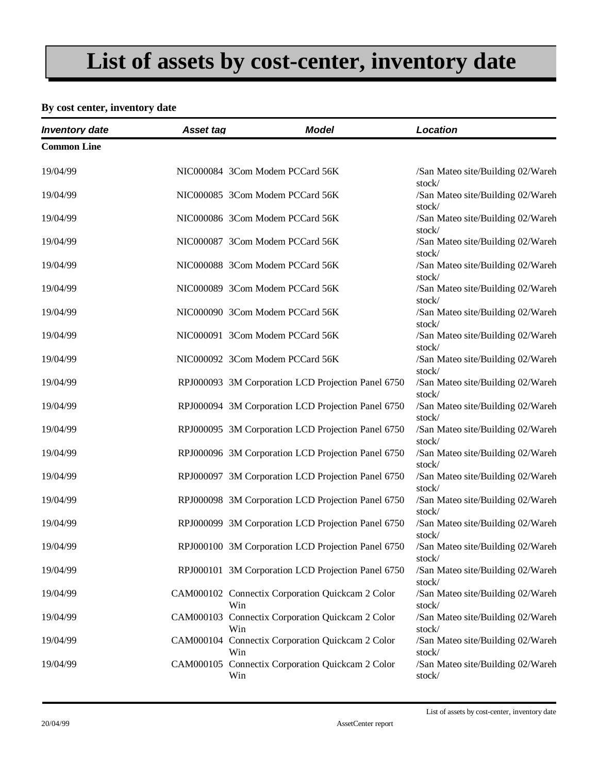# **List of assets by cost-center, inventory date**

#### **By cost center, inventory date**

| <b>Inventory date</b> | Asset tag | <b>Model</b>                                                   | Location                                              |
|-----------------------|-----------|----------------------------------------------------------------|-------------------------------------------------------|
| <b>Common Line</b>    |           |                                                                |                                                       |
| 19/04/99              |           | NIC000084 3Com Modem PCCard 56K                                | /San Mateo site/Building 02/Wareh<br>stock/           |
| 19/04/99              |           | NIC000085 3Com Modem PCCard 56K                                | /San Mateo site/Building 02/Wareh<br>stock/           |
| 19/04/99              |           | NIC000086 3Com Modem PCCard 56K                                | /San Mateo site/Building 02/Wareh<br>stock/           |
| 19/04/99              |           | NIC000087 3Com Modem PCCard 56K                                | /San Mateo site/Building 02/Wareh                     |
| 19/04/99              |           | NIC000088 3Com Modem PCCard 56K                                | stock/<br>/San Mateo site/Building 02/Wareh<br>stock/ |
| 19/04/99              |           | NIC000089 3Com Modem PCCard 56K                                | /San Mateo site/Building 02/Wareh<br>stock/           |
| 19/04/99              |           | NIC000090 3Com Modem PCCard 56K                                | /San Mateo site/Building 02/Wareh<br>stock/           |
| 19/04/99              |           | NIC000091 3Com Modem PCCard 56K                                | /San Mateo site/Building 02/Wareh<br>stock/           |
| 19/04/99              |           | NIC000092 3Com Modem PCCard 56K                                | /San Mateo site/Building 02/Wareh<br>stock/           |
| 19/04/99              |           | RPJ000093 3M Corporation LCD Projection Panel 6750             | /San Mateo site/Building 02/Wareh                     |
| 19/04/99              |           | RPJ000094 3M Corporation LCD Projection Panel 6750             | stock/<br>/San Mateo site/Building 02/Wareh<br>stock/ |
| 19/04/99              |           | RPJ000095 3M Corporation LCD Projection Panel 6750             | /San Mateo site/Building 02/Wareh                     |
| 19/04/99              |           | RPJ000096 3M Corporation LCD Projection Panel 6750             | stock/<br>/San Mateo site/Building 02/Wareh<br>stock/ |
| 19/04/99              |           | RPJ000097 3M Corporation LCD Projection Panel 6750             | /San Mateo site/Building 02/Wareh                     |
| 19/04/99              |           | RPJ000098 3M Corporation LCD Projection Panel 6750             | stock/<br>/San Mateo site/Building 02/Wareh<br>stock/ |
| 19/04/99              |           | RPJ000099 3M Corporation LCD Projection Panel 6750             | /San Mateo site/Building 02/Wareh                     |
| 19/04/99              |           | RPJ000100 3M Corporation LCD Projection Panel 6750             | stock/<br>/San Mateo site/Building 02/Wareh<br>stock/ |
| 19/04/99              |           | RPJ000101 3M Corporation LCD Projection Panel 6750             | /San Mateo site/Building 02/Wareh                     |
| 19/04/99              |           | CAM000102 Connectix Corporation Quickcam 2 Color<br>Win        | stock/<br>/San Mateo site/Building 02/Wareh<br>stock/ |
| 19/04/99              |           | CAM000103 Connectix Corporation Quickcam 2 Color               | /San Mateo site/Building 02/Wareh                     |
| 19/04/99              |           | Win<br>CAM000104 Connectix Corporation Quickcam 2 Color<br>Win | stock/<br>/San Mateo site/Building 02/Wareh<br>stock/ |
| 19/04/99              |           | CAM000105 Connectix Corporation Quickcam 2 Color<br>Win        | /San Mateo site/Building 02/Wareh<br>stock/           |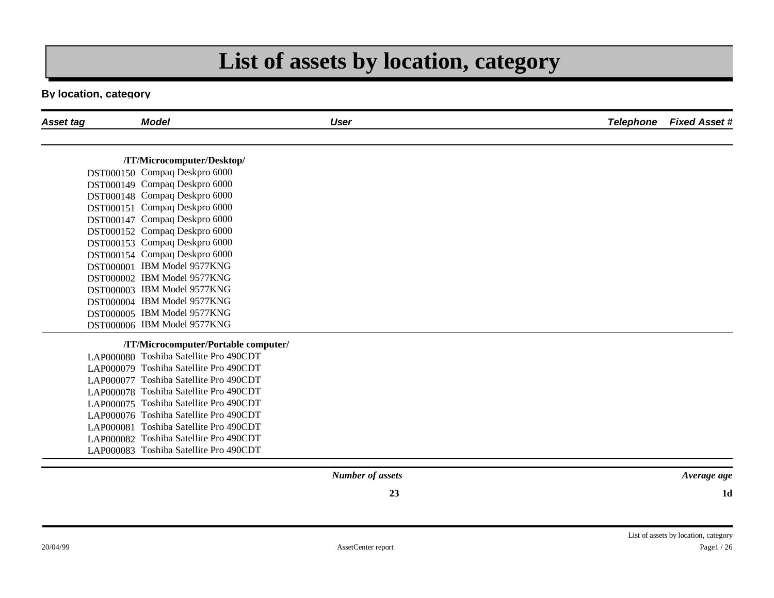### **List of assets by location, category**

#### **By location, category**

| Asset tag | <b>Model</b>                           | <b>User</b>         | <b>Telephone</b> | <b>Fixed Asset #</b> |
|-----------|----------------------------------------|---------------------|------------------|----------------------|
|           |                                        |                     |                  |                      |
|           | /IT/Microcomputer/Desktop/             |                     |                  |                      |
|           | DST000150 Compaq Deskpro 6000          |                     |                  |                      |
|           | DST000149 Compaq Deskpro 6000          |                     |                  |                      |
|           | DST000148 Compaq Deskpro 6000          |                     |                  |                      |
|           | DST000151 Compaq Deskpro 6000          |                     |                  |                      |
|           | DST000147 Compaq Deskpro 6000          |                     |                  |                      |
|           | DST000152 Compaq Deskpro 6000          |                     |                  |                      |
|           | DST000153 Compaq Deskpro 6000          |                     |                  |                      |
|           | DST000154 Compaq Deskpro 6000          |                     |                  |                      |
|           | DST000001 IBM Model 9577KNG            |                     |                  |                      |
|           | DST000002 IBM Model 9577KNG            |                     |                  |                      |
|           | DST000003 IBM Model 9577KNG            |                     |                  |                      |
|           | DST000004 IBM Model 9577KNG            |                     |                  |                      |
|           | DST000005 IBM Model 9577KNG            |                     |                  |                      |
|           | DST000006 IBM Model 9577KNG            |                     |                  |                      |
|           | /IT/Microcomputer/Portable computer/   |                     |                  |                      |
|           | LAP000080 Toshiba Satellite Pro 490CDT |                     |                  |                      |
|           | LAP000079 Toshiba Satellite Pro 490CDT |                     |                  |                      |
|           | LAP000077 Toshiba Satellite Pro 490CDT |                     |                  |                      |
|           | LAP000078 Toshiba Satellite Pro 490CDT |                     |                  |                      |
|           | LAP000075 Toshiba Satellite Pro 490CDT |                     |                  |                      |
|           | LAP000076 Toshiba Satellite Pro 490CDT |                     |                  |                      |
|           | LAP000081 Toshiba Satellite Pro 490CDT |                     |                  |                      |
|           | LAP000082 Toshiba Satellite Pro 490CDT |                     |                  |                      |
|           | LAP000083 Toshiba Satellite Pro 490CDT |                     |                  |                      |
|           |                                        | $N$ unker of google |                  | $1$ wanaan aan       |

*Number of assets*

*Average age*

**1d**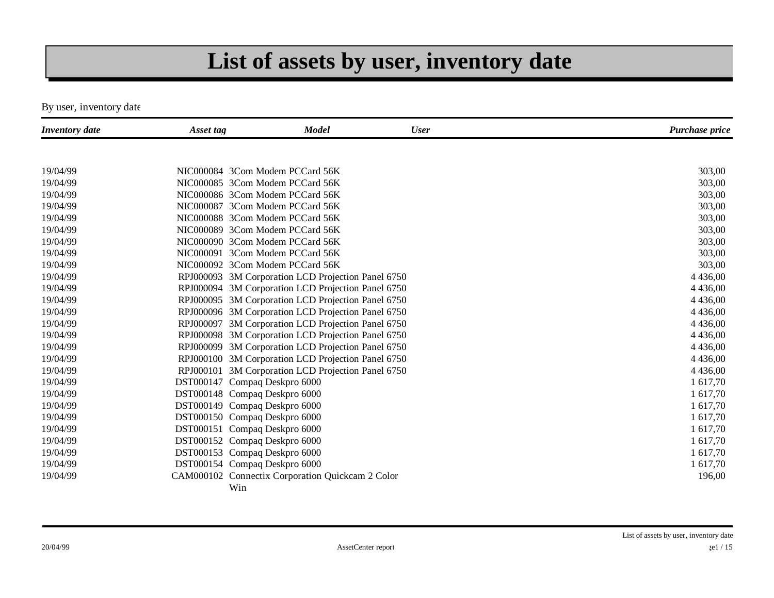### **List of assets by user, inventory date**

By user, inventory date

| <b>Inventory</b> date | Asset tag | <b>Model</b>                                       | <b>User</b> | Purchase price |
|-----------------------|-----------|----------------------------------------------------|-------------|----------------|
|                       |           |                                                    |             |                |
| 19/04/99              |           | NIC000084 3Com Modem PCCard 56K                    |             | 303,00         |
| 19/04/99              |           | NIC000085 3Com Modem PCCard 56K                    |             | 303,00         |
| 19/04/99              |           | NIC000086 3Com Modem PCCard 56K                    |             | 303,00         |
| 19/04/99              |           | NIC000087 3Com Modem PCCard 56K                    |             | 303,00         |
| 19/04/99              |           | NIC000088 3Com Modem PCCard 56K                    |             | 303,00         |
| 19/04/99              |           | NIC000089 3Com Modem PCCard 56K                    |             | 303,00         |
| 19/04/99              |           | NIC000090 3Com Modem PCCard 56K                    |             | 303,00         |
| 19/04/99              |           | NIC000091 3Com Modem PCCard 56K                    |             | 303,00         |
| 19/04/99              |           | NIC000092 3Com Modem PCCard 56K                    |             | 303,00         |
| 19/04/99              |           | RPJ000093 3M Corporation LCD Projection Panel 6750 |             | 4 4 3 6,00     |
| 19/04/99              |           | RPJ000094 3M Corporation LCD Projection Panel 6750 |             | 4 4 3 6,00     |
| 19/04/99              |           | RPJ000095 3M Corporation LCD Projection Panel 6750 |             | 4 4 3 6,00     |
| 19/04/99              |           | RPJ000096 3M Corporation LCD Projection Panel 6750 |             | 4 4 3 6,00     |
| 19/04/99              |           | RPJ000097 3M Corporation LCD Projection Panel 6750 |             | 4 4 3 6,00     |
| 19/04/99              |           | RPJ000098 3M Corporation LCD Projection Panel 6750 |             | 4 4 3 6,00     |
| 19/04/99              |           | RPJ000099 3M Corporation LCD Projection Panel 6750 |             | 4 4 3 6,00     |
| 19/04/99              |           | RPJ000100 3M Corporation LCD Projection Panel 6750 |             | 4 4 3 6,00     |
| 19/04/99              |           | RPJ000101 3M Corporation LCD Projection Panel 6750 |             | 4 4 3 6,00     |
| 19/04/99              |           | DST000147 Compaq Deskpro 6000                      |             | 1 617,70       |
| 19/04/99              |           | DST000148 Compaq Deskpro 6000                      |             | 1 617,70       |
| 19/04/99              |           | DST000149 Compaq Deskpro 6000                      |             | 1 617,70       |
| 19/04/99              |           | DST000150 Compaq Deskpro 6000                      |             | 1 617,70       |
| 19/04/99              |           | DST000151 Compaq Deskpro 6000                      |             | 1 617,70       |
| 19/04/99              |           | DST000152 Compaq Deskpro 6000                      |             | 1 617,70       |
| 19/04/99              |           | DST000153 Compaq Deskpro 6000                      |             | 1 617,70       |
| 19/04/99              |           | DST000154 Compaq Deskpro 6000                      |             | 1 617,70       |
| 19/04/99              |           | CAM000102 Connectix Corporation Quickcam 2 Color   |             | 196,00         |
|                       |           | Win                                                |             |                |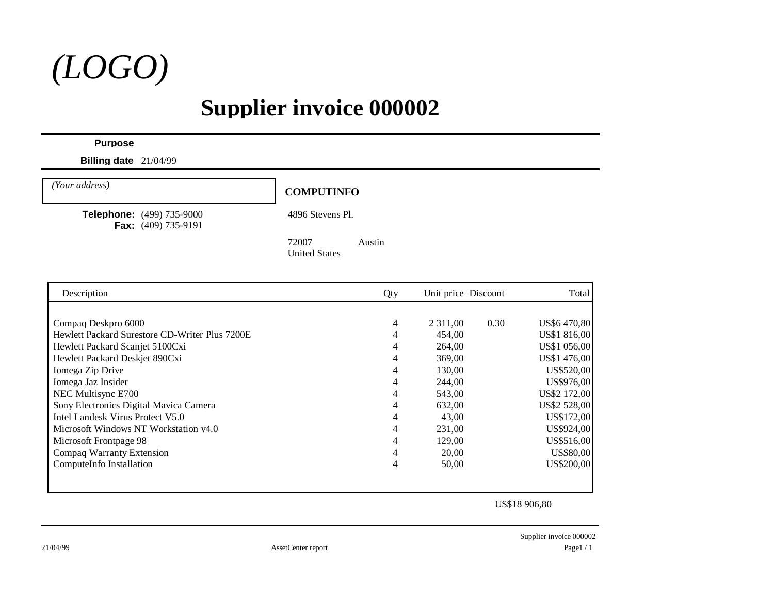

### **Supplier invoice 000002**

#### **Purpose**

**Billing date** 21/04/99

**COMPUTINFO** *(Your address)*

**Telephone:** (499) 735-9000 4896 Stevens Pl. **Fax:** (409) 735-9191

72007 Austin United States

| Description                                    | Qty | Unit price Discount |      | Total        |
|------------------------------------------------|-----|---------------------|------|--------------|
|                                                |     |                     |      |              |
| Compaq Deskpro 6000                            | 4   | 2 3 1 1 ,00         | 0.30 | US\$6470,80  |
| Hewlett Packard Surestore CD-Writer Plus 7200E |     | 454,00              |      | US\$1 816,00 |
| Hewlett Packard Scanjet 5100Cxi                | 4   | 264,00              |      | US\$1 056,00 |
| Hewlett Packard Deskjet 890Cxi                 | 4   | 369,00              |      | US\$1 476,00 |
| Iomega Zip Drive                               | 4   | 130,00              |      | US\$520,00   |
| Iomega Jaz Insider                             | 4   | 244,00              |      | US\$976,00   |
| NEC Multisync E700                             | 4   | 543,00              |      | US\$2 172,00 |
| Sony Electronics Digital Mavica Camera         | 4   | 632,00              |      | US\$2 528,00 |
| Intel Landesk Virus Protect V5.0               | 4   | 43,00               |      | US\$172,00   |
| Microsoft Windows NT Workstation v4.0          | 4   | 231,00              |      | US\$924,00   |
| Microsoft Frontpage 98                         | 4   | 129,00              |      | US\$516,00   |
| Compaq Warranty Extension                      |     | 20,00               |      | US\$80,00    |
| ComputeInfo Installation                       | 4   | 50,00               |      | US\$200,00   |
|                                                |     |                     |      |              |
|                                                |     |                     |      |              |
|                                                |     |                     |      |              |

US\$18 906,80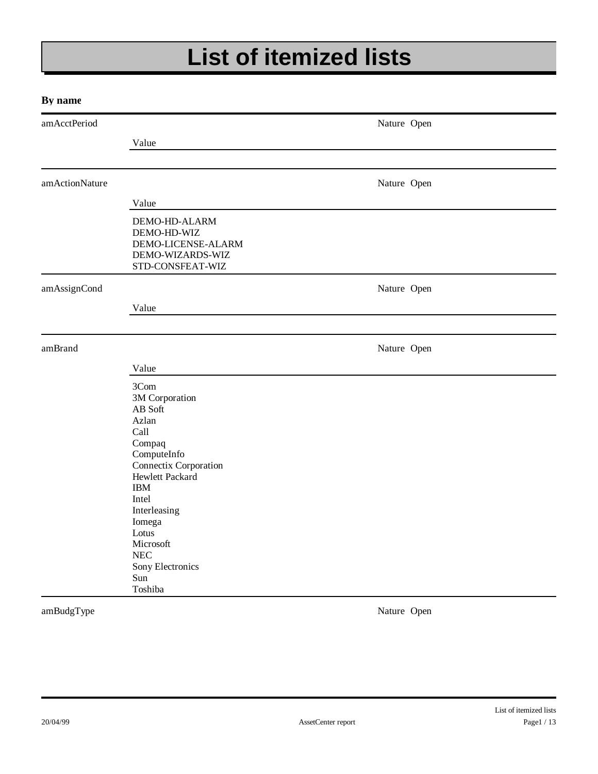# **List of itemized lists**

#### **By name**

| amAcctPeriod   |                                                                                                                                                                                                                                                              | Nature Open |  |
|----------------|--------------------------------------------------------------------------------------------------------------------------------------------------------------------------------------------------------------------------------------------------------------|-------------|--|
|                | Value                                                                                                                                                                                                                                                        |             |  |
|                |                                                                                                                                                                                                                                                              |             |  |
| amActionNature |                                                                                                                                                                                                                                                              | Nature Open |  |
|                | Value                                                                                                                                                                                                                                                        |             |  |
|                | DEMO-HD-ALARM<br>DEMO-HD-WIZ<br>DEMO-LICENSE-ALARM<br>DEMO-WIZARDS-WIZ<br>STD-CONSFEAT-WIZ                                                                                                                                                                   |             |  |
| amAssignCond   |                                                                                                                                                                                                                                                              | Nature Open |  |
|                | Value                                                                                                                                                                                                                                                        |             |  |
| amBrand        |                                                                                                                                                                                                                                                              | Nature Open |  |
|                | Value                                                                                                                                                                                                                                                        |             |  |
|                | 3Com<br>3M Corporation<br>AB Soft<br>Azlan<br>Call<br>Compaq<br>ComputeInfo<br>Connectix Corporation<br>Hewlett Packard<br><b>IBM</b><br>Intel<br>Interleasing<br>Iomega<br>Lotus<br>Microsoft<br>$\operatorname{NEC}$<br>Sony Electronics<br>Sun<br>Toshiba |             |  |

amBudgType Nature Open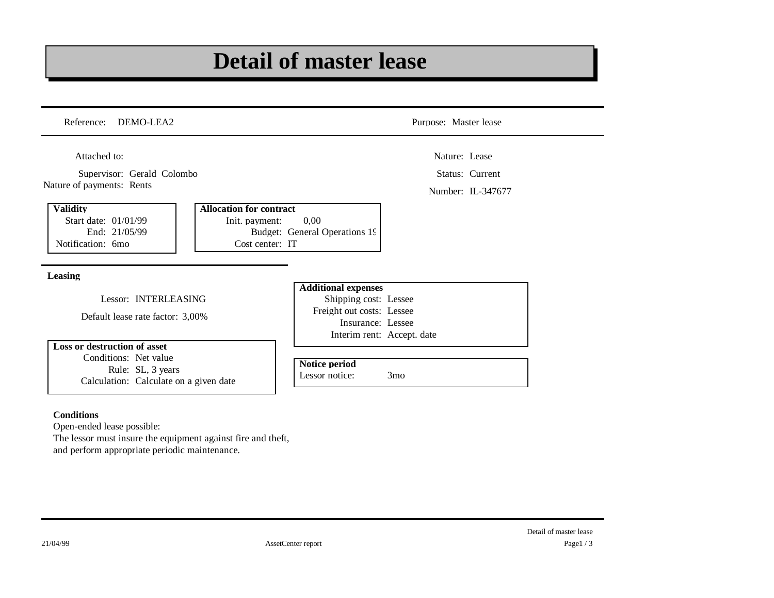### **Detail of master lease**

| Reference: DEMO-LEA2                                                          |                                                                     |                                                                         | Purpose: Master lease      |                   |
|-------------------------------------------------------------------------------|---------------------------------------------------------------------|-------------------------------------------------------------------------|----------------------------|-------------------|
| Attached to:                                                                  |                                                                     |                                                                         | Nature: Lease              |                   |
| Supervisor: Gerald Colombo                                                    |                                                                     |                                                                         |                            | Status: Current   |
| Nature of payments: Rents                                                     |                                                                     |                                                                         |                            | Number: IL-347677 |
| <b>Validity</b><br>Start date: 01/01/99<br>End: 21/05/99<br>Notification: 6mo | <b>Allocation for contract</b><br>Init. payment:<br>Cost center: IT | 0,00<br>Budget: General Operations 19                                   |                            |                   |
|                                                                               |                                                                     |                                                                         |                            |                   |
| Leasing                                                                       |                                                                     |                                                                         |                            |                   |
|                                                                               |                                                                     | <b>Additional expenses</b>                                              |                            |                   |
| Lessor: INTERLEASING<br>Default lease rate factor: 3,00%                      |                                                                     | Shipping cost: Lessee<br>Freight out costs: Lessee<br>Insurance: Lessee |                            |                   |
| Loss or destruction of asset<br>Conditions: Net value                         |                                                                     |                                                                         | Interim rent: Accept. date |                   |

Open-ended lease possible: The lessor must insure the equipment against fire and theft, and perform appropriate periodic maintenance.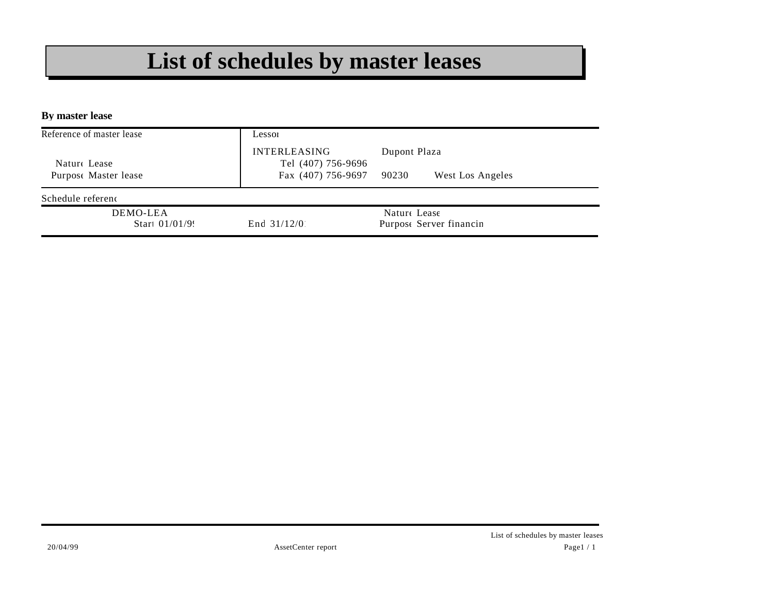### **List of schedules by master leases**

**By master lease**

| Lessoi                                    |                                         |
|-------------------------------------------|-----------------------------------------|
| <b>INTERLEASING</b><br>Tel (407) 756-9696 | Dupont Plaza                            |
| Fax (407) 756-9697                        | 90230<br>West Los Angeles               |
|                                           |                                         |
| End $31/12/0$                             | Nature Lease<br>Purpose Server financin |
|                                           |                                         |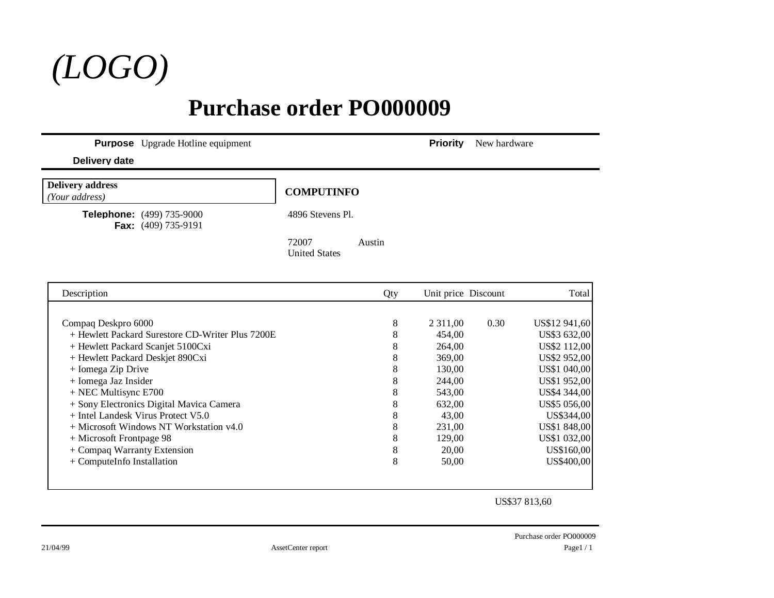

### **Purchase order PO000009**

**Purpose** Upgrade Hotline equipment **Priority** New hardware

#### **Delivery date**

| <b>Delivery address</b><br>(Your address)                        | <b>COMPUTINFO</b>                       |
|------------------------------------------------------------------|-----------------------------------------|
| <b>Telephone:</b> (499) 735-9000<br><b>Fax:</b> $(409)$ 735-9191 | 4896 Stevens Pl.                        |
|                                                                  | 72007<br>Austin<br><b>United States</b> |

| Description                                      | Qty | Unit price Discount |      | Total         |
|--------------------------------------------------|-----|---------------------|------|---------------|
|                                                  |     |                     |      |               |
| Compaq Deskpro 6000                              | 8   | 2 3 1 1 ,00         | 0.30 | US\$12 941,60 |
| + Hewlett Packard Surestore CD-Writer Plus 7200E | 8   | 454,00              |      | US\$3 632,00  |
| + Hewlett Packard Scanjet 5100Cxi                | 8   | 264,00              |      | US\$2 112,00  |
| + Hewlett Packard Deskjet 890Cxi                 | 8   | 369,00              |      | US\$2 952,00  |
| + Iomega Zip Drive                               | 8   | 130,00              |      | US\$1 040,00  |
| + Iomega Jaz Insider                             | 8   | 244,00              |      | US\$1 952,00  |
| $+$ NEC Multisync E700                           | 8   | 543,00              |      | US\$4 344,00  |
| + Sony Electronics Digital Mavica Camera         | 8   | 632,00              |      | US\$5 056,00  |
| + Intel Landesk Virus Protect V5.0               | 8   | 43,00               |      | US\$344,00    |
| + Microsoft Windows NT Workstation v4.0          | 8   | 231,00              |      | US\$1 848,00  |
| + Microsoft Frontpage 98                         | 8   | 129,00              |      | US\$1 032,00  |
| + Compaq Warranty Extension                      | 8   | 20,00               |      | US\$160,00    |
| + ComputeInfo Installation                       | 8   | 50,00               |      | US\$400,00    |
|                                                  |     |                     |      |               |
|                                                  |     |                     |      |               |

US\$37 813,60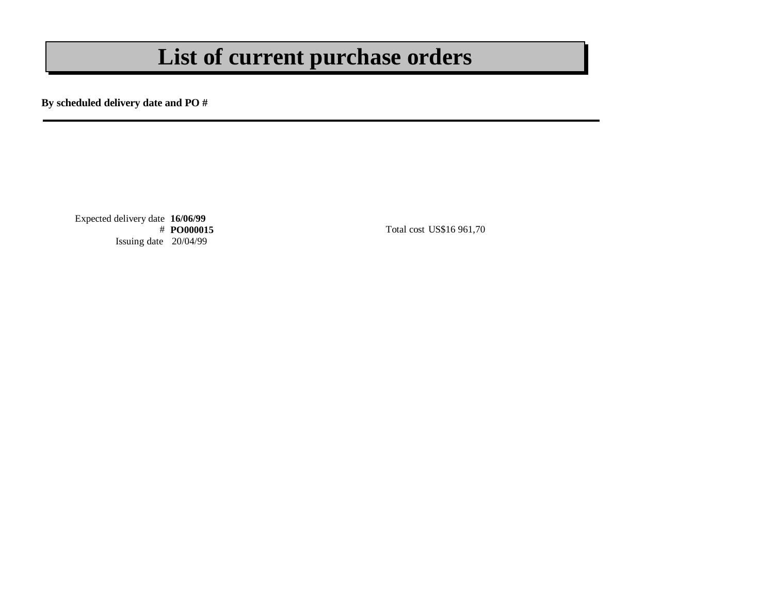### **List of current purchase orders**

**By scheduled delivery date and PO #**

Expected delivery date **16/06/99** Issuing date 20/04/99

**Total cost US\$16 961,70**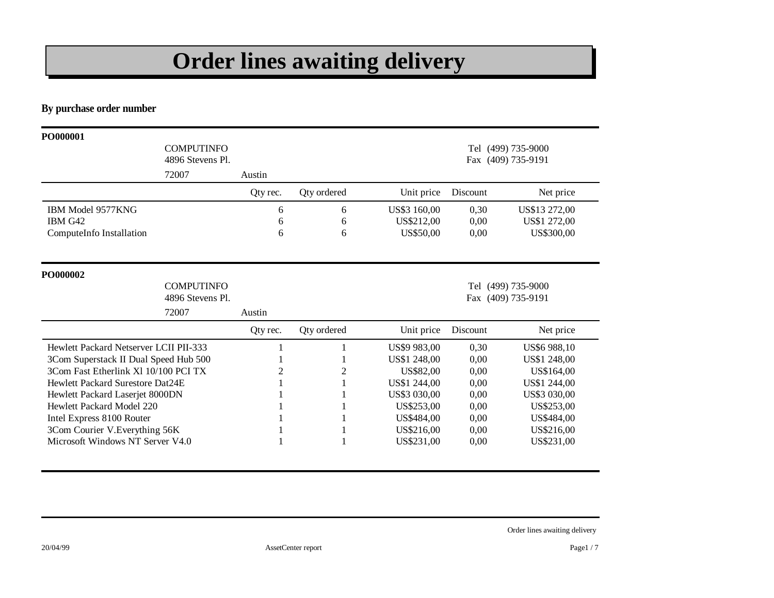# **Order lines awaiting delivery**

**By purchase order number**

| PO000001                               |                                       |          |                    |              |          |                                          |
|----------------------------------------|---------------------------------------|----------|--------------------|--------------|----------|------------------------------------------|
|                                        | <b>COMPUTINFO</b><br>4896 Stevens Pl. |          |                    |              |          | Tel (499) 735-9000<br>Fax (409) 735-9191 |
|                                        | 72007                                 | Austin   |                    |              |          |                                          |
|                                        |                                       | Qty rec. | <b>Qty ordered</b> | Unit price   | Discount | Net price                                |
| IBM Model 9577KNG                      |                                       | 6        | 6                  | US\$3 160,00 | 0,30     | US\$13 272,00                            |
| IBM G42                                |                                       | 6        | 6                  | US\$212,00   | 0,00     | US\$1 272,00                             |
| ComputeInfo Installation               |                                       | 6        | 6                  | US\$50,00    | 0,00     | US\$300,00                               |
| PO000002                               |                                       |          |                    |              |          |                                          |
|                                        | <b>COMPUTINFO</b><br>4896 Stevens Pl. |          |                    |              |          | Tel (499) 735-9000<br>Fax (409) 735-9191 |
|                                        | 72007                                 | Austin   |                    |              |          |                                          |
|                                        |                                       | Qty rec. | Qty ordered        | Unit price   | Discount | Net price                                |
| Hewlett Packard Netserver LCII PII-333 |                                       |          |                    | US\$9 983,00 | 0,30     | US\$6 988,10                             |
| 3Com Superstack II Dual Speed Hub 500  |                                       |          |                    | US\$1 248,00 | 0,00     | US\$1 248,00                             |
| 3Com Fast Etherlink XI 10/100 PCI TX   |                                       | 2        | 2                  | US\$82,00    | 0,00     | US\$164,00                               |
| Hewlett Packard Surestore Dat24E       |                                       |          |                    | US\$1 244,00 | 0.00     | US\$1 244,00                             |
| Hewlett Packard Laserjet 8000DN        |                                       |          |                    | US\$3 030,00 | 0,00     | US\$3 030,00                             |
| Hewlett Packard Model 220              |                                       |          |                    | US\$253,00   | 0,00     | US\$253,00                               |
| Intel Express 8100 Router              |                                       |          |                    | US\$484,00   | 0,00     | US\$484,00                               |
| 3Com Courier V. Everything 56K         |                                       |          |                    |              |          |                                          |
|                                        |                                       |          |                    | US\$216,00   | 0,00     | US\$216,00                               |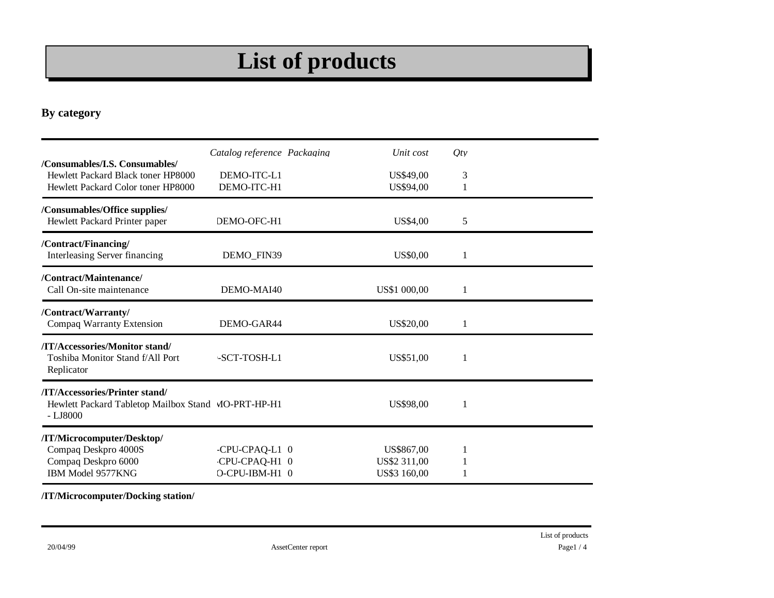# **List of products**

#### **By category**

| /Consumables/I.S. Consumables/                                                                     | Catalog reference Packaging | Unit cost    | $Q$ ty |  |
|----------------------------------------------------------------------------------------------------|-----------------------------|--------------|--------|--|
| Hewlett Packard Black toner HP8000                                                                 | DEMO-ITC-L1                 | US\$49,00    | 3      |  |
| Hewlett Packard Color toner HP8000                                                                 | DEMO-ITC-H1                 | US\$94,00    |        |  |
| /Consumables/Office supplies/<br>Hewlett Packard Printer paper                                     | DEMO-OFC-H1                 | US\$4,00     | 5      |  |
| /Contract/Financing/<br>Interleasing Server financing                                              | DEMO FIN39                  | US\$0,00     |        |  |
| /Contract/Maintenance/<br>Call On-site maintenance                                                 | DEMO-MAI40                  | US\$1 000,00 | 1      |  |
| /Contract/Warranty/<br>Compaq Warranty Extension                                                   | DEMO-GAR44                  | US\$20,00    |        |  |
| /IT/Accessories/Monitor stand/<br>Toshiba Monitor Stand f/All Port<br>Replicator                   | $-SCT-TOSH-L1$              | US\$51,00    |        |  |
| /IT/Accessories/Printer stand/<br>Hewlett Packard Tabletop Mailbox Stand MO-PRT-HP-H1<br>$-LJ8000$ |                             | US\$98,00    |        |  |
| /IT/Microcomputer/Desktop/                                                                         |                             |              |        |  |
| Compaq Deskpro 4000S                                                                               | -CPU-CPAQ-L1 0              | US\$867,00   |        |  |
| Compaq Deskpro 6000                                                                                | CPU-CPAQ-H1 0               | US\$2 311,00 |        |  |
| IBM Model 9577KNG                                                                                  | O-CPU-IBM-H1 0              | US\$3 160,00 |        |  |

#### **/IT/Microcomputer/Docking station/**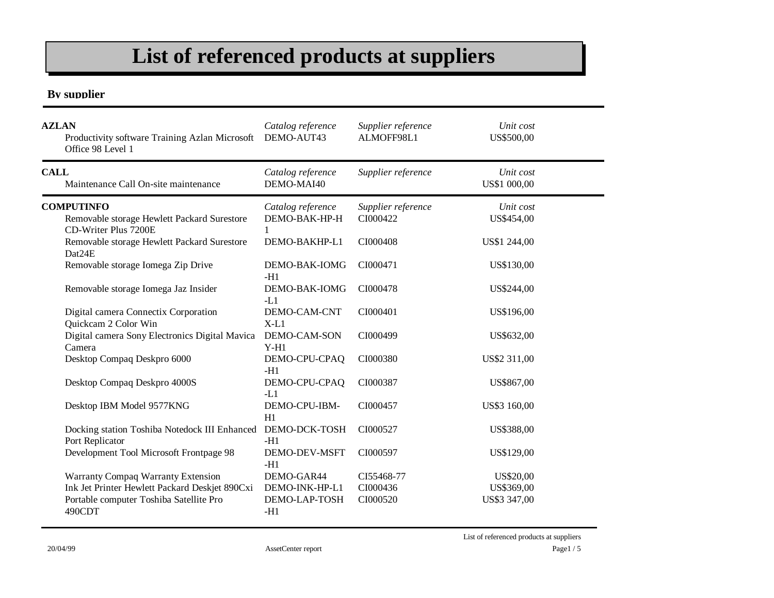### **List of referenced products at suppliers**

#### **By supplier**

| <b>AZLAN</b><br>Productivity software Training Azlan Microsoft<br>Office 98 Level 1      | Catalog reference<br>DEMO-AUT43    | Supplier reference<br>ALMOFF98L1 | Unit cost<br>US\$500,00   |  |
|------------------------------------------------------------------------------------------|------------------------------------|----------------------------------|---------------------------|--|
| <b>CALL</b><br>Maintenance Call On-site maintenance                                      | Catalog reference<br>DEMO-MAI40    | Supplier reference               | Unit cost<br>US\$1 000,00 |  |
| <b>COMPUTINFO</b><br>Removable storage Hewlett Packard Surestore<br>CD-Writer Plus 7200E | Catalog reference<br>DEMO-BAK-HP-H | Supplier reference<br>CI000422   | Unit cost<br>US\$454,00   |  |
| Removable storage Hewlett Packard Surestore<br>Dat24E                                    | DEMO-BAKHP-L1                      | CI000408                         | US\$1 244,00              |  |
| Removable storage Iomega Zip Drive                                                       | DEMO-BAK-IOMG<br>$-H1$             | CI000471                         | US\$130,00                |  |
| Removable storage Iomega Jaz Insider                                                     | DEMO-BAK-IOMG<br>$-L1$             | CI000478                         | US\$244,00                |  |
| Digital camera Connectix Corporation<br>Quickcam 2 Color Win                             | DEMO-CAM-CNT<br>$X-L1$             | CI000401                         | US\$196,00                |  |
| Digital camera Sony Electronics Digital Mavica<br>Camera                                 | DEMO-CAM-SON<br>$Y-H1$             | CI000499                         | US\$632,00                |  |
| Desktop Compaq Deskpro 6000                                                              | DEMO-CPU-CPAQ<br>$-H1$             | CI000380                         | US\$2 311,00              |  |
| Desktop Compaq Deskpro 4000S                                                             | DEMO-CPU-CPAQ<br>$-L1$             | CI000387                         | US\$867,00                |  |
| Desktop IBM Model 9577KNG                                                                | DEMO-CPU-IBM-<br>H1                | CI000457                         | US\$3 160,00              |  |
| Docking station Toshiba Notedock III Enhanced<br>Port Replicator                         | DEMO-DCK-TOSH<br>$-H1$             | CI000527                         | US\$388,00                |  |
| Development Tool Microsoft Frontpage 98                                                  | DEMO-DEV-MSFT<br>$-H1$             | CI000597                         | US\$129,00                |  |
| Warranty Compaq Warranty Extension                                                       | DEMO-GAR44                         | CI55468-77                       | US\$20,00                 |  |
| Ink Jet Printer Hewlett Packard Deskjet 890Cxi                                           | DEMO-INK-HP-L1                     | CI000436                         | US\$369,00                |  |
| Portable computer Toshiba Satellite Pro<br>490CDT                                        | DEMO-LAP-TOSH<br>-H1               | CI000520                         | US\$3 347,00              |  |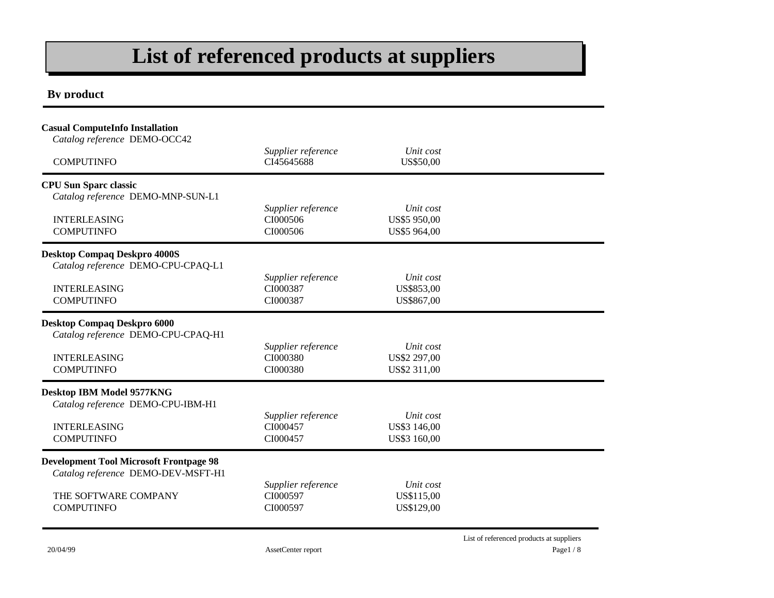### **List of referenced products at suppliers**

#### **By product**

| <b>Casual ComputeInfo Installation</b><br>Catalog reference DEMO-OCC42<br><b>COMPUTINFO</b>                                       | Supplier reference<br>CI45645688           | Unit cost<br>US\$50,00                    |  |
|-----------------------------------------------------------------------------------------------------------------------------------|--------------------------------------------|-------------------------------------------|--|
| <b>CPU Sun Sparc classic</b><br>Catalog reference DEMO-MNP-SUN-L1<br><b>INTERLEASING</b><br><b>COMPUTINFO</b>                     | Supplier reference<br>CI000506<br>CI000506 | Unit cost<br>US\$5 950,00<br>US\$5 964,00 |  |
| <b>Desktop Compaq Deskpro 4000S</b><br>Catalog reference DEMO-CPU-CPAQ-L1<br><b>INTERLEASING</b><br><b>COMPUTINFO</b>             | Supplier reference<br>CI000387<br>CI000387 | Unit cost<br>US\$853,00<br>US\$867,00     |  |
| <b>Desktop Compaq Deskpro 6000</b><br>Catalog reference DEMO-CPU-CPAQ-H1<br><b>INTERLEASING</b><br><b>COMPUTINFO</b>              | Supplier reference<br>CI000380<br>CI000380 | Unit cost<br>US\$2 297,00<br>US\$2 311,00 |  |
| Desktop IBM Model 9577KNG<br>Catalog reference DEMO-CPU-IBM-H1<br><b>INTERLEASING</b><br><b>COMPUTINFO</b>                        | Supplier reference<br>CI000457<br>CI000457 | Unit cost<br>US\$3 146,00<br>US\$3 160,00 |  |
| <b>Development Tool Microsoft Frontpage 98</b><br>Catalog reference DEMO-DEV-MSFT-H1<br>THE SOFTWARE COMPANY<br><b>COMPUTINFO</b> | Supplier reference<br>CI000597<br>CI000597 | Unit cost<br>US\$115,00<br>US\$129,00     |  |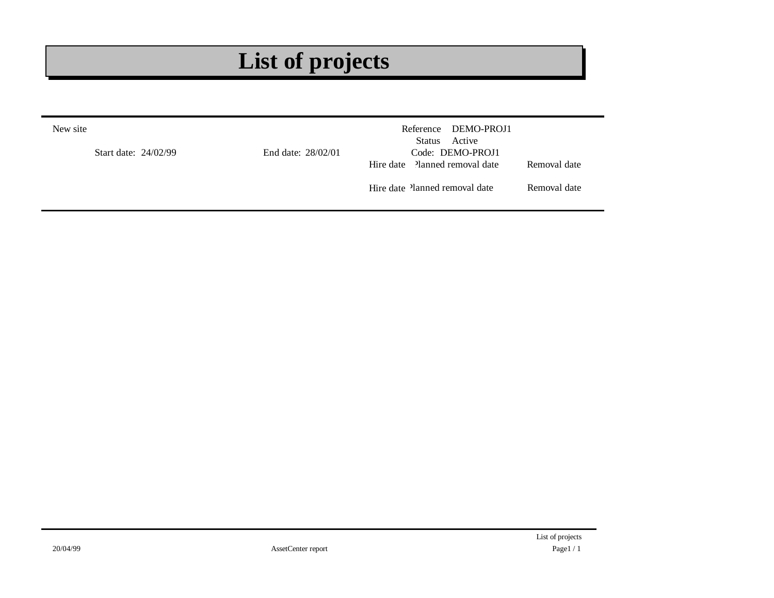# **List of projects**

| New site<br>Start date: 24/02/99 | End date: 28/02/01 | Reference DEMO-PROJ1<br>Active<br>Status<br>Code: DEMO-PROJ1 |              |
|----------------------------------|--------------------|--------------------------------------------------------------|--------------|
|                                  |                    | Hire date Planned removal date                               | Removal date |
|                                  |                    | Hire date Planned removal date                               | Removal date |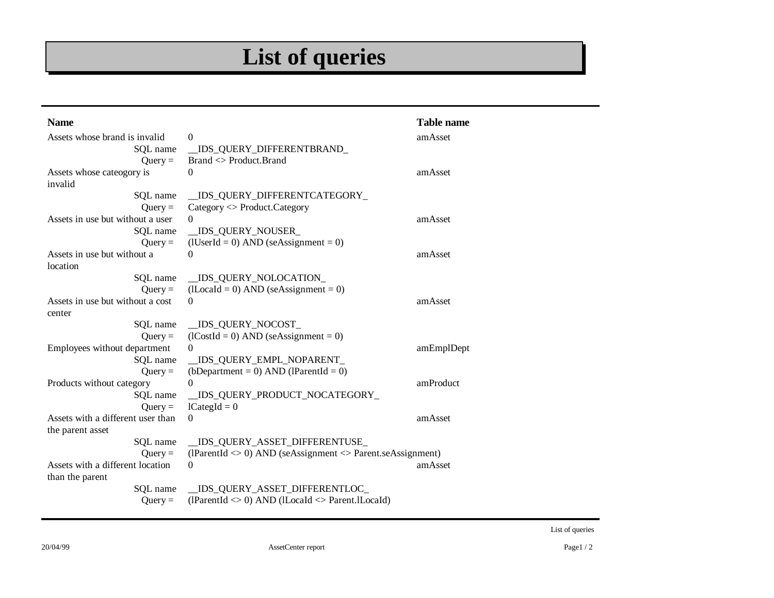# **List of queries**

| <b>Name</b>                       |                                                                                           | <b>Table name</b> |
|-----------------------------------|-------------------------------------------------------------------------------------------|-------------------|
| Assets whose brand is invalid     | $\Omega$                                                                                  | amAsset           |
| SQL name                          | IDS_QUERY_DIFFERENTBRAND_                                                                 |                   |
| $Query =$                         | Brand <> Product.Brand                                                                    |                   |
| Assets whose cateogory is         | $\Omega$                                                                                  | amAsset           |
| invalid                           |                                                                                           |                   |
| SQL name                          | _IDS_QUERY_DIFFERENTCATEGORY_                                                             |                   |
| $Query =$                         | $Category <$ Product. Category                                                            |                   |
| Assets in use but without a user  | $\Omega$                                                                                  | amAsset           |
| SQL name                          | IDS_QUERY_NOUSER_                                                                         |                   |
| $Query =$                         | $(IUserId = 0) AND$ (seAssignment = 0)                                                    |                   |
| Assets in use but without a       | $\Omega$                                                                                  | amAsset           |
| location                          |                                                                                           |                   |
| SQL name                          | _IDS_QUERY_NOLOCATION_                                                                    |                   |
| $Query =$                         | $(II_{\text{local}} = 0)$ AND (seAssignment = 0)                                          |                   |
| Assets in use but without a cost  | $\Omega$                                                                                  | amAsset           |
| center                            |                                                                                           |                   |
| SQL name                          | _IDS_QUERY_NOCOST_                                                                        |                   |
| $Query =$                         | $(1CostId = 0)$ AND $(seAssignment = 0)$                                                  |                   |
| Employees without department      | $\Omega$                                                                                  | amEmplDept        |
| SQL name                          | IDS_QUERY_EMPL_NOPARENT_                                                                  |                   |
| $Query =$                         | (bDepartment = 0) AND (lParentId = 0)                                                     |                   |
| Products without category         | $\Omega$                                                                                  | amProduct         |
| SQL name                          | _IDS_QUERY_PRODUCT_NOCATEGORY_                                                            |                   |
| $Query =$                         | $l$ CategId = 0                                                                           |                   |
| Assets with a different user than | $\Omega$                                                                                  | amAsset           |
| the parent asset                  |                                                                                           |                   |
| SQL name                          | IDS_QUERY_ASSET_DIFFERENTUSE_                                                             |                   |
| $Query =$                         | (lParentId $\langle 0 \rangle$ AND (seAssignment $\langle 0 \rangle$ Parent.seAssignment) |                   |
| Assets with a different location  | $\Omega$                                                                                  | amAsset           |
| than the parent                   |                                                                                           |                   |
| SQL name                          | _IDS_QUERY_ASSET_DIFFERENTLOC_                                                            |                   |
| $Query =$                         | (IParentId $\langle 0 \rangle$ AND (ILocaId $\langle 1 \rangle$ Parent.ILocaId)           |                   |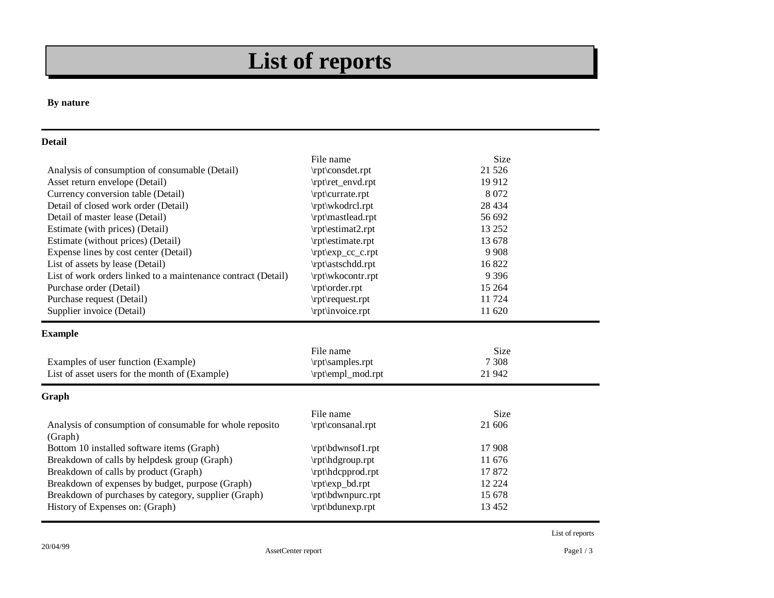# **List of reports**

#### **By nature**

#### **Detail**

|                                                                     | File name         | <b>Size</b> |  |
|---------------------------------------------------------------------|-------------------|-------------|--|
| Analysis of consumption of consumable (Detail)                      | \rpt\consdet.rpt  | 21 5 26     |  |
| Asset return envelope (Detail)                                      | \rpt\ret_envd.rpt | 19912       |  |
| Currency conversion table (Detail)                                  | \rpt\currate.rpt  | 8 0 7 2     |  |
| Detail of closed work order (Detail)                                | \rpt\wkodrcl.rpt  | 28 4 34     |  |
| Detail of master lease (Detail)                                     | \rpt\mastlead.rpt | 56 692      |  |
| Estimate (with prices) (Detail)                                     | \rpt\estimat2.rpt | 13 25 2     |  |
| Estimate (without prices) (Detail)                                  | \rpt\estimate.rpt | 13 678      |  |
| Expense lines by cost center (Detail)                               | \rpt\exp_cc_c.rpt | 9 9 0 8     |  |
| List of assets by lease (Detail)                                    | \rpt\astschdd.rpt | 16822       |  |
| List of work orders linked to a maintenance contract (Detail)       | \rpt\wkocontr.rpt | 9 3 9 6     |  |
| Purchase order (Detail)                                             | \rpt\order.rpt    | 15 2 64     |  |
| Purchase request (Detail)                                           | \rpt\request.rpt  | 11 724      |  |
| Supplier invoice (Detail)                                           | \rpt\invoice.rpt  | 11 620      |  |
| <b>Example</b>                                                      |                   |             |  |
|                                                                     | File name         | <b>Size</b> |  |
| Examples of user function (Example)                                 | \rpt\samples.rpt  | 7 3 0 8     |  |
| List of asset users for the month of (Example)                      | \rpt\empl_mod.rpt | 21 942      |  |
| Graph                                                               |                   |             |  |
|                                                                     | File name         | <b>Size</b> |  |
| Analysis of consumption of consumable for whole reposito<br>(Graph) | \rpt\consanal.rpt | 21 606      |  |
| Bottom 10 installed software items (Graph)                          | \rpt\bdwnsof1.rpt | 17 908      |  |
| Breakdown of calls by helpdesk group (Graph)                        | \rpt\hdgroup.rpt  | 11 676      |  |
| Breakdown of calls by product (Graph)                               | \rpt\hdcpprod.rpt | 17872       |  |
| Breakdown of expenses by budget, purpose (Graph)                    | \rpt\exp_bd.rpt   | 12 2 2 4    |  |
| Breakdown of purchases by category, supplier (Graph)                | \rpt\bdwnpurc.rpt | 15 678      |  |
| History of Expenses on: (Graph)                                     | \rpt\bdunexp.rpt  | 13 4 52     |  |

List of reports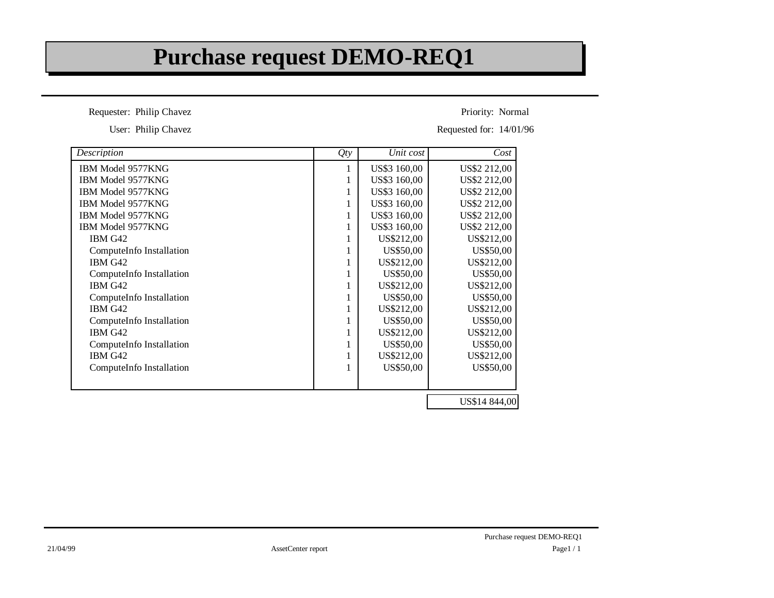### **Purchase request DEMO-REQ1**

Requester: Philip Chavez

User: Philip Chavez

Priority: Normal

Requested for: 14/01/96

| Description              | Qty          | Unit cost    | Cost          |
|--------------------------|--------------|--------------|---------------|
| IBM Model 9577KNG        | 1            | US\$3 160,00 | US\$2 212,00  |
| IBM Model 9577KNG        |              | US\$3 160,00 | US\$2 212,00  |
| IBM Model 9577KNG        | 1            | US\$3 160,00 | US\$2 212,00  |
| IBM Model 9577KNG        |              | US\$3 160,00 | US\$2 212,00  |
| IBM Model 9577KNG        |              | US\$3 160,00 | US\$2 212,00  |
| <b>IBM Model 9577KNG</b> | 1            | US\$3 160,00 | US\$2 212,00  |
| IBM G42                  |              | US\$212,00   | US\$212,00    |
| ComputeInfo Installation |              | US\$50,00    | US\$50,00     |
| IBM G42                  | 1            | US\$212,00   | US\$212,00    |
| ComputeInfo Installation |              | US\$50,00    | US\$50,00     |
| IBM G42                  |              | US\$212,00   | US\$212,00    |
| ComputeInfo Installation | 1            | US\$50,00    | US\$50,00     |
| IBM G42                  |              | US\$212,00   | US\$212,00    |
| ComputeInfo Installation |              | US\$50,00    | US\$50,00     |
| IBM G42                  | 1            | US\$212,00   | US\$212,00    |
| ComputeInfo Installation | 1            | US\$50,00    | US\$50,00     |
| IBM G42                  |              | US\$212,00   | US\$212,00    |
| ComputeInfo Installation | $\mathbf{1}$ | US\$50,00    | US\$50,00     |
|                          |              |              |               |
|                          |              |              | US\$14 844,00 |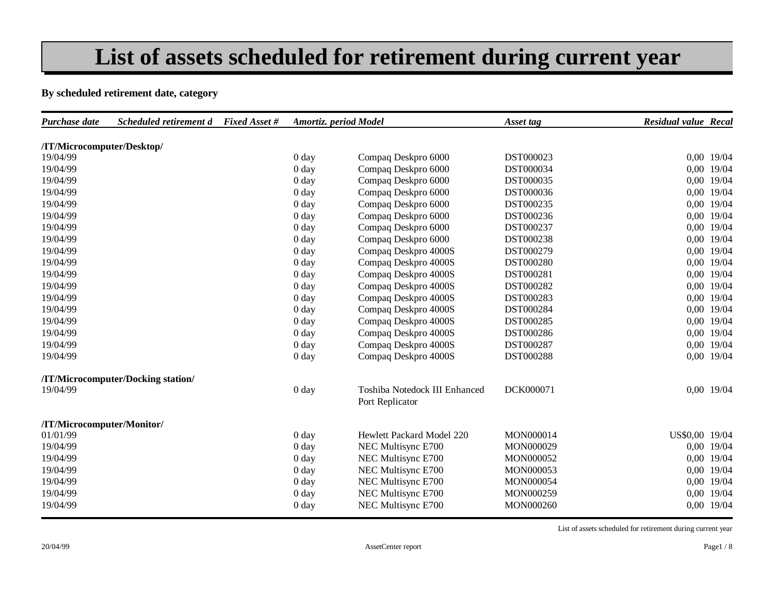### **List of assets scheduled for retirement during current year**

#### **By scheduled retirement date, category**

| /IT/Microcomputer/Desktop/<br>DST000023<br>0,00 19/04<br>0 <sub>day</sub><br>Compaq Deskpro 6000<br>0 <sub>day</sub><br>Compaq Deskpro 6000<br>0,00 19/04<br>DST000034<br>0,00 19/04<br>DST000035<br>0 <sub>day</sub><br>Compaq Deskpro 6000<br>0,00 19/04<br>0 <sub>day</sub><br>Compaq Deskpro 6000<br>DST000036<br>Compaq Deskpro 6000<br>0,00 19/04<br>0 <sub>day</sub><br>DST000235<br>Compaq Deskpro 6000<br>0,00 19/04<br>0 <sub>day</sub><br>DST000236<br>Compaq Deskpro 6000<br>DST000237<br>0,00 19/04<br>0 <sub>day</sub><br>0,00 19/04<br>Compaq Deskpro 6000<br>DST000238<br>0 <sub>day</sub><br>0,00 19/04<br>Compaq Deskpro 4000S<br>DST000279<br>0 <sub>day</sub><br>0,00 19/04<br>Compaq Deskpro 4000S<br>DST000280<br>0 <sub>day</sub><br>Compaq Deskpro 4000S<br>DST000281<br>0,00 19/04<br>0 <sub>day</sub><br>0,00 19/04<br>0 <sub>day</sub><br>Compaq Deskpro 4000S<br>DST000282<br>0,00 19/04<br>Compaq Deskpro 4000S<br>DST000283<br>0 <sub>day</sub><br>0,00 19/04<br>DST000284<br>0 <sub>day</sub><br>Compaq Deskpro 4000S<br>0,00 19/04<br>Compaq Deskpro 4000S<br>0 <sub>day</sub><br>DST000285<br>Compaq Deskpro 4000S<br>DST000286<br>0,00 19/04<br>0 <sub>day</sub><br>Compaq Deskpro 4000S<br>DST000287<br>0,00 19/04<br>0 <sub>day</sub><br>Compaq Deskpro 4000S<br>0,00 19/04<br>0 <sub>day</sub><br>DST000288<br>/IT/Microcomputer/Docking station/<br>DCK000071<br>0,00 19/04<br>0 <sub>day</sub><br>Toshiba Notedock III Enhanced<br>Port Replicator<br>/IT/Microcomputer/Monitor/<br>US\$0,00 19/04<br>Hewlett Packard Model 220<br>MON000014<br>0 <sub>day</sub><br>0 <sub>day</sub><br>NEC Multisync E700<br>MON000029<br>0,00 19/04<br>0,00 19/04<br>NEC Multisync E700<br>0 <sub>day</sub><br>MON000052<br>NEC Multisync E700<br>0,00 19/04<br>0 <sub>day</sub><br>MON000053<br>NEC Multisync E700<br>0,00 19/04<br>0 <sub>day</sub><br>MON000054<br>NEC Multisync E700<br>0,00 19/04<br>MON000259<br>0 <sub>day</sub><br>0,00 19/04<br>NEC Multisync E700<br>MON000260<br>0 <sub>day</sub> | Purchase date | Scheduled retirement d Fixed Asset # | Amortiz. period Model | Asset tag | <b>Residual value Recal</b> |  |
|---------------------------------------------------------------------------------------------------------------------------------------------------------------------------------------------------------------------------------------------------------------------------------------------------------------------------------------------------------------------------------------------------------------------------------------------------------------------------------------------------------------------------------------------------------------------------------------------------------------------------------------------------------------------------------------------------------------------------------------------------------------------------------------------------------------------------------------------------------------------------------------------------------------------------------------------------------------------------------------------------------------------------------------------------------------------------------------------------------------------------------------------------------------------------------------------------------------------------------------------------------------------------------------------------------------------------------------------------------------------------------------------------------------------------------------------------------------------------------------------------------------------------------------------------------------------------------------------------------------------------------------------------------------------------------------------------------------------------------------------------------------------------------------------------------------------------------------------------------------------------------------------------------------------------------------------------------------------------------------------------------------------------------------|---------------|--------------------------------------|-----------------------|-----------|-----------------------------|--|
|                                                                                                                                                                                                                                                                                                                                                                                                                                                                                                                                                                                                                                                                                                                                                                                                                                                                                                                                                                                                                                                                                                                                                                                                                                                                                                                                                                                                                                                                                                                                                                                                                                                                                                                                                                                                                                                                                                                                                                                                                                       |               |                                      |                       |           |                             |  |
|                                                                                                                                                                                                                                                                                                                                                                                                                                                                                                                                                                                                                                                                                                                                                                                                                                                                                                                                                                                                                                                                                                                                                                                                                                                                                                                                                                                                                                                                                                                                                                                                                                                                                                                                                                                                                                                                                                                                                                                                                                       | 19/04/99      |                                      |                       |           |                             |  |
|                                                                                                                                                                                                                                                                                                                                                                                                                                                                                                                                                                                                                                                                                                                                                                                                                                                                                                                                                                                                                                                                                                                                                                                                                                                                                                                                                                                                                                                                                                                                                                                                                                                                                                                                                                                                                                                                                                                                                                                                                                       | 19/04/99      |                                      |                       |           |                             |  |
|                                                                                                                                                                                                                                                                                                                                                                                                                                                                                                                                                                                                                                                                                                                                                                                                                                                                                                                                                                                                                                                                                                                                                                                                                                                                                                                                                                                                                                                                                                                                                                                                                                                                                                                                                                                                                                                                                                                                                                                                                                       | 19/04/99      |                                      |                       |           |                             |  |
|                                                                                                                                                                                                                                                                                                                                                                                                                                                                                                                                                                                                                                                                                                                                                                                                                                                                                                                                                                                                                                                                                                                                                                                                                                                                                                                                                                                                                                                                                                                                                                                                                                                                                                                                                                                                                                                                                                                                                                                                                                       | 19/04/99      |                                      |                       |           |                             |  |
|                                                                                                                                                                                                                                                                                                                                                                                                                                                                                                                                                                                                                                                                                                                                                                                                                                                                                                                                                                                                                                                                                                                                                                                                                                                                                                                                                                                                                                                                                                                                                                                                                                                                                                                                                                                                                                                                                                                                                                                                                                       | 19/04/99      |                                      |                       |           |                             |  |
|                                                                                                                                                                                                                                                                                                                                                                                                                                                                                                                                                                                                                                                                                                                                                                                                                                                                                                                                                                                                                                                                                                                                                                                                                                                                                                                                                                                                                                                                                                                                                                                                                                                                                                                                                                                                                                                                                                                                                                                                                                       | 19/04/99      |                                      |                       |           |                             |  |
|                                                                                                                                                                                                                                                                                                                                                                                                                                                                                                                                                                                                                                                                                                                                                                                                                                                                                                                                                                                                                                                                                                                                                                                                                                                                                                                                                                                                                                                                                                                                                                                                                                                                                                                                                                                                                                                                                                                                                                                                                                       | 19/04/99      |                                      |                       |           |                             |  |
|                                                                                                                                                                                                                                                                                                                                                                                                                                                                                                                                                                                                                                                                                                                                                                                                                                                                                                                                                                                                                                                                                                                                                                                                                                                                                                                                                                                                                                                                                                                                                                                                                                                                                                                                                                                                                                                                                                                                                                                                                                       | 19/04/99      |                                      |                       |           |                             |  |
|                                                                                                                                                                                                                                                                                                                                                                                                                                                                                                                                                                                                                                                                                                                                                                                                                                                                                                                                                                                                                                                                                                                                                                                                                                                                                                                                                                                                                                                                                                                                                                                                                                                                                                                                                                                                                                                                                                                                                                                                                                       | 19/04/99      |                                      |                       |           |                             |  |
|                                                                                                                                                                                                                                                                                                                                                                                                                                                                                                                                                                                                                                                                                                                                                                                                                                                                                                                                                                                                                                                                                                                                                                                                                                                                                                                                                                                                                                                                                                                                                                                                                                                                                                                                                                                                                                                                                                                                                                                                                                       | 19/04/99      |                                      |                       |           |                             |  |
|                                                                                                                                                                                                                                                                                                                                                                                                                                                                                                                                                                                                                                                                                                                                                                                                                                                                                                                                                                                                                                                                                                                                                                                                                                                                                                                                                                                                                                                                                                                                                                                                                                                                                                                                                                                                                                                                                                                                                                                                                                       | 19/04/99      |                                      |                       |           |                             |  |
|                                                                                                                                                                                                                                                                                                                                                                                                                                                                                                                                                                                                                                                                                                                                                                                                                                                                                                                                                                                                                                                                                                                                                                                                                                                                                                                                                                                                                                                                                                                                                                                                                                                                                                                                                                                                                                                                                                                                                                                                                                       | 19/04/99      |                                      |                       |           |                             |  |
|                                                                                                                                                                                                                                                                                                                                                                                                                                                                                                                                                                                                                                                                                                                                                                                                                                                                                                                                                                                                                                                                                                                                                                                                                                                                                                                                                                                                                                                                                                                                                                                                                                                                                                                                                                                                                                                                                                                                                                                                                                       | 19/04/99      |                                      |                       |           |                             |  |
|                                                                                                                                                                                                                                                                                                                                                                                                                                                                                                                                                                                                                                                                                                                                                                                                                                                                                                                                                                                                                                                                                                                                                                                                                                                                                                                                                                                                                                                                                                                                                                                                                                                                                                                                                                                                                                                                                                                                                                                                                                       | 19/04/99      |                                      |                       |           |                             |  |
|                                                                                                                                                                                                                                                                                                                                                                                                                                                                                                                                                                                                                                                                                                                                                                                                                                                                                                                                                                                                                                                                                                                                                                                                                                                                                                                                                                                                                                                                                                                                                                                                                                                                                                                                                                                                                                                                                                                                                                                                                                       | 19/04/99      |                                      |                       |           |                             |  |
|                                                                                                                                                                                                                                                                                                                                                                                                                                                                                                                                                                                                                                                                                                                                                                                                                                                                                                                                                                                                                                                                                                                                                                                                                                                                                                                                                                                                                                                                                                                                                                                                                                                                                                                                                                                                                                                                                                                                                                                                                                       | 19/04/99      |                                      |                       |           |                             |  |
|                                                                                                                                                                                                                                                                                                                                                                                                                                                                                                                                                                                                                                                                                                                                                                                                                                                                                                                                                                                                                                                                                                                                                                                                                                                                                                                                                                                                                                                                                                                                                                                                                                                                                                                                                                                                                                                                                                                                                                                                                                       | 19/04/99      |                                      |                       |           |                             |  |
|                                                                                                                                                                                                                                                                                                                                                                                                                                                                                                                                                                                                                                                                                                                                                                                                                                                                                                                                                                                                                                                                                                                                                                                                                                                                                                                                                                                                                                                                                                                                                                                                                                                                                                                                                                                                                                                                                                                                                                                                                                       | 19/04/99      |                                      |                       |           |                             |  |
|                                                                                                                                                                                                                                                                                                                                                                                                                                                                                                                                                                                                                                                                                                                                                                                                                                                                                                                                                                                                                                                                                                                                                                                                                                                                                                                                                                                                                                                                                                                                                                                                                                                                                                                                                                                                                                                                                                                                                                                                                                       |               |                                      |                       |           |                             |  |
|                                                                                                                                                                                                                                                                                                                                                                                                                                                                                                                                                                                                                                                                                                                                                                                                                                                                                                                                                                                                                                                                                                                                                                                                                                                                                                                                                                                                                                                                                                                                                                                                                                                                                                                                                                                                                                                                                                                                                                                                                                       | 19/04/99      |                                      |                       |           |                             |  |
|                                                                                                                                                                                                                                                                                                                                                                                                                                                                                                                                                                                                                                                                                                                                                                                                                                                                                                                                                                                                                                                                                                                                                                                                                                                                                                                                                                                                                                                                                                                                                                                                                                                                                                                                                                                                                                                                                                                                                                                                                                       |               |                                      |                       |           |                             |  |
|                                                                                                                                                                                                                                                                                                                                                                                                                                                                                                                                                                                                                                                                                                                                                                                                                                                                                                                                                                                                                                                                                                                                                                                                                                                                                                                                                                                                                                                                                                                                                                                                                                                                                                                                                                                                                                                                                                                                                                                                                                       | 01/01/99      |                                      |                       |           |                             |  |
|                                                                                                                                                                                                                                                                                                                                                                                                                                                                                                                                                                                                                                                                                                                                                                                                                                                                                                                                                                                                                                                                                                                                                                                                                                                                                                                                                                                                                                                                                                                                                                                                                                                                                                                                                                                                                                                                                                                                                                                                                                       | 19/04/99      |                                      |                       |           |                             |  |
|                                                                                                                                                                                                                                                                                                                                                                                                                                                                                                                                                                                                                                                                                                                                                                                                                                                                                                                                                                                                                                                                                                                                                                                                                                                                                                                                                                                                                                                                                                                                                                                                                                                                                                                                                                                                                                                                                                                                                                                                                                       | 19/04/99      |                                      |                       |           |                             |  |
|                                                                                                                                                                                                                                                                                                                                                                                                                                                                                                                                                                                                                                                                                                                                                                                                                                                                                                                                                                                                                                                                                                                                                                                                                                                                                                                                                                                                                                                                                                                                                                                                                                                                                                                                                                                                                                                                                                                                                                                                                                       | 19/04/99      |                                      |                       |           |                             |  |
|                                                                                                                                                                                                                                                                                                                                                                                                                                                                                                                                                                                                                                                                                                                                                                                                                                                                                                                                                                                                                                                                                                                                                                                                                                                                                                                                                                                                                                                                                                                                                                                                                                                                                                                                                                                                                                                                                                                                                                                                                                       | 19/04/99      |                                      |                       |           |                             |  |
|                                                                                                                                                                                                                                                                                                                                                                                                                                                                                                                                                                                                                                                                                                                                                                                                                                                                                                                                                                                                                                                                                                                                                                                                                                                                                                                                                                                                                                                                                                                                                                                                                                                                                                                                                                                                                                                                                                                                                                                                                                       | 19/04/99      |                                      |                       |           |                             |  |
|                                                                                                                                                                                                                                                                                                                                                                                                                                                                                                                                                                                                                                                                                                                                                                                                                                                                                                                                                                                                                                                                                                                                                                                                                                                                                                                                                                                                                                                                                                                                                                                                                                                                                                                                                                                                                                                                                                                                                                                                                                       | 19/04/99      |                                      |                       |           |                             |  |

List of assets scheduled for retirement during current year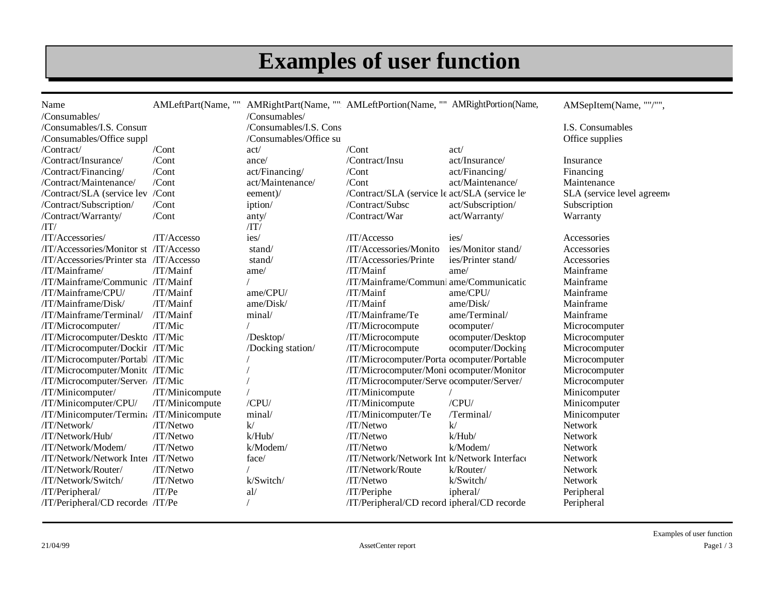# **Examples of user function**

| Name                                     |                 |                             | AMLeftPart(Name, "" AMRightPart(Name, "" AMLeftPortion(Name, "" AMRightPortion(Name, |                    | AMSepItem(Name, ""/"",    |
|------------------------------------------|-----------------|-----------------------------|--------------------------------------------------------------------------------------|--------------------|---------------------------|
| /Consumables/                            |                 | /Consumables/               |                                                                                      |                    |                           |
| /Consumables/I.S. Consum                 |                 | /Consumables/I.S. Cons      |                                                                                      |                    | I.S. Consumables          |
| /Consumables/Office suppl                |                 | /Consumables/Office su      |                                                                                      |                    | Office supplies           |
| /Contract/                               | $/$ Cont        | act/                        | $/$ Cont                                                                             | act/               |                           |
| /Contract/Insurance/                     | /Cont           | ance/                       | /Contract/Insu                                                                       | act/Insurance/     | Insurance                 |
| /Contract/Financing/                     | $/$ Cont        | act/Financing/              | $/$ Cont                                                                             | act/Financing/     | Financing                 |
| /Contract/Maintenance/                   | /Cont           | act/Maintenance/            | /Cont                                                                                | act/Maintenance/   | Maintenance               |
| /Contract/SLA (service lev               | /Cont           | eement)/                    | /Contract/SLA (service le act/SLA (service le                                        |                    | SLA (service level agreem |
| /Contract/Subscription/                  | /Cont           | iption/                     | /Contract/Subsc                                                                      | act/Subscription/  | Subscription              |
| /Contract/Warranty/                      | /Cont           | anty/                       | /Contract/War                                                                        | act/Warranty/      | Warranty                  |
| $\langle \text{IT} \rangle$              |                 | $\langle \text{IT} \rangle$ |                                                                                      |                    |                           |
| /IT/Accessories/                         | /IT/Accesso     | ies/                        | /IT/Accesso                                                                          | ies/               | Accessories               |
| /IT/Accessories/Monitor st /IT/Accesso   |                 | stand/                      | /IT/Accessories/Monito                                                               | ies/Monitor stand/ | Accessories               |
| /IT/Accessories/Printer sta: /IT/Accesso |                 | stand/                      | /IT/Accessories/Printe                                                               | ies/Printer stand/ | Accessories               |
| /IT/Mainframe/                           | /IT/Mainf       | ame/                        | /IT/Mainf                                                                            | ame/               | Mainframe                 |
| /IT/Mainframe/Communic /IT/Mainf         |                 |                             | /IT/Mainframe/Communi ame/Communicatic                                               |                    | Mainframe                 |
| /IT/Mainframe/CPU/                       | /IT/Mainf       | ame/CPU/                    | /IT/Mainf                                                                            | ame/CPU/           | Mainframe                 |
| /IT/Mainframe/Disk/                      | /IT/Mainf       | ame/Disk/                   | /IT/Mainf                                                                            | ame/Disk/          | Mainframe                 |
| /IT/Mainframe/Terminal/                  | /IT/Mainf       | minal/                      | /IT/Mainframe/Te                                                                     | ame/Terminal/      | Mainframe                 |
| /IT/Microcomputer/                       | /IT/Mic         |                             | /IT/Microcompute                                                                     | ocomputer/         | Microcomputer             |
| /IT/Microcomputer/Deskto /IT/Mic         |                 | /Desktop/                   | /IT/Microcompute                                                                     | ocomputer/Desktop  | Microcomputer             |
| /IT/Microcomputer/Dockin /IT/Mic         |                 | /Docking station/           | /IT/Microcompute                                                                     | ocomputer/Docking  | Microcomputer             |
| /IT/Microcomputer/Portabl /IT/Mic        |                 |                             | /IT/Microcomputer/Porta ocomputer/Portable                                           |                    | Microcomputer             |
| /IT/Microcomputer/Monitc /IT/Mic         |                 |                             | /IT/Microcomputer/Moni ocomputer/Monitor                                             |                    | Microcomputer             |
| /IT/Microcomputer/Server/ /IT/Mic        |                 |                             | /IT/Microcomputer/Serve ocomputer/Server/                                            |                    | Microcomputer             |
| /IT/Minicomputer/                        | /IT/Minicompute |                             | /IT/Minicompute                                                                      |                    | Minicomputer              |
| /IT/Minicomputer/CPU/                    | /IT/Minicompute | /CPU/                       | /IT/Minicompute                                                                      | /CPU/              | Minicomputer              |
| /IT/Minicomputer/Termina /IT/Minicompute |                 | minal/                      | /IT/Minicomputer/Te                                                                  | /Terminal/         | Minicomputer              |
| /IT/Network/                             | /IT/Netwo       | k/                          | $/IT/N$ etwo                                                                         | k/                 | Network                   |
| /IT/Network/Hub/                         | /IT/Netwo       | k/Hub/                      | /IT/Netwo                                                                            | k/Hub/             | Network                   |
| /IT/Network/Modem/                       | $/IT/N$ etwo    | $k/M$ odem/                 | $/IT/N$ etwo                                                                         | $k/M$ odem/        | Network                   |
| /IT/Network/Network Inter /IT/Netwo      |                 | face/                       | /IT/Network/Network Int k/Network Interface                                          |                    | Network                   |
| /IT/Network/Router/                      | /IT/Netwo       |                             | /IT/Network/Route                                                                    | k/Router/          | Network                   |
| /IT/Network/Switch/                      | /IT/Netwo       | k/Switch/                   | /IT/Netwo                                                                            | k/Switch/          | <b>Network</b>            |
| /IT/Peripheral/                          | /IT/Pe          | al/                         | /IT/Periphe                                                                          | ipheral/           | Peripheral                |
| /IT/Peripheral/CD recorde: /IT/Pe        |                 |                             | /IT/Peripheral/CD record ipheral/CD recorde                                          |                    | Peripheral                |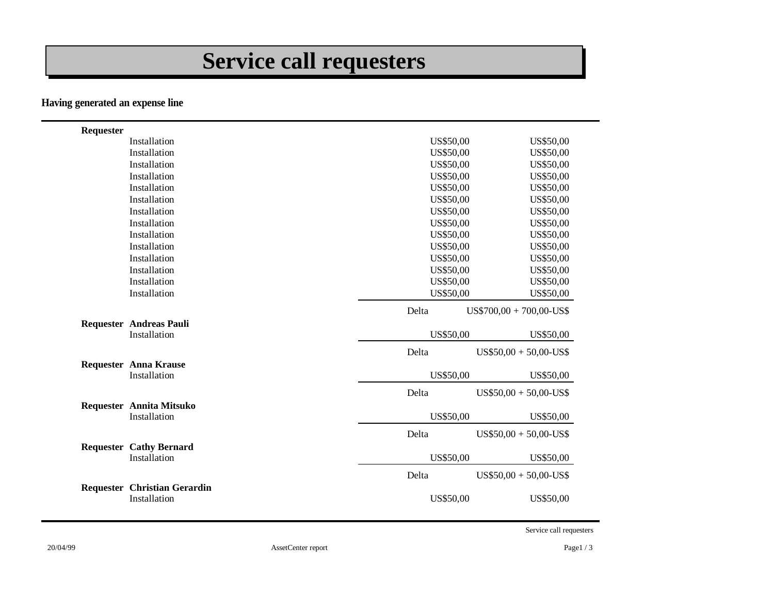# **Service call requesters**

#### **Having generated an expense line**

| Requester |                                                     |           |                            |
|-----------|-----------------------------------------------------|-----------|----------------------------|
|           | Installation                                        | US\$50,00 | US\$50,00                  |
|           | Installation                                        | US\$50,00 | US\$50,00                  |
|           | Installation                                        | US\$50,00 | US\$50,00                  |
|           | Installation                                        | US\$50,00 | US\$50,00                  |
|           | Installation                                        | US\$50,00 | US\$50,00                  |
|           | Installation                                        | US\$50,00 | US\$50,00                  |
|           | Installation                                        | US\$50,00 | US\$50,00                  |
|           | Installation                                        | US\$50,00 | US\$50,00                  |
|           | Installation                                        | US\$50,00 | US\$50,00                  |
|           | Installation                                        | US\$50,00 | US\$50,00                  |
|           | Installation                                        | US\$50,00 | US\$50,00                  |
|           | Installation                                        | US\$50,00 | US\$50,00                  |
|           | Installation                                        | US\$50,00 | US\$50,00                  |
|           | Installation                                        | US\$50,00 | US\$50,00                  |
|           |                                                     | Delta     | $US$700,00 + 700,00$ -US\$ |
|           | <b>Requester Andreas Pauli</b>                      |           |                            |
|           | Installation                                        | US\$50,00 | US\$50,00                  |
|           |                                                     | Delta     | $US$50,00 + 50,00-US$$     |
|           | <b>Requester Anna Krause</b><br>Installation        | US\$50,00 | US\$50,00                  |
|           |                                                     | Delta     | $US$50,00 + 50,00-US$$     |
|           | <b>Requester Annita Mitsuko</b><br>Installation     | US\$50,00 | US\$50,00                  |
|           |                                                     | Delta     | $US$50,00 + 50,00-US$$     |
|           | <b>Requester Cathy Bernard</b><br>Installation      | US\$50,00 | US\$50,00                  |
|           |                                                     | Delta     | $US$50,00 + 50,00-US$$     |
|           | <b>Requester Christian Gerardin</b><br>Installation | US\$50,00 | US\$50,00                  |

Service call requesters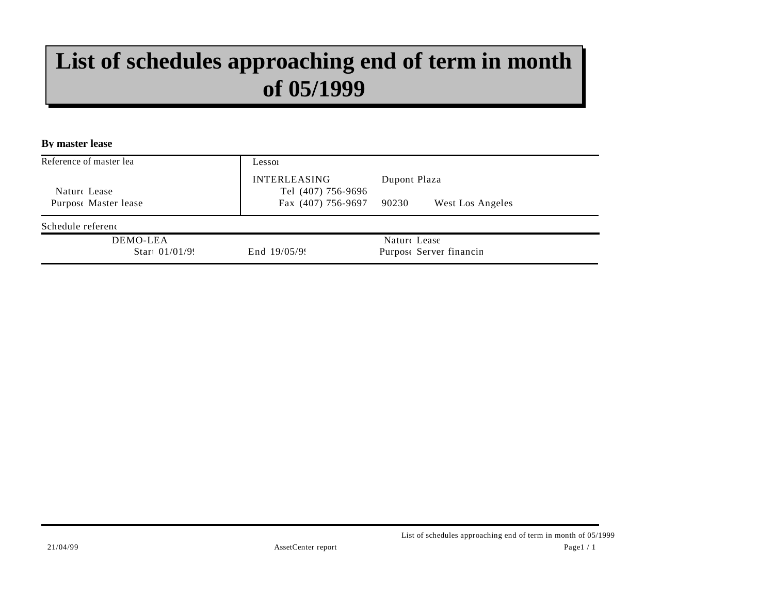## **List of schedules approaching end of term in month of 05/1999**

**By master lease**

| Reference of master lea       | Lesson                                    |                                         |
|-------------------------------|-------------------------------------------|-----------------------------------------|
| Nature Lease                  | <b>INTERLEASING</b><br>Tel (407) 756-9696 | Dupont Plaza                            |
| Purpose Master lease          | Fax (407) 756-9697                        | 90230<br>West Los Angeles               |
| Schedule referenc             |                                           |                                         |
| DEMO-LEA<br>Start $01/01/9$ . | End $19/05/99$                            | Nature Lease<br>Purpose Server financin |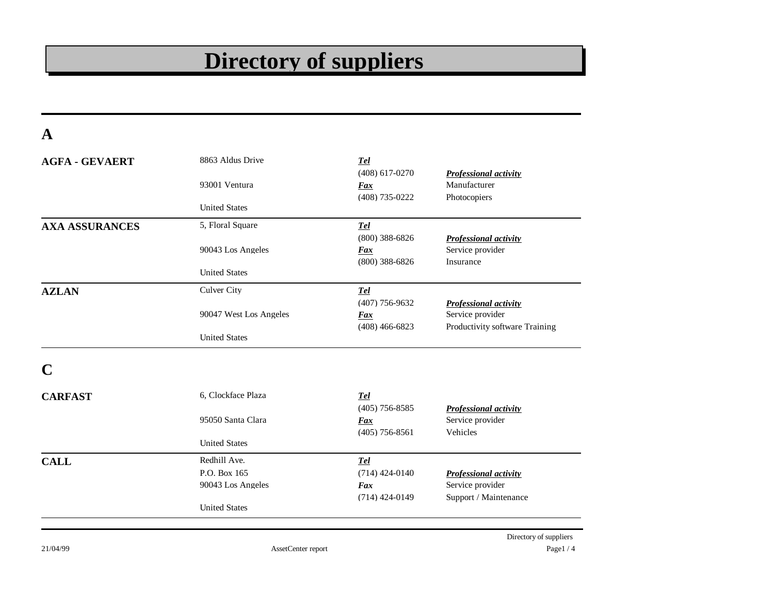# **Directory of suppliers**

**A**

| <b>AGFA - GEVAERT</b> | 8863 Aldus Drive       | <b>Tel</b>       |                                |
|-----------------------|------------------------|------------------|--------------------------------|
|                       |                        | $(408)$ 617-0270 | <b>Professional activity</b>   |
|                       | 93001 Ventura          | Fax              | Manufacturer                   |
|                       |                        | $(408)$ 735-0222 | Photocopiers                   |
|                       | <b>United States</b>   |                  |                                |
| <b>AXA ASSURANCES</b> | 5, Floral Square       | <b>Tel</b>       |                                |
|                       |                        | $(800)$ 388-6826 | <b>Professional activity</b>   |
|                       | 90043 Los Angeles      | <b>Fax</b>       | Service provider               |
|                       |                        | $(800)$ 388-6826 | Insurance                      |
|                       | <b>United States</b>   |                  |                                |
| <b>AZLAN</b>          | <b>Culver City</b>     | <b>Tel</b>       |                                |
|                       |                        | $(407)$ 756-9632 | <b>Professional activity</b>   |
|                       | 90047 West Los Angeles | <b>Fax</b>       | Service provider               |
|                       |                        | $(408)$ 466-6823 | Productivity software Training |
|                       | <b>United States</b>   |                  |                                |
|                       |                        |                  |                                |
| <b>CARFAST</b>        | 6. Clockface Plaza     | <b>Tel</b>       |                                |
|                       |                        | $(405)$ 756-8585 | Professional activity          |
|                       | 95050 Santa Clara      | <b>Fax</b>       | Service provider               |
|                       |                        | $(405)$ 756-8561 | Vehicles                       |
|                       | <b>United States</b>   |                  |                                |
| <b>CALL</b>           | Redhill Ave.           | <b>Tel</b>       |                                |
|                       | P.O. Box 165           | $(714)$ 424-0140 | Professional activity          |
|                       | 90043 Los Angeles      | Fax              | Service provider               |
|                       |                        | $(714)$ 424-0149 | Support / Maintenance          |
|                       | <b>United States</b>   |                  |                                |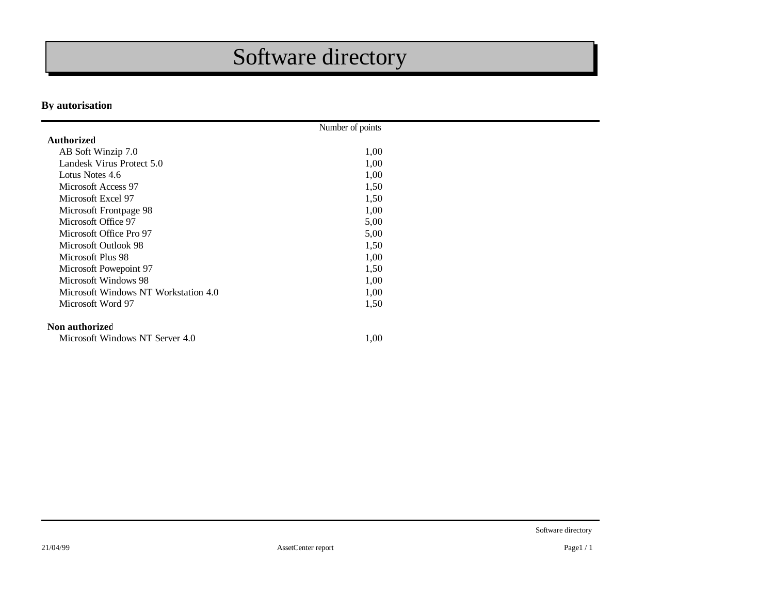# Software directory

#### **By autorisation**

|                                      | Number of points |  |
|--------------------------------------|------------------|--|
| <b>Authorized</b>                    |                  |  |
| AB Soft Winzip 7.0                   | 1,00             |  |
| Landesk Virus Protect 5.0            | 1,00             |  |
| Lotus Notes 4.6                      | 1,00             |  |
| Microsoft Access 97                  | 1,50             |  |
| Microsoft Excel 97                   | 1,50             |  |
| Microsoft Frontpage 98               | 1,00             |  |
| Microsoft Office 97                  | 5,00             |  |
| Microsoft Office Pro 97              | 5,00             |  |
| Microsoft Outlook 98                 | 1,50             |  |
| Microsoft Plus 98                    | 1,00             |  |
| Microsoft Powepoint 97               | 1,50             |  |
| Microsoft Windows 98                 | 1,00             |  |
| Microsoft Windows NT Workstation 4.0 | 1,00             |  |
| Microsoft Word 97                    | 1,50             |  |
| Non authorized                       |                  |  |
| Microsoft Windows NT Server 4.0      | 1,00             |  |

Software directory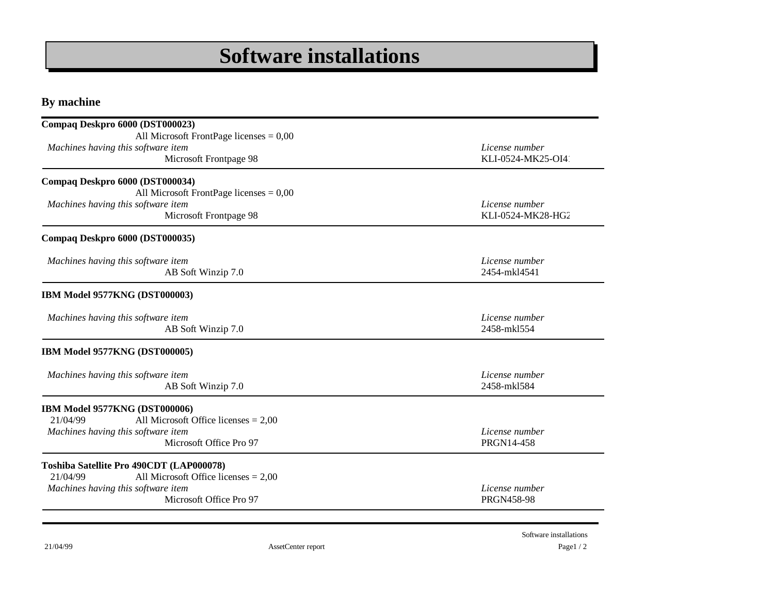### **Software installations**

**By machine**

| Compaq Deskpro 6000 (DST000023)                                                 |                                |
|---------------------------------------------------------------------------------|--------------------------------|
| All Microsoft FrontPage licenses $= 0.00$<br>Machines having this software item | License number                 |
| Microsoft Frontpage 98                                                          | KLI-0524-MK25-OI4              |
| Compaq Deskpro 6000 (DST000034)                                                 |                                |
| All Microsoft FrontPage licenses = $0,00$                                       |                                |
| Machines having this software item                                              | License number                 |
| Microsoft Frontpage 98                                                          | KLI-0524-MK28-HG2              |
| Compaq Deskpro 6000 (DST000035)                                                 |                                |
|                                                                                 |                                |
| Machines having this software item<br>AB Soft Winzip 7.0                        | License number<br>2454-mkl4541 |
|                                                                                 |                                |
| IBM Model 9577KNG (DST000003)                                                   |                                |
| Machines having this software item                                              | License number                 |
| AB Soft Winzip 7.0                                                              | 2458-mkl554                    |
| IBM Model 9577KNG (DST000005)                                                   |                                |
| Machines having this software item                                              | License number                 |
| AB Soft Winzip 7.0                                                              | 2458-mkl584                    |
| IBM Model 9577KNG (DST000006)                                                   |                                |
| 21/04/99<br>All Microsoft Office licenses $= 2,00$                              |                                |
| Machines having this software item                                              | License number                 |
| Microsoft Office Pro 97                                                         | PRGN14-458                     |
| Toshiba Satellite Pro 490CDT (LAP000078)                                        |                                |
| All Microsoft Office licenses $= 2,00$<br>21/04/99                              |                                |
| Machines having this software item                                              | License number                 |
| Microsoft Office Pro 97                                                         | <b>PRGN458-98</b>              |

21/04/99 **Page1 / 2** Software installations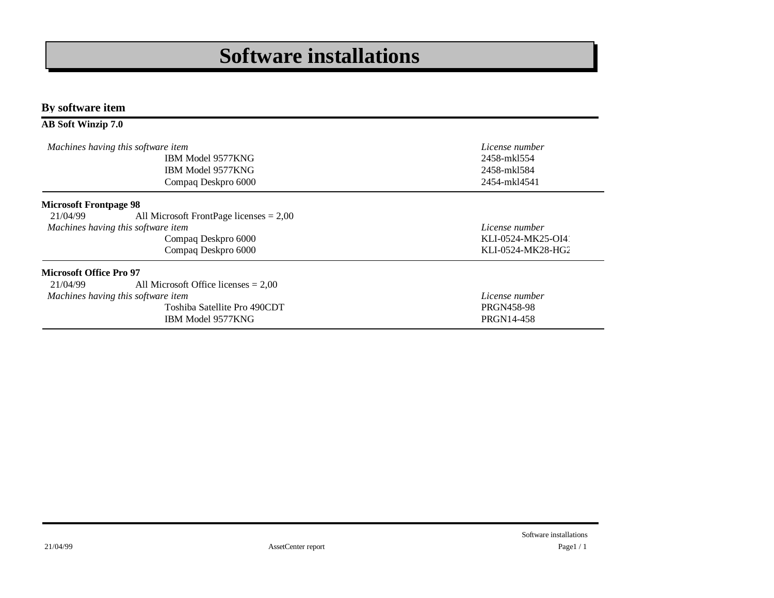### **Software installations**

**By software item**

#### **AB Soft Winzip 7.0**

|                                            | Machines having this software item<br>IBM Model 9577KNG<br>IBM Model 9577KNG<br>Compaq Deskpro 6000                               | License number<br>2458-mk1554<br>2458-mkl584<br>2454-mkl4541 |
|--------------------------------------------|-----------------------------------------------------------------------------------------------------------------------------------|--------------------------------------------------------------|
| <b>Microsoft Frontpage 98</b><br>21/04/99  | All Microsoft FrontPage licenses $= 2,00$<br>Machines having this software item<br>Compaq Deskpro 6000<br>Compaq Deskpro 6000     | License number<br>KLI-0524-MK25-OI4<br>KLI-0524-MK28-HG2     |
| <b>Microsoft Office Pro 97</b><br>21/04/99 | All Microsoft Office licenses $= 2,00$<br>Machines having this software item<br>Toshiba Satellite Pro 490CDT<br>IBM Model 9577KNG | License number<br><b>PRGN458-98</b><br>PRGN14-458            |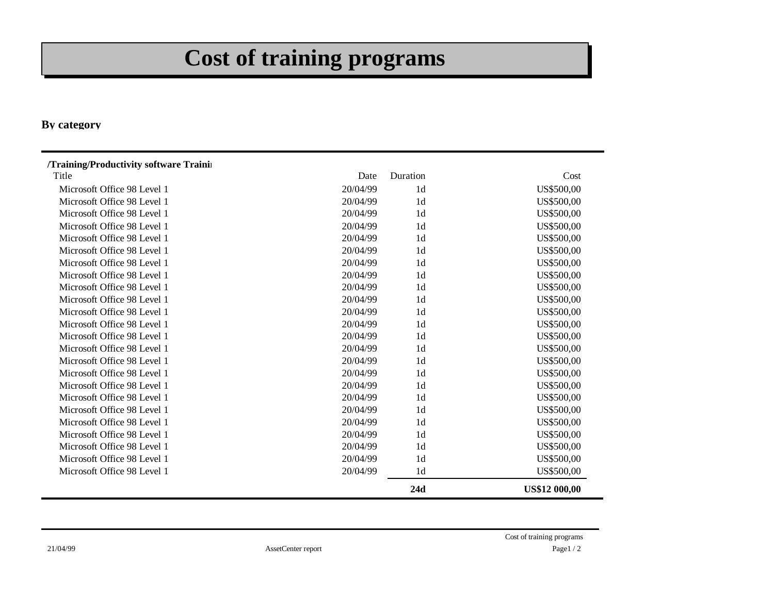# **Cost of training programs**

#### **By category**

| /Training/Productivity software Trainin |          |                |                      |
|-----------------------------------------|----------|----------------|----------------------|
| Title                                   | Date     | Duration       | Cost                 |
| Microsoft Office 98 Level 1             | 20/04/99 | 1 <sub>d</sub> | US\$500,00           |
| Microsoft Office 98 Level 1             | 20/04/99 | 1 <sub>d</sub> | US\$500,00           |
| Microsoft Office 98 Level 1             | 20/04/99 | 1 <sub>d</sub> | US\$500,00           |
| Microsoft Office 98 Level 1             | 20/04/99 | 1 <sub>d</sub> | US\$500,00           |
| Microsoft Office 98 Level 1             | 20/04/99 | 1 <sub>d</sub> | US\$500,00           |
| Microsoft Office 98 Level 1             | 20/04/99 | 1 <sub>d</sub> | US\$500,00           |
| Microsoft Office 98 Level 1             | 20/04/99 | 1 <sub>d</sub> | US\$500,00           |
| Microsoft Office 98 Level 1             | 20/04/99 | 1 <sub>d</sub> | US\$500,00           |
| Microsoft Office 98 Level 1             | 20/04/99 | 1 <sub>d</sub> | US\$500,00           |
| Microsoft Office 98 Level 1             | 20/04/99 | 1 <sub>d</sub> | US\$500,00           |
| Microsoft Office 98 Level 1             | 20/04/99 | 1 <sub>d</sub> | US\$500,00           |
| Microsoft Office 98 Level 1             | 20/04/99 | 1 <sub>d</sub> | US\$500,00           |
| Microsoft Office 98 Level 1             | 20/04/99 | 1 <sub>d</sub> | US\$500,00           |
| Microsoft Office 98 Level 1             | 20/04/99 | 1 <sub>d</sub> | US\$500,00           |
| Microsoft Office 98 Level 1             | 20/04/99 | 1 <sub>d</sub> | US\$500,00           |
| Microsoft Office 98 Level 1             | 20/04/99 | 1 <sub>d</sub> | US\$500,00           |
| Microsoft Office 98 Level 1             | 20/04/99 | 1 <sub>d</sub> | US\$500,00           |
| Microsoft Office 98 Level 1             | 20/04/99 | 1 <sub>d</sub> | US\$500,00           |
| Microsoft Office 98 Level 1             | 20/04/99 | 1 <sub>d</sub> | US\$500,00           |
| Microsoft Office 98 Level 1             | 20/04/99 | 1 <sub>d</sub> | US\$500,00           |
| Microsoft Office 98 Level 1             | 20/04/99 | 1 <sub>d</sub> | US\$500,00           |
| Microsoft Office 98 Level 1             | 20/04/99 | 1 <sub>d</sub> | US\$500,00           |
| Microsoft Office 98 Level 1             | 20/04/99 | 1 <sub>d</sub> | US\$500,00           |
| Microsoft Office 98 Level 1             | 20/04/99 | 1 <sub>d</sub> | US\$500,00           |
|                                         |          | 24d            | <b>US\$12 000,00</b> |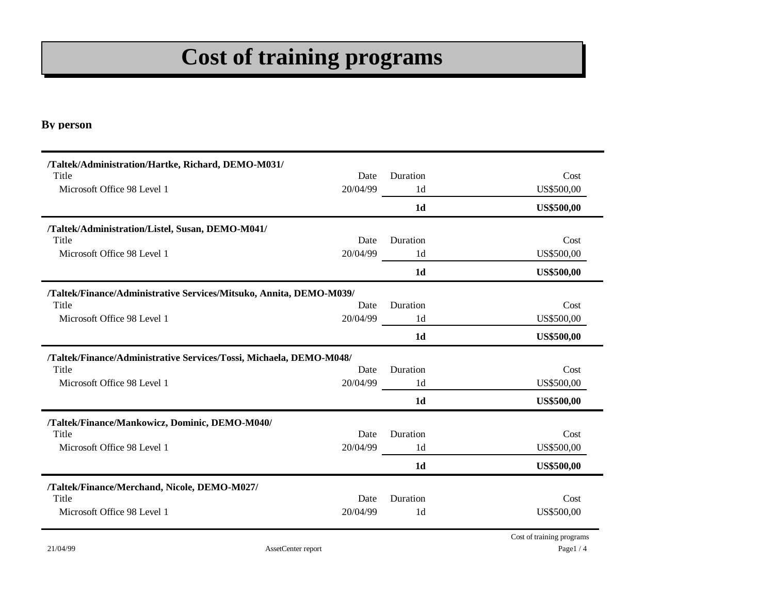# **Cost of training programs**

#### **By person**

| /Taltek/Administration/Hartke, Richard, DEMO-M031/                  |          |                |                   |
|---------------------------------------------------------------------|----------|----------------|-------------------|
| Title                                                               | Date     | Duration       | Cost              |
| Microsoft Office 98 Level 1                                         | 20/04/99 | 1 <sub>d</sub> | US\$500,00        |
|                                                                     |          | 1 <sub>d</sub> | <b>US\$500,00</b> |
| /Taltek/Administration/Listel, Susan, DEMO-M041/                    |          |                |                   |
| Title                                                               | Date     | Duration       | Cost              |
| Microsoft Office 98 Level 1                                         | 20/04/99 | 1 <sub>d</sub> | US\$500,00        |
|                                                                     |          | 1 <sub>d</sub> | <b>US\$500,00</b> |
| /Taltek/Finance/Administrative Services/Mitsuko, Annita, DEMO-M039/ |          |                |                   |
| Title                                                               | Date     | Duration       | Cost              |
| Microsoft Office 98 Level 1                                         | 20/04/99 | 1 <sub>d</sub> | US\$500,00        |
|                                                                     |          | 1 <sub>d</sub> | <b>US\$500,00</b> |
| /Taltek/Finance/Administrative Services/Tossi, Michaela, DEMO-M048/ |          |                |                   |
| Title                                                               | Date     | Duration       | Cost              |
|                                                                     |          |                |                   |
| Microsoft Office 98 Level 1                                         | 20/04/99 | 1 <sub>d</sub> | US\$500,00        |
|                                                                     |          | 1 <sub>d</sub> | <b>US\$500,00</b> |
| /Taltek/Finance/Mankowicz, Dominic, DEMO-M040/                      |          |                |                   |
| Title                                                               | Date     | Duration       | Cost              |
| Microsoft Office 98 Level 1                                         | 20/04/99 | 1 <sub>d</sub> | US\$500,00        |
|                                                                     |          | 1 <sub>d</sub> | <b>US\$500,00</b> |
| /Taltek/Finance/Merchand, Nicole, DEMO-M027/                        |          |                |                   |
| Title                                                               | Date     | Duration       | Cost              |
| Microsoft Office 98 Level 1                                         | 20/04/99 | 1 <sub>d</sub> | US\$500,00        |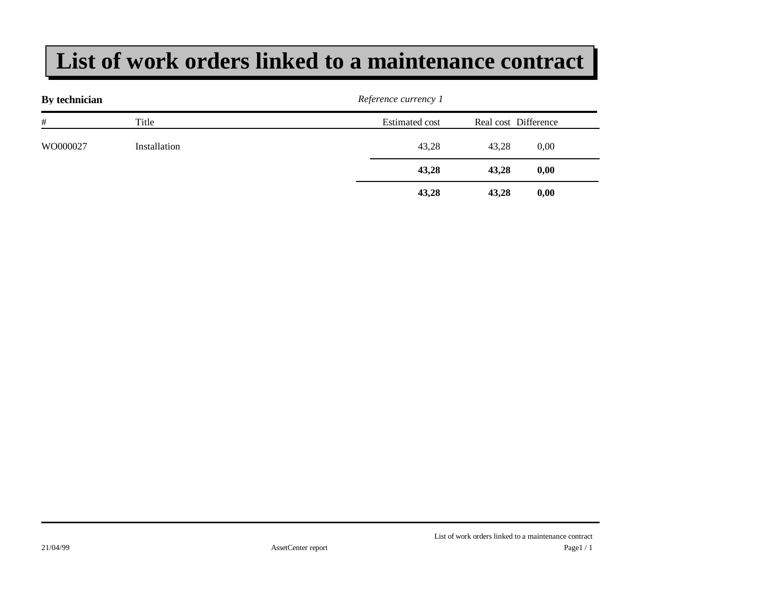### **List of work orders linked to a maintenance contract**

| By technician |              | Reference currency 1  |                      |  |
|---------------|--------------|-----------------------|----------------------|--|
| #             | Title        | <b>Estimated cost</b> | Real cost Difference |  |
| WO000027      | Installation | 43,28                 | 43,28<br>0,00        |  |
|               |              | 43,28                 | 43,28<br>0,00        |  |
|               |              | 43,28                 | 43,28<br>0,00        |  |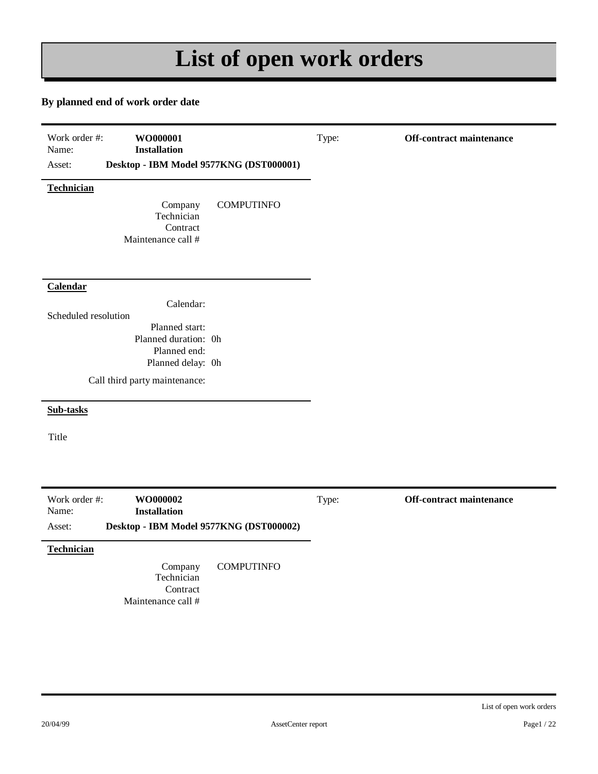# **List of open work orders**

#### **By planned end of work order date**

| Work order #:<br>WO000001<br>Name:<br><b>Installation</b><br>Desktop - IBM Model 9577KNG (DST000001)<br>Asset: | Type: | Off-contract maintenance        |
|----------------------------------------------------------------------------------------------------------------|-------|---------------------------------|
| Technician<br>Company<br><b>COMPUTINFO</b><br>Technician<br>Contract<br>Maintenance call #                     |       |                                 |
| Calendar<br>Calendar:<br>Scheduled resolution<br>Planned start:<br>Planned duration: 0h<br>Planned end:        |       |                                 |
| Planned delay: 0h<br>Call third party maintenance:                                                             |       |                                 |
| Sub-tasks                                                                                                      |       |                                 |
| Title                                                                                                          |       |                                 |
| Work order #:<br>WO000002<br><b>Installation</b><br>Name:<br>Desktop - IBM Model 9577KNG (DST000002)<br>Asset: | Type: | <b>Off-contract maintenance</b> |
| Technician<br><b>COMPUTINFO</b><br>Company<br>Technician<br>Contract                                           |       |                                 |

List of open work orders

Maintenance call #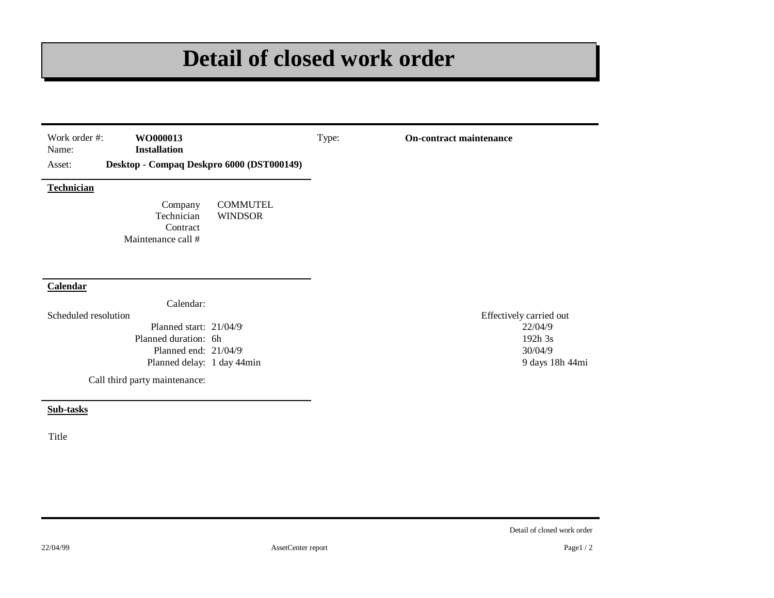# **Detail of closed work order**

| Work order #:<br>WO000013<br>Name:<br><b>Installation</b><br>Desktop - Compaq Deskpro 6000 (DST000149)<br>Asset: |                                   | Type: | <b>On-contract maintenance</b> |
|------------------------------------------------------------------------------------------------------------------|-----------------------------------|-------|--------------------------------|
| <b>Technician</b>                                                                                                |                                   |       |                                |
| Company<br>Technician<br>Contract<br>Maintenance call #                                                          | <b>COMMUTEL</b><br><b>WINDSOR</b> |       |                                |
|                                                                                                                  |                                   |       |                                |
|                                                                                                                  |                                   |       |                                |
|                                                                                                                  |                                   |       |                                |
| Calendar:                                                                                                        |                                   |       |                                |
|                                                                                                                  |                                   |       | Effectively carried out        |
| Planned start: 21/04/9                                                                                           |                                   |       | 22/04/9                        |
| Planned duration: 6h                                                                                             |                                   |       | 192h 3s                        |
| Calendar<br>Scheduled resolution<br>Planned end: 21/04/9                                                         |                                   |       | 30/04/9                        |
| Planned delay: 1 day 44min                                                                                       |                                   |       | 9 days 18h 44mi                |

**Sub-tasks**

Title